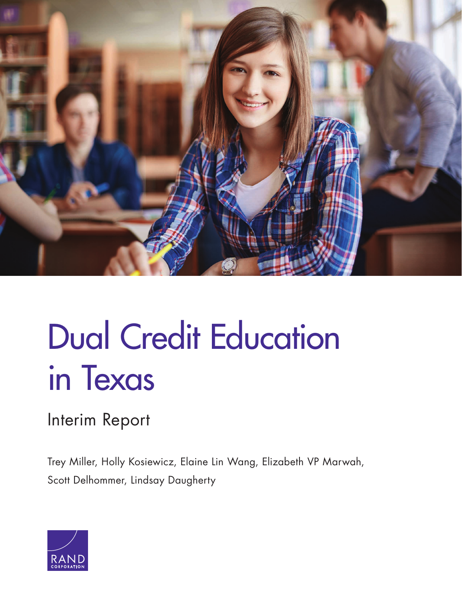

# [Dual Credit Education](https://www.rand.org/pubs/research_reports/RR2043.html)  in Texas

# Interim Report

Trey Miller, Holly Kosiewicz, Elaine Lin Wang, Elizabeth VP Marwah, Scott Delhommer, Lindsay Daugherty

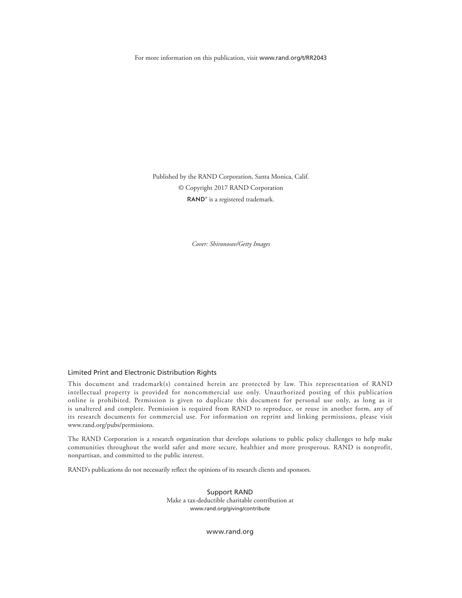For more information on this publication, visit [www.rand.org/t/RR2043](http://www.rand.org/t/RR2043)

Published by the RAND Corporation, Santa Monica, Calif. © Copyright 2017 RAND Corporation RAND<sup>®</sup> is a registered trademark.

*Cover: Shironosov/Getty Images*

#### Limited Print and Electronic Distribution Rights

This document and trademark(s) contained herein are protected by law. This representation of RAND intellectual property is provided for noncommercial use only. Unauthorized posting of this publication online is prohibited. Permission is given to duplicate this document for personal use only, as long as it is unaltered and complete. Permission is required from RAND to reproduce, or reuse in another form, any of its research documents for commercial use. For information on reprint and linking permissions, please visit [www.rand.org/pubs/permissions.](http://www.rand.org/pubs/permissions)

The RAND Corporation is a research organization that develops solutions to public policy challenges to help make communities throughout the world safer and more secure, healthier and more prosperous. RAND is nonprofit, nonpartisan, and committed to the public interest.

RAND's publications do not necessarily reflect the opinions of its research clients and sponsors.

Support RAND Make a tax-deductible charitable contribution at [www.rand.org/giving/contribute](http://www.rand.org/giving/contribute)

[www.rand.org](http://www.rand.org)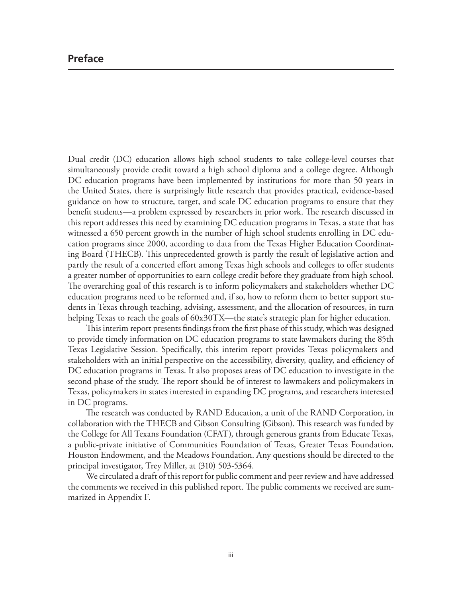# **Preface**

Dual credit (DC) education allows high school students to take college-level courses that simultaneously provide credit toward a high school diploma and a college degree. Although DC education programs have been implemented by institutions for more than 50 years in the United States, there is surprisingly little research that provides practical, evidence-based guidance on how to structure, target, and scale DC education programs to ensure that they benefit students—a problem expressed by researchers in prior work. The research discussed in this report addresses this need by examining DC education programs in Texas, a state that has witnessed a 650 percent growth in the number of high school students enrolling in DC education programs since 2000, according to data from the Texas Higher Education Coordinating Board (THECB). This unprecedented growth is partly the result of legislative action and partly the result of a concerted effort among Texas high schools and colleges to offer students a greater number of opportunities to earn college credit before they graduate from high school. The overarching goal of this research is to inform policymakers and stakeholders whether DC education programs need to be reformed and, if so, how to reform them to better support students in Texas through teaching, advising, assessment, and the allocation of resources, in turn helping Texas to reach the goals of  $60x30TX$ —the state's strategic plan for higher education.

This interim report presents findings from the first phase of this study, which was designed to provide timely information on DC education programs to state lawmakers during the 85th Texas Legislative Session. Specifically, this interim report provides Texas policymakers and stakeholders with an initial perspective on the accessibility, diversity, quality, and efficiency of DC education programs in Texas. It also proposes areas of DC education to investigate in the second phase of the study. The report should be of interest to lawmakers and policymakers in Texas, policymakers in states interested in expanding DC programs, and researchers interested in DC programs.

The research was conducted by RAND Education, a unit of the RAND Corporation, in collaboration with the THECB and Gibson Consulting (Gibson). This research was funded by the College for All Texans Foundation (CFAT), through generous grants from Educate Texas, a public‐private initiative of Communities Foundation of Texas, Greater Texas Foundation, Houston Endowment, and the Meadows Foundation. Any questions should be directed to the principal investigator, Trey Miller, at (310) 503-5364.

We circulated a draft of this report for public comment and peer review and have addressed the comments we received in this published report. The public comments we received are summarized in Appendix F.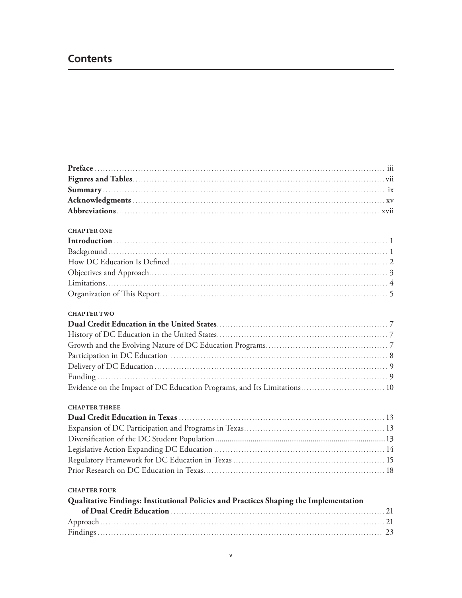# **Contents**

| <b>CHAPTER ONE</b>                                                                    |  |
|---------------------------------------------------------------------------------------|--|
|                                                                                       |  |
|                                                                                       |  |
|                                                                                       |  |
|                                                                                       |  |
|                                                                                       |  |
|                                                                                       |  |
| <b>CHAPTER TWO</b>                                                                    |  |
|                                                                                       |  |
|                                                                                       |  |
|                                                                                       |  |
|                                                                                       |  |
|                                                                                       |  |
|                                                                                       |  |
| Evidence on the Impact of DC Education Programs, and Its Limitations 10               |  |
| <b>CHAPTER THREE</b>                                                                  |  |
|                                                                                       |  |
|                                                                                       |  |
|                                                                                       |  |
|                                                                                       |  |
|                                                                                       |  |
|                                                                                       |  |
| <b>CHAPTER FOUR</b>                                                                   |  |
| Qualitative Findings: Institutional Policies and Practices Shaping the Implementation |  |
|                                                                                       |  |
|                                                                                       |  |
|                                                                                       |  |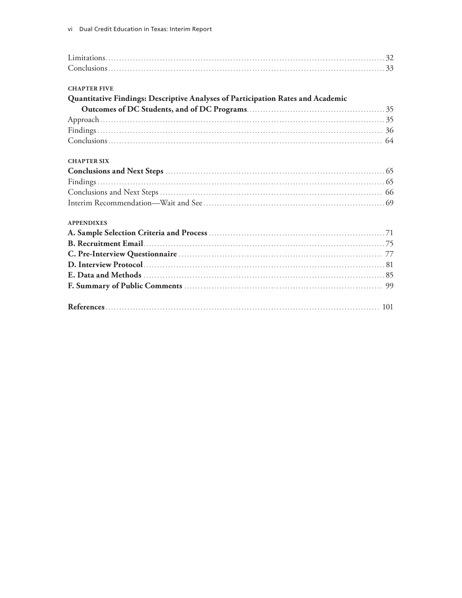| <b>CHAPTER FIVE</b>                                                             |  |
|---------------------------------------------------------------------------------|--|
| Quantitative Findings: Descriptive Analyses of Participation Rates and Academic |  |
|                                                                                 |  |
|                                                                                 |  |
|                                                                                 |  |
|                                                                                 |  |
| <b>CHAPTER SIX</b>                                                              |  |
|                                                                                 |  |
|                                                                                 |  |
|                                                                                 |  |
|                                                                                 |  |
| <b>APPENDIXES</b>                                                               |  |
|                                                                                 |  |
|                                                                                 |  |
|                                                                                 |  |
|                                                                                 |  |
|                                                                                 |  |
|                                                                                 |  |
|                                                                                 |  |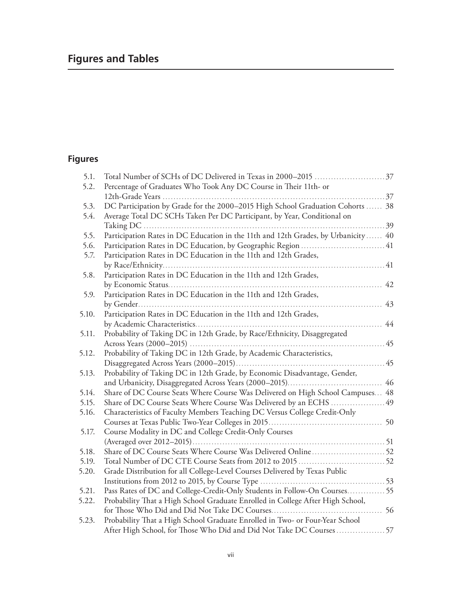# **Figures and Tables**

# **Figures**

| 5.1.  | Total Number of SCHs of DC Delivered in Texas in 2000-2015 37                      |
|-------|------------------------------------------------------------------------------------|
| 5.2.  | Percentage of Graduates Who Took Any DC Course in Their 11th- or                   |
|       |                                                                                    |
| 5.3.  | DC Participation by Grade for the 2000-2015 High School Graduation Cohorts  38     |
| 5.4.  | Average Total DC SCHs Taken Per DC Participant, by Year, Conditional on            |
|       | . 39                                                                               |
| 5.5.  | Participation Rates in DC Education in the 11th and 12th Grades, by Urbanicity  40 |
| 5.6.  | Participation Rates in DC Education, by Geographic Region  41                      |
| 5.7.  | Participation Rates in DC Education in the 11th and 12th Grades,                   |
|       |                                                                                    |
| 5.8.  | Participation Rates in DC Education in the 11th and 12th Grades,                   |
|       | 42                                                                                 |
| 5.9.  | Participation Rates in DC Education in the 11th and 12th Grades,                   |
|       | 43                                                                                 |
| 5.10. | Participation Rates in DC Education in the 11th and 12th Grades,                   |
|       | 44                                                                                 |
| 5.11. | Probability of Taking DC in 12th Grade, by Race/Ethnicity, Disaggregated           |
|       | 45                                                                                 |
| 5.12. | Probability of Taking DC in 12th Grade, by Academic Characteristics,               |
|       | 45                                                                                 |
| 5.13. | Probability of Taking DC in 12th Grade, by Economic Disadvantage, Gender,          |
|       | 46                                                                                 |
| 5.14. | Share of DC Course Seats Where Course Was Delivered on High School Campuses 48     |
| 5.15. | Share of DC Course Seats Where Course Was Delivered by an ECHS  49                 |
| 5.16. | Characteristics of Faculty Members Teaching DC Versus College Credit-Only          |
|       |                                                                                    |
| 5.17. | Course Modality in DC and College Credit-Only Courses                              |
|       |                                                                                    |
| 5.18. |                                                                                    |
| 5.19. |                                                                                    |
| 5.20. | Grade Distribution for all College-Level Courses Delivered by Texas Public         |
|       |                                                                                    |
| 5.21. | Pass Rates of DC and College-Credit-Only Students in Follow-On Courses 55          |
| 5.22. | Probability That a High School Graduate Enrolled in College After High School,     |
|       |                                                                                    |
| 5.23. | Probability That a High School Graduate Enrolled in Two- or Four-Year School       |
|       | After High School, for Those Who Did and Did Not Take DC Courses 57                |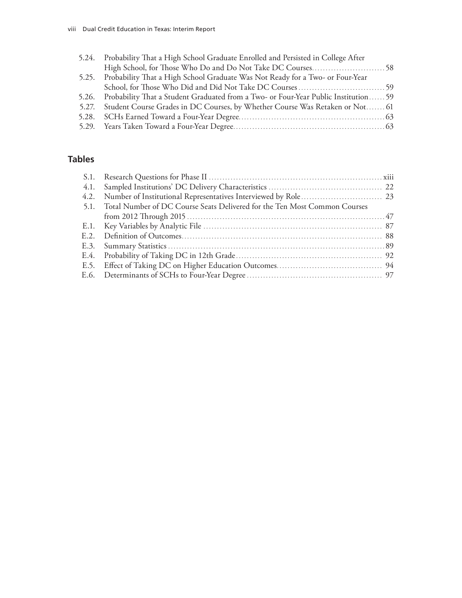| 5.24. Probability That a High School Graduate Enrolled and Persisted in College After     |  |
|-------------------------------------------------------------------------------------------|--|
|                                                                                           |  |
| 5.25. Probability That a High School Graduate Was Not Ready for a Two- or Four-Year       |  |
|                                                                                           |  |
| 5.26. Probability That a Student Graduated from a Two- or Four-Year Public Institution 59 |  |
| 5.27. Student Course Grades in DC Courses, by Whether Course Was Retaken or Not 61        |  |
|                                                                                           |  |
|                                                                                           |  |
|                                                                                           |  |

# **Tables**

| 5.1. Total Number of DC Course Seats Delivered for the Ten Most Common Courses |  |
|--------------------------------------------------------------------------------|--|
|                                                                                |  |
|                                                                                |  |
|                                                                                |  |
|                                                                                |  |
|                                                                                |  |
|                                                                                |  |
|                                                                                |  |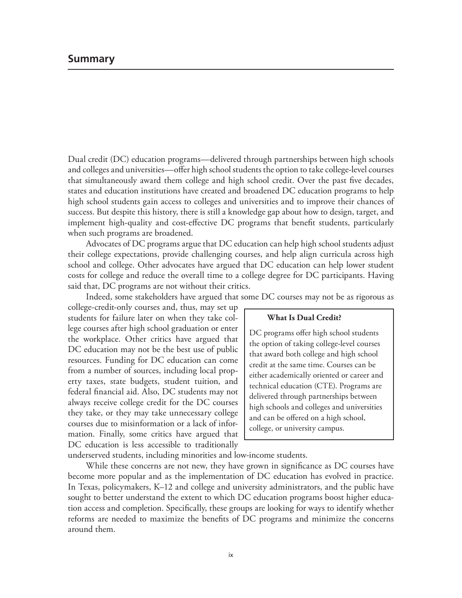Dual credit (DC) education programs—delivered through partnerships between high schools and colleges and universities—offer high school students the option to take college-level courses that simultaneously award them college and high school credit. Over the past five decades, states and education institutions have created and broadened DC education programs to help high school students gain access to colleges and universities and to improve their chances of success. But despite this history, there is still a knowledge gap about how to design, target, and implement high-quality and cost-effective DC programs that benefit students, particularly when such programs are broadened.

Advocates of DC programs argue that DC education can help high school students adjust their college expectations, provide challenging courses, and help align curricula across high school and college. Other advocates have argued that DC education can help lower student costs for college and reduce the overall time to a college degree for DC participants. Having said that, DC programs are not without their critics.

Indeed, some stakeholders have argued that some DC courses may not be as rigorous as

college-credit-only courses and, thus, may set up students for failure later on when they take college courses after high school graduation or enter the workplace. Other critics have argued that DC education may not be the best use of public resources. Funding for DC education can come from a number of sources, including local property taxes, state budgets, student tuition, and federal financial aid. Also, DC students may not always receive college credit for the DC courses they take, or they may take unnecessary college courses due to misinformation or a lack of information. Finally, some critics have argued that DC education is less accessible to traditionally

### **What Is Dual Credit?**

DC programs offer high school students the option of taking college-level courses that award both college and high school credit at the same time. Courses can be either academically oriented or career and technical education (CTE). Programs are delivered through partnerships between high schools and colleges and universities and can be offered on a high school, college, or university campus.

underserved students, including minorities and low-income students.

While these concerns are not new, they have grown in significance as DC courses have become more popular and as the implementation of DC education has evolved in practice. In Texas, policymakers, K–12 and college and university administrators, and the public have sought to better understand the extent to which DC education programs boost higher education access and completion. Specifically, these groups are looking for ways to identify whether reforms are needed to maximize the benefits of DC programs and minimize the concerns around them.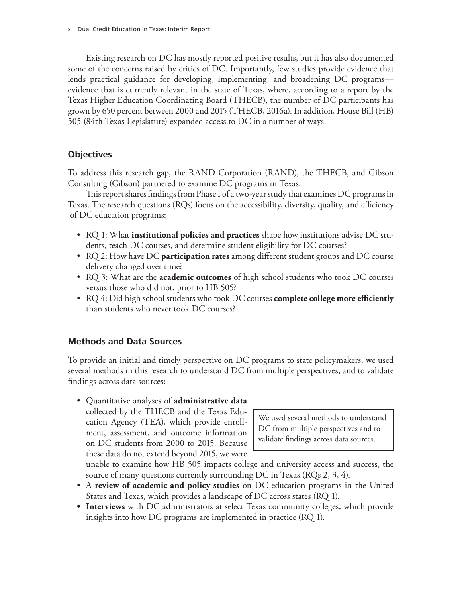Existing research on DC has mostly reported positive results, but it has also documented some of the concerns raised by critics of DC. Importantly, few studies provide evidence that lends practical guidance for developing, implementing, and broadening DC programs evidence that is currently relevant in the state of Texas, where, according to a report by the Texas Higher Education Coordinating Board (THECB), the number of DC participants has grown by 650 percent between 2000 and 2015 (THECB, 2016a). In addition, House Bill (HB) 505 (84th Texas Legislature) expanded access to DC in a number of ways.

# **Objectives**

To address this research gap, the RAND Corporation (RAND), the THECB, and Gibson Consulting (Gibson) partnered to examine DC programs in Texas.

This report shares findings from Phase I of a two-year study that examines DC programs in Texas. The research questions (RQs) focus on the accessibility, diversity, quality, and efficiency of DC education programs:

- RQ 1: What **institutional policies and practices** shape how institutions advise DC students, teach DC courses, and determine student eligibility for DC courses?
- RQ 2: How have DC **participation rates** among different student groups and DC course delivery changed over time?
- RQ 3: What are the **academic outcomes** of high school students who took DC courses versus those who did not, prior to HB 505?
- RQ 4: Did high school students who took DC courses **complete college more efficiently** than students who never took DC courses?

# **Methods and Data Sources**

To provide an initial and timely perspective on DC programs to state policymakers, we used several methods in this research to understand DC from multiple perspectives, and to validate findings across data sources:

• Quantitative analyses of **administrative data** collected by the THECB and the Texas Education Agency (TEA), which provide enrollment, assessment, and outcome information on DC students from 2000 to 2015. Because these data do not extend beyond 2015, we were

We used several methods to understand DC from multiple perspectives and to validate findings across data sources.

unable to examine how HB 505 impacts college and university access and success, the source of many questions currently surrounding DC in Texas (RQs 2, 3, 4).

- A **review of academic and policy studies** on DC education programs in the United States and Texas, which provides a landscape of DC across states (RQ 1).
- **• Interviews** with DC administrators at select Texas community colleges, which provide insights into how DC programs are implemented in practice (RQ 1).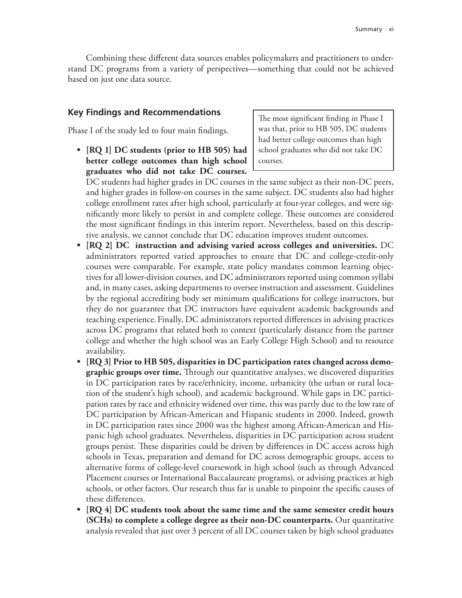Combining these different data sources enables policymakers and practitioners to understand DC programs from a variety of perspectives—something that could not be achieved based on just one data source.

# **Key Findings and Recommendations**

Phase I of the study led to four main findings.

**• [RQ 1] DC students (prior to HB 505) had better college outcomes than high school graduates who did not take DC courses.**

The most significant finding in Phase I was that, prior to HB 505, DC students had better college outcomes than high school graduates who did not take DC courses.

DC students had higher grades in DC courses in the same subject as their non-DC peers, and higher grades in follow-on courses in the same subject. DC students also had higher college enrollment rates after high school, particularly at four-year colleges, and were significantly more likely to persist in and complete college. These outcomes are considered the most significant findings in this interim report. Nevertheless, based on this descriptive analysis, we cannot conclude that DC education improves student outcomes.

- **• [RQ 2] DC instruction and advising varied across colleges and universities.** DC administrators reported varied approaches to ensure that DC and college-credit-only courses were comparable. For example, state policy mandates common learning objectives for all lower-division courses, and DC administrators reported using common syllabi and, in many cases, asking departments to oversee instruction and assessment. Guidelines by the regional accrediting body set minimum qualifications for college instructors, but they do not guarantee that DC instructors have equivalent academic backgrounds and teaching experience.Finally, DC administrators reported differences in advising practices across DC programs that related both to context (particularly distance from the partner college and whether the high school was an Early College High School) and to resource availability.
- **• [RQ 3] Prior to HB 505, disparities in DC participation rates changed across demographic groups over time.** Through our quantitative analyses, we discovered disparities in DC participation rates by race/ethnicity, income, urbanicity (the urban or rural location of the student's high school), and academic background. While gaps in DC participation rates by race and ethnicity widened over time, this was partly due to the low rate of DC participation by African-American and Hispanic students in 2000. Indeed, growth in DC participation rates since 2000 was the highest among African-American and Hispanic high school graduates. Nevertheless, disparities in DC participation across student groups persist. These disparities could be driven by differences in DC access across high schools in Texas, preparation and demand for DC across demographic groups, access to alternative forms of college-level coursework in high school (such as through Advanced Placement courses or International Baccalaureate programs), or advising practices at high schools, or other factors. Our research thus far is unable to pinpoint the specific causes of these differences.
- **• [RQ 4] DC students took about the same time and the same semester credit hours (SCHs) to complete a college degree as their non-DC counterparts.** Our quantitative analysis revealed that just over 3 percent of all DC courses taken by high school graduates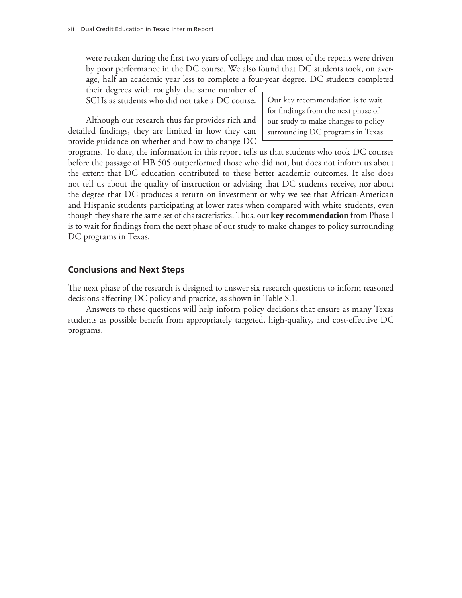were retaken during the first two years of college and that most of the repeats were driven by poor performance in the DC course. We also found that DC students took, on average, half an academic year less to complete a four-year degree. DC students completed

their degrees with roughly the same number of SCHs as students who did not take a DC course.

Although our research thus far provides rich and detailed findings, they are limited in how they can provide guidance on whether and how to change DC

Our key recommendation is to wait for findings from the next phase of our study to make changes to policy surrounding DC programs in Texas.

programs. To date, the information in this report tells us that students who took DC courses before the passage of HB 505 outperformed those who did not, but does not inform us about the extent that DC education contributed to these better academic outcomes. It also does not tell us about the quality of instruction or advising that DC students receive, nor about the degree that DC produces a return on investment or why we see that African-American and Hispanic students participating at lower rates when compared with white students, even though they share the same set of characteristics. Thus, our **key recommendation** from Phase I is to wait for findings from the next phase of our study to make changes to policy surrounding DC programs in Texas.

# **Conclusions and Next Steps**

The next phase of the research is designed to answer six research questions to inform reasoned decisions affecting DC policy and practice, as shown in Table S.1.

Answers to these questions will help inform policy decisions that ensure as many Texas students as possible benefit from appropriately targeted, high-quality, and cost-effective DC programs.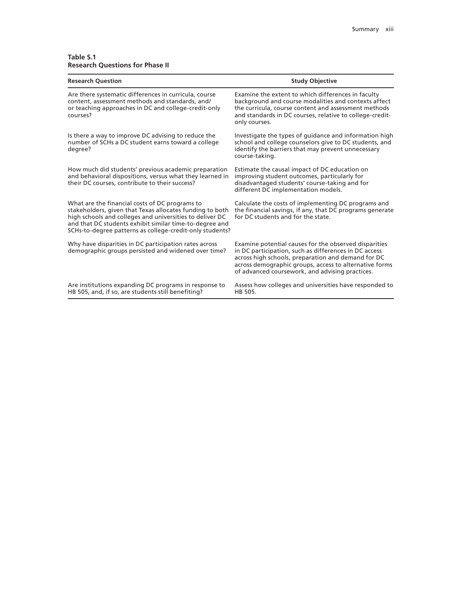#### **Table S.1 Research Questions for Phase II**

| <b>Study Objective</b>                                                                                                                                                                                                                                                            |
|-----------------------------------------------------------------------------------------------------------------------------------------------------------------------------------------------------------------------------------------------------------------------------------|
| Examine the extent to which differences in faculty<br>background and course modalities and contexts affect<br>the curricula, course content and assessment methods<br>and standards in DC courses, relative to college-credit-<br>only courses.                                   |
| Investigate the types of guidance and information high<br>school and college counselors give to DC students, and<br>identify the barriers that may prevent unnecessary<br>course-taking.                                                                                          |
| Estimate the causal impact of DC education on<br>improving student outcomes, particularly for<br>disadvantaged students' course-taking and for<br>different DC implementation models.                                                                                             |
| Calculate the costs of implementing DC programs and<br>the financial savings, if any, that DC programs generate<br>for DC students and for the state.<br>SCHs-to-degree patterns as college-credit-only students?                                                                 |
| Examine potential causes for the observed disparities<br>in DC participation, such as differences in DC access<br>across high schools, preparation and demand for DC<br>across demographic groups, access to alternative forms<br>of advanced coursework, and advising practices. |
| Assess how colleges and universities have responded to<br>HB 505.                                                                                                                                                                                                                 |
| and behavioral dispositions, versus what they learned in<br>stakeholders, given that Texas allocates funding to both<br>and that DC students exhibit similar time-to-degree and                                                                                                   |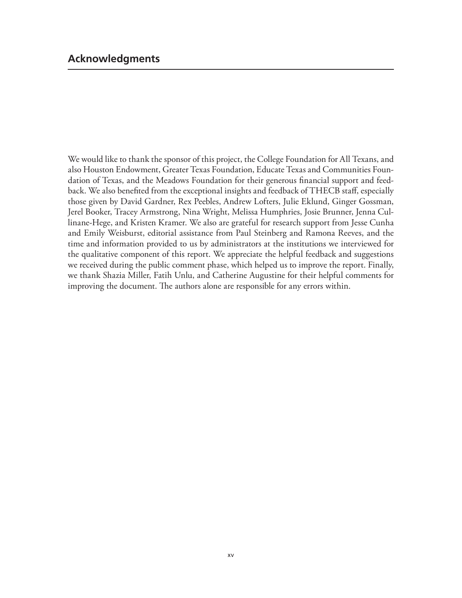We would like to thank the sponsor of this project, the College Foundation for All Texans, and also Houston Endowment, Greater Texas Foundation, Educate Texas and Communities Foundation of Texas, and the Meadows Foundation for their generous financial support and feedback. We also benefited from the exceptional insights and feedback of THECB staff, especially those given by David Gardner, Rex Peebles, Andrew Lofters, Julie Eklund, Ginger Gossman, Jerel Booker, Tracey Armstrong, Nina Wright, Melissa Humphries, Josie Brunner, Jenna Cullinane-Hege, and Kristen Kramer. We also are grateful for research support from Jesse Cunha and Emily Weisburst, editorial assistance from Paul Steinberg and Ramona Reeves, and the time and information provided to us by administrators at the institutions we interviewed for the qualitative component of this report. We appreciate the helpful feedback and suggestions we received during the public comment phase, which helped us to improve the report. Finally, we thank Shazia Miller, Fatih Unlu, and Catherine Augustine for their helpful comments for improving the document. The authors alone are responsible for any errors within.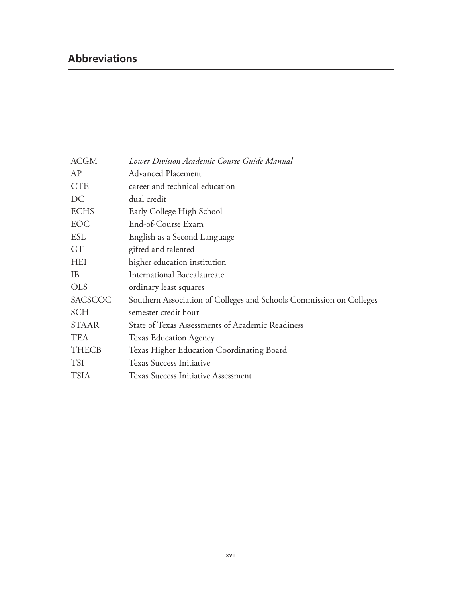# **Abbreviations**

| <b>ACGM</b>  | Lower Division Academic Course Guide Manual                         |
|--------------|---------------------------------------------------------------------|
| AP           | <b>Advanced Placement</b>                                           |
| <b>CTE</b>   | career and technical education                                      |
| DC           | dual credit                                                         |
| <b>ECHS</b>  | Early College High School                                           |
| EOC          | End-of-Course Exam                                                  |
| <b>ESL</b>   | English as a Second Language                                        |
| GT           | gifted and talented                                                 |
| <b>HEI</b>   | higher education institution                                        |
| <b>IB</b>    | <b>International Baccalaureate</b>                                  |
| <b>OLS</b>   | ordinary least squares                                              |
| SACSCOC      | Southern Association of Colleges and Schools Commission on Colleges |
| <b>SCH</b>   | semester credit hour                                                |
| <b>STAAR</b> | State of Texas Assessments of Academic Readiness                    |
| <b>TEA</b>   | <b>Texas Education Agency</b>                                       |
| <b>THECB</b> | Texas Higher Education Coordinating Board                           |
| <b>TSI</b>   | <b>Texas Success Initiative</b>                                     |
| <b>TSIA</b>  | <b>Texas Success Initiative Assessment</b>                          |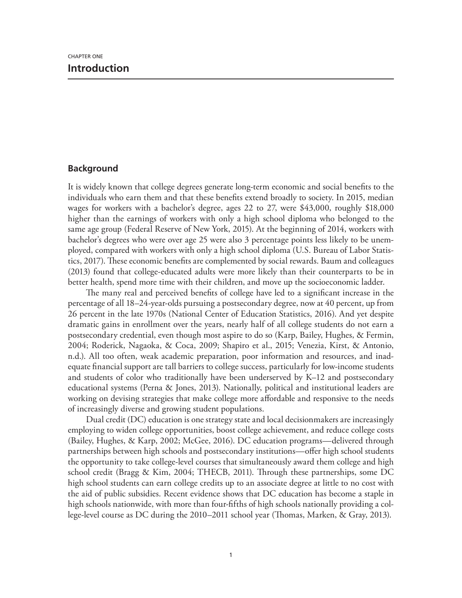# **Background**

It is widely known that college degrees generate long-term economic and social benefits to the individuals who earn them and that these benefits extend broadly to society. In 2015, median wages for workers with a bachelor's degree, ages 22 to 27, were \$43,000, roughly \$18,000 higher than the earnings of workers with only a high school diploma who belonged to the same age group (Federal Reserve of New York, 2015). At the beginning of 2014, workers with bachelor's degrees who were over age 25 were also 3 percentage points less likely to be unemployed, compared with workers with only a high school diploma (U.S. Bureau of Labor Statistics, 2017). These economic benefits are complemented by social rewards. Baum and colleagues (2013) found that college-educated adults were more likely than their counterparts to be in better health, spend more time with their children, and move up the socioeconomic ladder.

The many real and perceived benefits of college have led to a significant increase in the percentage of all 18–24-year-olds pursuing a postsecondary degree, now at 40 percent, up from 26 percent in the late 1970s (National Center of Education Statistics, 2016). And yet despite dramatic gains in enrollment over the years, nearly half of all college students do not earn a postsecondary credential, even though most aspire to do so (Karp, Bailey, Hughes, & Fermin, 2004; Roderick, Nagaoka, & Coca, 2009; Shapiro et al., 2015; Venezia, Kirst, & Antonio, n.d.). All too often, weak academic preparation, poor information and resources, and inadequate financial support are tall barriers to college success, particularly for low-income students and students of color who traditionally have been underserved by K–12 and postsecondary educational systems (Perna & Jones, 2013). Nationally, political and institutional leaders are working on devising strategies that make college more affordable and responsive to the needs of increasingly diverse and growing student populations.

Dual credit (DC) education is one strategy state and local decisionmakers are increasingly employing to widen college opportunities, boost college achievement, and reduce college costs (Bailey, Hughes, & Karp, 2002; McGee, 2016). DC education programs—delivered through partnerships between high schools and postsecondary institutions—offer high school students the opportunity to take college-level courses that simultaneously award them college and high school credit (Bragg & Kim, 2004; THECB, 2011). Through these partnerships, some DC high school students can earn college credits up to an associate degree at little to no cost with the aid of public subsidies. Recent evidence shows that DC education has become a staple in high schools nationwide, with more than four-fifths of high schools nationally providing a college-level course as DC during the 2010–2011 school year (Thomas, Marken, & Gray, 2013).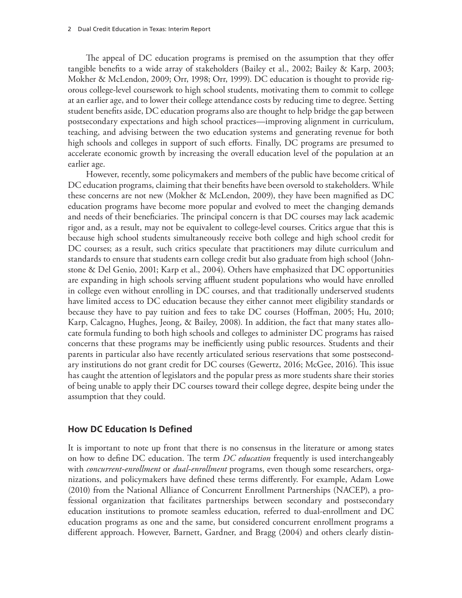The appeal of DC education programs is premised on the assumption that they offer tangible benefits to a wide array of stakeholders (Bailey et al., 2002; Bailey & Karp, 2003; Mokher & McLendon, 2009; Orr, 1998; Orr, 1999). DC education is thought to provide rigorous college-level coursework to high school students, motivating them to commit to college at an earlier age, and to lower their college attendance costs by reducing time to degree. Setting student benefits aside, DC education programs also are thought to help bridge the gap between postsecondary expectations and high school practices—improving alignment in curriculum, teaching, and advising between the two education systems and generating revenue for both high schools and colleges in support of such efforts. Finally, DC programs are presumed to accelerate economic growth by increasing the overall education level of the population at an earlier age.

However, recently, some policymakers and members of the public have become critical of DC education programs, claiming that their benefits have been oversold to stakeholders. While these concerns are not new (Mokher & McLendon, 2009), they have been magnified as DC education programs have become more popular and evolved to meet the changing demands and needs of their beneficiaries. The principal concern is that DC courses may lack academic rigor and, as a result, may not be equivalent to college-level courses. Critics argue that this is because high school students simultaneously receive both college and high school credit for DC courses; as a result, such critics speculate that practitioners may dilute curriculum and standards to ensure that students earn college credit but also graduate from high school (Johnstone & Del Genio, 2001; Karp et al., 2004). Others have emphasized that DC opportunities are expanding in high schools serving affluent student populations who would have enrolled in college even without enrolling in DC courses, and that traditionally underserved students have limited access to DC education because they either cannot meet eligibility standards or because they have to pay tuition and fees to take DC courses (Hoffman, 2005; Hu, 2010; Karp, Calcagno, Hughes, Jeong, & Bailey, 2008). In addition, the fact that many states allocate formula funding to both high schools and colleges to administer DC programs has raised concerns that these programs may be inefficiently using public resources. Students and their parents in particular also have recently articulated serious reservations that some postsecondary institutions do not grant credit for DC courses (Gewertz, 2016; McGee, 2016). This issue has caught the attention of legislators and the popular press as more students share their stories of being unable to apply their DC courses toward their college degree, despite being under the assumption that they could.

## **How DC Education Is Defined**

It is important to note up front that there is no consensus in the literature or among states on how to define DC education. The term *DC education* frequently is used interchangeably with *concurrent-enrollment* or *dual-enrollment* programs, even though some researchers, organizations, and policymakers have defined these terms differently. For example, Adam Lowe (2010) from the National Alliance of Concurrent Enrollment Partnerships (NACEP), a professional organization that facilitates partnerships between secondary and postsecondary education institutions to promote seamless education, referred to dual-enrollment and DC education programs as one and the same, but considered concurrent enrollment programs a different approach. However, Barnett, Gardner, and Bragg (2004) and others clearly distin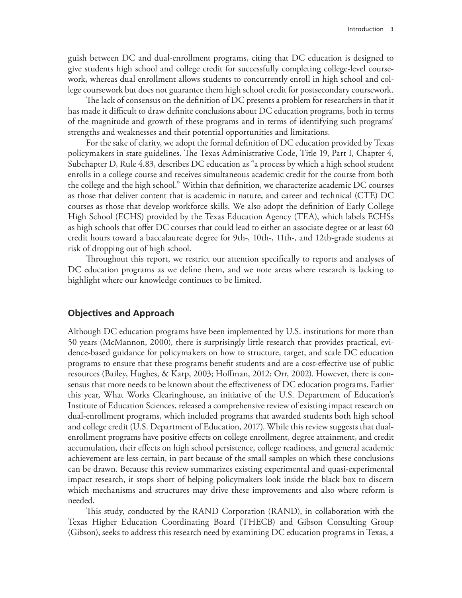guish between DC and dual-enrollment programs, citing that DC education is designed to give students high school and college credit for successfully completing college-level coursework, whereas dual enrollment allows students to concurrently enroll in high school and college coursework but does not guarantee them high school credit for postsecondary coursework.

The lack of consensus on the definition of DC presents a problem for researchers in that it has made it difficult to draw definite conclusions about DC education programs, both in terms of the magnitude and growth of these programs and in terms of identifying such programs' strengths and weaknesses and their potential opportunities and limitations.

For the sake of clarity, we adopt the formal definition of DC education provided by Texas policymakers in state guidelines. The Texas Administrative Code, Title 19, Part I, Chapter 4, Subchapter D, Rule 4.83, describes DC education as "a process by which a high school student enrolls in a college course and receives simultaneous academic credit for the course from both the college and the high school." Within that definition, we characterize academic DC courses as those that deliver content that is academic in nature, and career and technical (CTE) DC courses as those that develop workforce skills. We also adopt the definition of Early College High School (ECHS) provided by the Texas Education Agency (TEA), which labels ECHSs as high schools that offer DC courses that could lead to either an associate degree or at least 60 credit hours toward a baccalaureate degree for 9th-, 10th-, 11th-, and 12th-grade students at risk of dropping out of high school.

Throughout this report, we restrict our attention specifically to reports and analyses of DC education programs as we define them, and we note areas where research is lacking to highlight where our knowledge continues to be limited.

## **Objectives and Approach**

Although DC education programs have been implemented by U.S. institutions for more than 50 years (McMannon, 2000), there is surprisingly little research that provides practical, evidence-based guidance for policymakers on how to structure, target, and scale DC education programs to ensure that these programs benefit students and are a cost-effective use of public resources (Bailey, Hughes, & Karp, 2003; Hoffman, 2012; Orr, 2002). However, there is consensus that more needs to be known about the effectiveness of DC education programs. Earlier this year, What Works Clearinghouse, an initiative of the U.S. Department of Education's Institute of Education Sciences, released a comprehensive review of existing impact research on dual-enrollment programs, which included programs that awarded students both high school and college credit (U.S. Department of Education, 2017). While this review suggests that dualenrollment programs have positive effects on college enrollment, degree attainment, and credit accumulation, their effects on high school persistence, college readiness, and general academic achievement are less certain, in part because of the small samples on which these conclusions can be drawn. Because this review summarizes existing experimental and quasi-experimental impact research, it stops short of helping policymakers look inside the black box to discern which mechanisms and structures may drive these improvements and also where reform is needed.

This study, conducted by the RAND Corporation (RAND), in collaboration with the Texas Higher Education Coordinating Board (THECB) and Gibson Consulting Group (Gibson), seeks to address this research need by examining DC education programs in Texas, a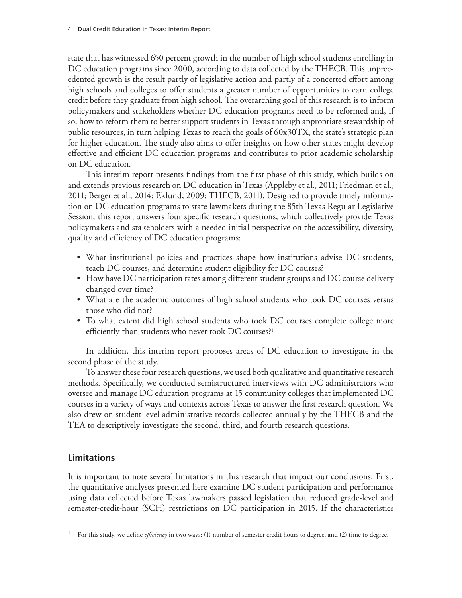state that has witnessed 650 percent growth in the number of high school students enrolling in DC education programs since 2000, according to data collected by the THECB. This unprecedented growth is the result partly of legislative action and partly of a concerted effort among high schools and colleges to offer students a greater number of opportunities to earn college credit before they graduate from high school. The overarching goal of this research is to inform policymakers and stakeholders whether DC education programs need to be reformed and, if so, how to reform them to better support students in Texas through appropriate stewardship of public resources, in turn helping Texas to reach the goals of 60x30TX, the state's strategic plan for higher education. The study also aims to offer insights on how other states might develop effective and efficient DC education programs and contributes to prior academic scholarship on DC education.

This interim report presents findings from the first phase of this study, which builds on and extends previous research on DC education in Texas (Appleby et al., 2011; Friedman et al., 2011; Berger et al., 2014; Eklund, 2009; THECB, 2011). Designed to provide timely information on DC education programs to state lawmakers during the 85th Texas Regular Legislative Session, this report answers four specific research questions, which collectively provide Texas policymakers and stakeholders with a needed initial perspective on the accessibility, diversity, quality and efficiency of DC education programs:

- What institutional policies and practices shape how institutions advise DC students, teach DC courses, and determine student eligibility for DC courses?
- How have DC participation rates among different student groups and DC course delivery changed over time?
- What are the academic outcomes of high school students who took DC courses versus those who did not?
- To what extent did high school students who took DC courses complete college more efficiently than students who never took DC courses?1

In addition, this interim report proposes areas of DC education to investigate in the second phase of the study.

To answer these four research questions, we used both qualitative and quantitative research methods. Specifically, we conducted semistructured interviews with DC administrators who oversee and manage DC education programs at 15 community colleges that implemented DC courses in a variety of ways and contexts across Texas to answer the first research question. We also drew on student-level administrative records collected annually by the THECB and the TEA to descriptively investigate the second, third, and fourth research questions.

# **Limitations**

It is important to note several limitations in this research that impact our conclusions. First, the quantitative analyses presented here examine DC student participation and performance using data collected before Texas lawmakers passed legislation that reduced grade-level and semester-credit-hour (SCH) restrictions on DC participation in 2015. If the characteristics

<sup>1</sup> For this study, we define *efficiency* in two ways: (1) number of semester credit hours to degree, and (2) time to degree.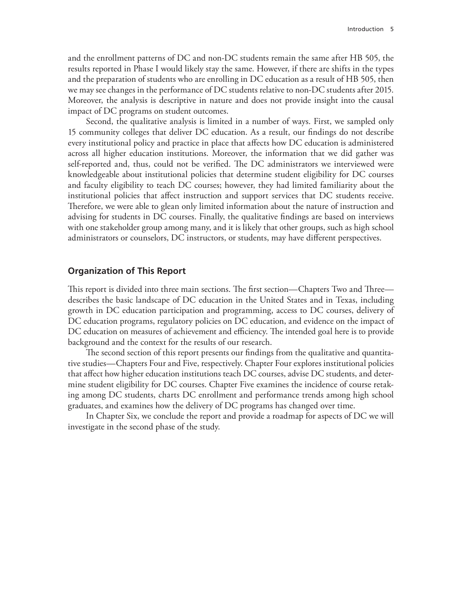and the enrollment patterns of DC and non-DC students remain the same after HB 505, the results reported in Phase I would likely stay the same. However, if there are shifts in the types and the preparation of students who are enrolling in DC education as a result of HB 505, then we may see changes in the performance of DC students relative to non-DC students after 2015. Moreover, the analysis is descriptive in nature and does not provide insight into the causal impact of DC programs on student outcomes.

Second, the qualitative analysis is limited in a number of ways. First, we sampled only 15 community colleges that deliver DC education. As a result, our findings do not describe every institutional policy and practice in place that affects how DC education is administered across all higher education institutions. Moreover, the information that we did gather was self-reported and, thus, could not be verified. The DC administrators we interviewed were knowledgeable about institutional policies that determine student eligibility for DC courses and faculty eligibility to teach DC courses; however, they had limited familiarity about the institutional policies that affect instruction and support services that DC students receive. Therefore, we were able to glean only limited information about the nature of instruction and advising for students in DC courses. Finally, the qualitative findings are based on interviews with one stakeholder group among many, and it is likely that other groups, such as high school administrators or counselors, DC instructors, or students, may have different perspectives.

#### **Organization of This Report**

This report is divided into three main sections. The first section—Chapters Two and Three describes the basic landscape of DC education in the United States and in Texas, including growth in DC education participation and programming, access to DC courses, delivery of DC education programs, regulatory policies on DC education, and evidence on the impact of DC education on measures of achievement and efficiency. The intended goal here is to provide background and the context for the results of our research.

The second section of this report presents our findings from the qualitative and quantitative studies—Chapters Four and Five, respectively. Chapter Four explores institutional policies that affect how higher education institutions teach DC courses, advise DC students, and determine student eligibility for DC courses. Chapter Five examines the incidence of course retaking among DC students, charts DC enrollment and performance trends among high school graduates, and examines how the delivery of DC programs has changed over time.

In Chapter Six, we conclude the report and provide a roadmap for aspects of DC we will investigate in the second phase of the study.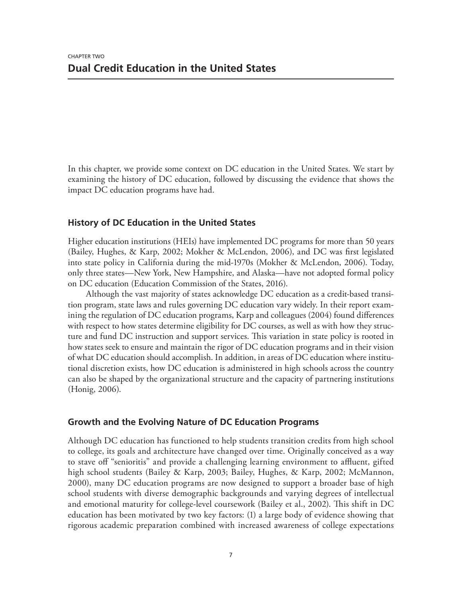In this chapter, we provide some context on DC education in the United States. We start by examining the history of DC education, followed by discussing the evidence that shows the impact DC education programs have had.

# **History of DC Education in the United States**

Higher education institutions (HEIs) have implemented DC programs for more than 50 years (Bailey, Hughes, & Karp, 2002; Mokher & McLendon, 2006), and DC was first legislated into state policy in California during the mid-1970s (Mokher & McLendon, 2006). Today, only three states—New York, New Hampshire, and Alaska—have not adopted formal policy on DC education (Education Commission of the States, 2016).

Although the vast majority of states acknowledge DC education as a credit-based transition program, state laws and rules governing DC education vary widely. In their report examining the regulation of DC education programs, Karp and colleagues (2004) found differences with respect to how states determine eligibility for DC courses, as well as with how they structure and fund DC instruction and support services. This variation in state policy is rooted in how states seek to ensure and maintain the rigor of DC education programs and in their vision of what DC education should accomplish. In addition, in areas of DC education where institutional discretion exists, how DC education is administered in high schools across the country can also be shaped by the organizational structure and the capacity of partnering institutions (Honig, 2006).

# **Growth and the Evolving Nature of DC Education Programs**

Although DC education has functioned to help students transition credits from high school to college, its goals and architecture have changed over time. Originally conceived as a way to stave off "senioritis" and provide a challenging learning environment to affluent, gifted high school students (Bailey & Karp, 2003; Bailey, Hughes, & Karp, 2002; McMannon, 2000), many DC education programs are now designed to support a broader base of high school students with diverse demographic backgrounds and varying degrees of intellectual and emotional maturity for college-level coursework (Bailey et al., 2002). This shift in DC education has been motivated by two key factors: (1) a large body of evidence showing that rigorous academic preparation combined with increased awareness of college expectations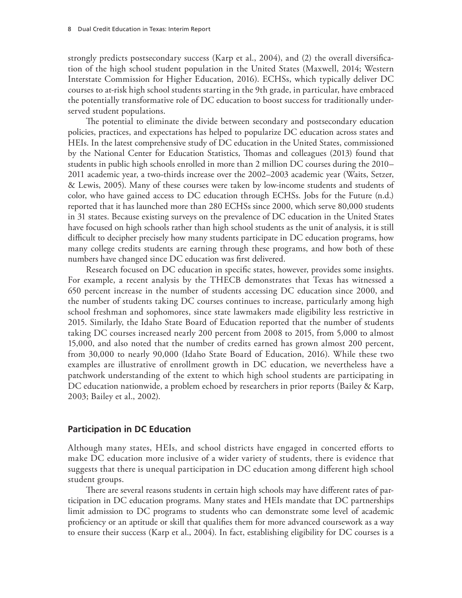strongly predicts postsecondary success (Karp et al., 2004), and (2) the overall diversification of the high school student population in the United States (Maxwell, 2014; Western Interstate Commission for Higher Education, 2016). ECHSs, which typically deliver DC courses to at-risk high school students starting in the 9th grade, in particular, have embraced the potentially transformative role of DC education to boost success for traditionally underserved student populations.

The potential to eliminate the divide between secondary and postsecondary education policies, practices, and expectations has helped to popularize DC education across states and HEIs. In the latest comprehensive study of DC education in the United States, commissioned by the National Center for Education Statistics, Thomas and colleagues (2013) found that students in public high schools enrolled in more than 2 million DC courses during the 2010– 2011 academic year, a two-thirds increase over the 2002–2003 academic year (Waits, Setzer, & Lewis, 2005). Many of these courses were taken by low-income students and students of color, who have gained access to DC education through ECHSs. Jobs for the Future (n.d.) reported that it has launched more than 280 ECHSs since 2000, which serve 80,000 students in 31 states. Because existing surveys on the prevalence of DC education in the United States have focused on high schools rather than high school students as the unit of analysis, it is still difficult to decipher precisely how many students participate in DC education programs, how many college credits students are earning through these programs, and how both of these numbers have changed since DC education was first delivered.

Research focused on DC education in specific states, however, provides some insights. For example, a recent analysis by the THECB demonstrates that Texas has witnessed a 650 percent increase in the number of students accessing DC education since 2000, and the number of students taking DC courses continues to increase, particularly among high school freshman and sophomores, since state lawmakers made eligibility less restrictive in 2015. Similarly, the Idaho State Board of Education reported that the number of students taking DC courses increased nearly 200 percent from 2008 to 2015, from 5,000 to almost 15,000, and also noted that the number of credits earned has grown almost 200 percent, from 30,000 to nearly 90,000 (Idaho State Board of Education, 2016). While these two examples are illustrative of enrollment growth in DC education, we nevertheless have a patchwork understanding of the extent to which high school students are participating in DC education nationwide, a problem echoed by researchers in prior reports (Bailey & Karp, 2003; Bailey et al., 2002).

## **Participation in DC Education**

Although many states, HEIs, and school districts have engaged in concerted efforts to make DC education more inclusive of a wider variety of students, there is evidence that suggests that there is unequal participation in DC education among different high school student groups.

There are several reasons students in certain high schools may have different rates of participation in DC education programs. Many states and HEIs mandate that DC partnerships limit admission to DC programs to students who can demonstrate some level of academic proficiency or an aptitude or skill that qualifies them for more advanced coursework as a way to ensure their success (Karp et al., 2004). In fact, establishing eligibility for DC courses is a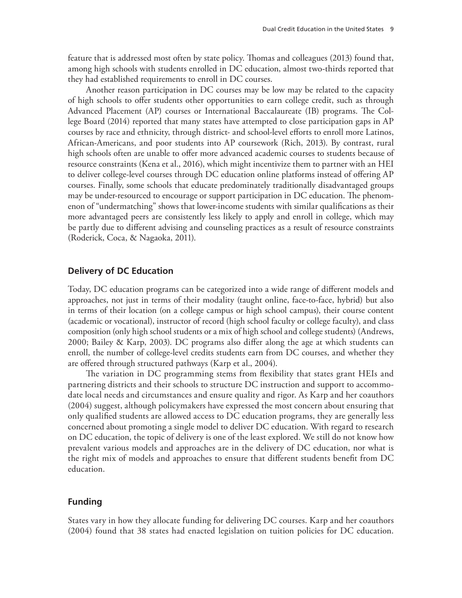feature that is addressed most often by state policy. Thomas and colleagues (2013) found that, among high schools with students enrolled in DC education, almost two-thirds reported that they had established requirements to enroll in DC courses.

Another reason participation in DC courses may be low may be related to the capacity of high schools to offer students other opportunities to earn college credit, such as through Advanced Placement (AP) courses or International Baccalaureate (IB) programs. The College Board (2014) reported that many states have attempted to close participation gaps in AP courses by race and ethnicity, through district- and school-level efforts to enroll more Latinos, African-Americans, and poor students into AP coursework (Rich, 2013). By contrast, rural high schools often are unable to offer more advanced academic courses to students because of resource constraints (Kena et al., 2016), which might incentivize them to partner with an HEI to deliver college-level courses through DC education online platforms instead of offering AP courses. Finally, some schools that educate predominately traditionally disadvantaged groups may be under-resourced to encourage or support participation in DC education. The phenomenon of "undermatching" shows that lower-income students with similar qualifications as their more advantaged peers are consistently less likely to apply and enroll in college, which may be partly due to different advising and counseling practices as a result of resource constraints (Roderick, Coca, & Nagaoka, 2011).

#### **Delivery of DC Education**

Today, DC education programs can be categorized into a wide range of different models and approaches, not just in terms of their modality (taught online, face-to-face, hybrid) but also in terms of their location (on a college campus or high school campus), their course content (academic or vocational), instructor of record (high school faculty or college faculty), and class composition (only high school students or a mix of high school and college students) (Andrews, 2000; Bailey & Karp, 2003). DC programs also differ along the age at which students can enroll, the number of college-level credits students earn from DC courses, and whether they are offered through structured pathways (Karp et al., 2004).

The variation in DC programming stems from flexibility that states grant HEIs and partnering districts and their schools to structure DC instruction and support to accommodate local needs and circumstances and ensure quality and rigor. As Karp and her coauthors (2004) suggest, although policymakers have expressed the most concern about ensuring that only qualified students are allowed access to DC education programs, they are generally less concerned about promoting a single model to deliver DC education. With regard to research on DC education, the topic of delivery is one of the least explored. We still do not know how prevalent various models and approaches are in the delivery of DC education, nor what is the right mix of models and approaches to ensure that different students benefit from DC education.

# **Funding**

States vary in how they allocate funding for delivering DC courses. Karp and her coauthors (2004) found that 38 states had enacted legislation on tuition policies for DC education.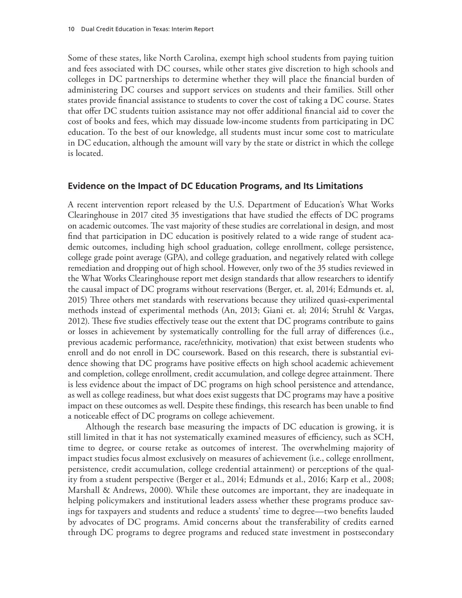Some of these states, like North Carolina, exempt high school students from paying tuition and fees associated with DC courses, while other states give discretion to high schools and colleges in DC partnerships to determine whether they will place the financial burden of administering DC courses and support services on students and their families. Still other states provide financial assistance to students to cover the cost of taking a DC course. States that offer DC students tuition assistance may not offer additional financial aid to cover the cost of books and fees, which may dissuade low-income students from participating in DC education. To the best of our knowledge, all students must incur some cost to matriculate in DC education, although the amount will vary by the state or district in which the college is located.

#### **Evidence on the Impact of DC Education Programs, and Its Limitations**

A recent intervention report released by the U.S. Department of Education's What Works Clearinghouse in 2017 cited 35 investigations that have studied the effects of DC programs on academic outcomes. The vast majority of these studies are correlational in design, and most find that participation in DC education is positively related to a wide range of student academic outcomes, including high school graduation, college enrollment, college persistence, college grade point average (GPA), and college graduation, and negatively related with college remediation and dropping out of high school. However, only two of the 35 studies reviewed in the What Works Clearinghouse report met design standards that allow researchers to identify the causal impact of DC programs without reservations (Berger, et. al, 2014; Edmunds et. al, 2015) Three others met standards with reservations because they utilized quasi-experimental methods instead of experimental methods (An, 2013; Giani et. al; 2014; Struhl & Vargas, 2012). These five studies effectively tease out the extent that DC programs contribute to gains or losses in achievement by systematically controlling for the full array of differences (i.e., previous academic performance, race/ethnicity, motivation) that exist between students who enroll and do not enroll in DC coursework. Based on this research, there is substantial evidence showing that DC programs have positive effects on high school academic achievement and completion, college enrollment, credit accumulation, and college degree attainment. There is less evidence about the impact of DC programs on high school persistence and attendance, as well as college readiness, but what does exist suggests that DC programs may have a positive impact on these outcomes as well. Despite these findings, this research has been unable to find a noticeable effect of DC programs on college achievement.

Although the research base measuring the impacts of DC education is growing, it is still limited in that it has not systematically examined measures of efficiency, such as SCH, time to degree, or course retake as outcomes of interest. The overwhelming majority of impact studies focus almost exclusively on measures of achievement (i.e., college enrollment, persistence, credit accumulation, college credential attainment) or perceptions of the quality from a student perspective (Berger et al., 2014; Edmunds et al., 2016; Karp et al., 2008; Marshall & Andrews, 2000). While these outcomes are important, they are inadequate in helping policymakers and institutional leaders assess whether these programs produce savings for taxpayers and students and reduce a students' time to degree—two benefits lauded by advocates of DC programs. Amid concerns about the transferability of credits earned through DC programs to degree programs and reduced state investment in postsecondary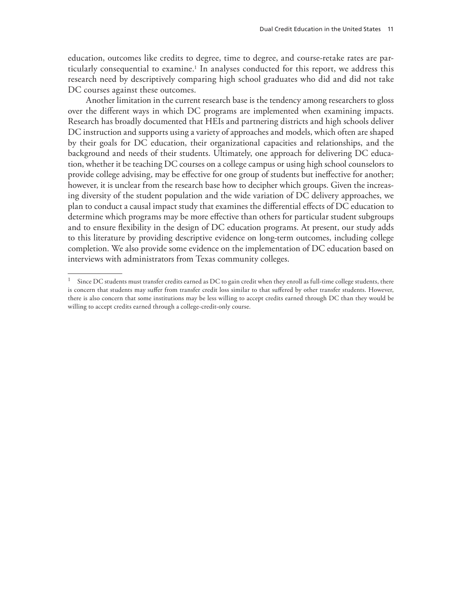education, outcomes like credits to degree, time to degree, and course-retake rates are particularly consequential to examine.1 In analyses conducted for this report, we address this research need by descriptively comparing high school graduates who did and did not take DC courses against these outcomes.

Another limitation in the current research base is the tendency among researchers to gloss over the different ways in which DC programs are implemented when examining impacts. Research has broadly documented that HEIs and partnering districts and high schools deliver DC instruction and supports using a variety of approaches and models, which often are shaped by their goals for DC education, their organizational capacities and relationships, and the background and needs of their students. Ultimately, one approach for delivering DC education, whether it be teaching DC courses on a college campus or using high school counselors to provide college advising, may be effective for one group of students but ineffective for another; however, it is unclear from the research base how to decipher which groups. Given the increasing diversity of the student population and the wide variation of DC delivery approaches, we plan to conduct a causal impact study that examines the differential effects of DC education to determine which programs may be more effective than others for particular student subgroups and to ensure flexibility in the design of DC education programs. At present, our study adds to this literature by providing descriptive evidence on long-term outcomes, including college completion. We also provide some evidence on the implementation of DC education based on interviews with administrators from Texas community colleges.

 $1$  Since DC students must transfer credits earned as DC to gain credit when they enroll as full-time college students, there is concern that students may suffer from transfer credit loss similar to that suffered by other transfer students. However, there is also concern that some institutions may be less willing to accept credits earned through DC than they would be willing to accept credits earned through a college-credit-only course.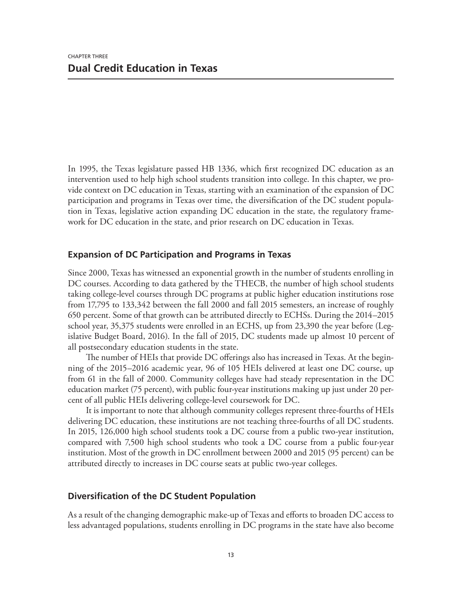In 1995, the Texas legislature passed HB 1336, which first recognized DC education as an intervention used to help high school students transition into college. In this chapter, we provide context on DC education in Texas, starting with an examination of the expansion of DC participation and programs in Texas over time, the diversification of the DC student population in Texas, legislative action expanding DC education in the state, the regulatory framework for DC education in the state, and prior research on DC education in Texas.

# **Expansion of DC Participation and Programs in Texas**

Since 2000, Texas has witnessed an exponential growth in the number of students enrolling in DC courses. According to data gathered by the THECB, the number of high school students taking college-level courses through DC programs at public higher education institutions rose from 17,795 to 133,342 between the fall 2000 and fall 2015 semesters, an increase of roughly 650 percent. Some of that growth can be attributed directly to ECHSs. During the 2014–2015 school year, 35,375 students were enrolled in an ECHS, up from 23,390 the year before (Legislative Budget Board, 2016). In the fall of 2015, DC students made up almost 10 percent of all postsecondary education students in the state.

The number of HEIs that provide DC offerings also has increased in Texas. At the beginning of the 2015–2016 academic year, 96 of 105 HEIs delivered at least one DC course, up from 61 in the fall of 2000. Community colleges have had steady representation in the DC education market (75 percent), with public four-year institutions making up just under 20 percent of all public HEIs delivering college-level coursework for DC.

It is important to note that although community colleges represent three-fourths of HEIs delivering DC education, these institutions are not teaching three-fourths of all DC students. In 2015, 126,000 high school students took a DC course from a public two-year institution, compared with 7,500 high school students who took a DC course from a public four-year institution. Most of the growth in DC enrollment between 2000 and 2015 (95 percent) can be attributed directly to increases in DC course seats at public two-year colleges.

## **Diversification of the DC Student Population**

As a result of the changing demographic make-up of Texas and efforts to broaden DC access to less advantaged populations, students enrolling in DC programs in the state have also become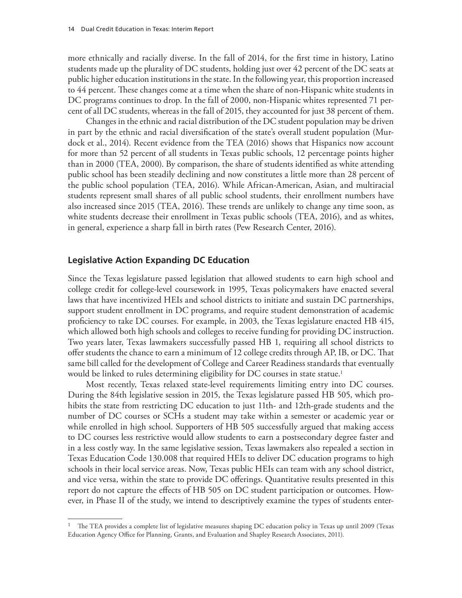more ethnically and racially diverse. In the fall of 2014, for the first time in history, Latino students made up the plurality of DC students, holding just over 42 percent of the DC seats at public higher education institutions in the state. In the following year, this proportion increased to 44 percent. These changes come at a time when the share of non-Hispanic white students in DC programs continues to drop. In the fall of 2000, non-Hispanic whites represented 71 percent of all DC students, whereas in the fall of 2015, they accounted for just 38 percent of them.

Changes in the ethnic and racial distribution of the DC student population may be driven in part by the ethnic and racial diversification of the state's overall student population (Murdock et al., 2014). Recent evidence from the TEA (2016) shows that Hispanics now account for more than 52 percent of all students in Texas public schools, 12 percentage points higher than in 2000 (TEA, 2000). By comparison, the share of students identified as white attending public school has been steadily declining and now constitutes a little more than 28 percent of the public school population (TEA, 2016). While African-American, Asian, and multiracial students represent small shares of all public school students, their enrollment numbers have also increased since 2015 (TEA, 2016). These trends are unlikely to change any time soon, as white students decrease their enrollment in Texas public schools (TEA, 2016), and as whites, in general, experience a sharp fall in birth rates (Pew Research Center, 2016).

## **Legislative Action Expanding DC Education**

Since the Texas legislature passed legislation that allowed students to earn high school and college credit for college-level coursework in 1995, Texas policymakers have enacted several laws that have incentivized HEIs and school districts to initiate and sustain DC partnerships, support student enrollment in DC programs, and require student demonstration of academic proficiency to take DC courses. For example, in 2003, the Texas legislature enacted HB 415, which allowed both high schools and colleges to receive funding for providing DC instruction. Two years later, Texas lawmakers successfully passed HB 1, requiring all school districts to offer students the chance to earn a minimum of 12 college credits through AP, IB, or DC. That same bill called for the development of College and Career Readiness standards that eventually would be linked to rules determining eligibility for DC courses in state statue.<sup>1</sup>

Most recently, Texas relaxed state-level requirements limiting entry into DC courses. During the 84th legislative session in 2015, the Texas legislature passed HB 505, which prohibits the state from restricting DC education to just 11th- and 12th-grade students and the number of DC courses or SCHs a student may take within a semester or academic year or while enrolled in high school. Supporters of HB 505 successfully argued that making access to DC courses less restrictive would allow students to earn a postsecondary degree faster and in a less costly way. In the same legislative session, Texas lawmakers also repealed a section in Texas Education Code 130.008 that required HEIs to deliver DC education programs to high schools in their local service areas. Now, Texas public HEIs can team with any school district, and vice versa, within the state to provide DC offerings. Quantitative results presented in this report do not capture the effects of HB 505 on DC student participation or outcomes. However, in Phase II of the study, we intend to descriptively examine the types of students enter-

<sup>&</sup>lt;sup>1</sup> The TEA provides a complete list of legislative measures shaping DC education policy in Texas up until 2009 (Texas Education Agency Office for Planning, Grants, and Evaluation and Shapley Research Associates, 2011).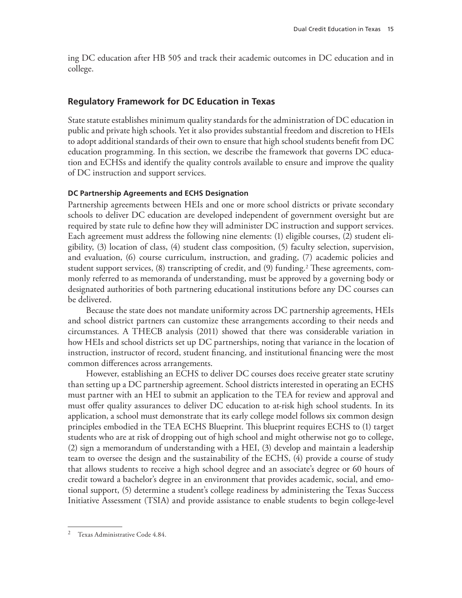ing DC education after HB 505 and track their academic outcomes in DC education and in college.

# **Regulatory Framework for DC Education in Texas**

State statute establishes minimum quality standards for the administration of DC education in public and private high schools. Yet it also provides substantial freedom and discretion to HEIs to adopt additional standards of their own to ensure that high school students benefit from DC education programming. In this section, we describe the framework that governs DC education and ECHSs and identify the quality controls available to ensure and improve the quality of DC instruction and support services.

#### **DC Partnership Agreements and ECHS Designation**

Partnership agreements between HEIs and one or more school districts or private secondary schools to deliver DC education are developed independent of government oversight but are required by state rule to define how they will administer DC instruction and support services. Each agreement must address the following nine elements: (1) eligible courses, (2) student eligibility, (3) location of class, (4) student class composition, (5) faculty selection, supervision, and evaluation, (6) course curriculum, instruction, and grading, (7) academic policies and student support services, (8) transcripting of credit, and (9) funding.2 These agreements, commonly referred to as memoranda of understanding, must be approved by a governing body or designated authorities of both partnering educational institutions before any DC courses can be delivered.

Because the state does not mandate uniformity across DC partnership agreements, HEIs and school district partners can customize these arrangements according to their needs and circumstances. A THECB analysis (2011) showed that there was considerable variation in how HEIs and school districts set up DC partnerships, noting that variance in the location of instruction, instructor of record, student financing, and institutional financing were the most common differences across arrangements.

However, establishing an ECHS to deliver DC courses does receive greater state scrutiny than setting up a DC partnership agreement. School districts interested in operating an ECHS must partner with an HEI to submit an application to the TEA for review and approval and must offer quality assurances to deliver DC education to at-risk high school students. In its application, a school must demonstrate that its early college model follows six common design principles embodied in the TEA ECHS Blueprint. This blueprint requires ECHS to (1) target students who are at risk of dropping out of high school and might otherwise not go to college, (2) sign a memorandum of understanding with a HEI, (3) develop and maintain a leadership team to oversee the design and the sustainability of the ECHS, (4) provide a course of study that allows students to receive a high school degree and an associate's degree or 60 hours of credit toward a bachelor's degree in an environment that provides academic, social, and emotional support, (5) determine a student's college readiness by administering the Texas Success Initiative Assessment (TSIA) and provide assistance to enable students to begin college-level

<sup>2</sup> Texas Administrative Code 4.84.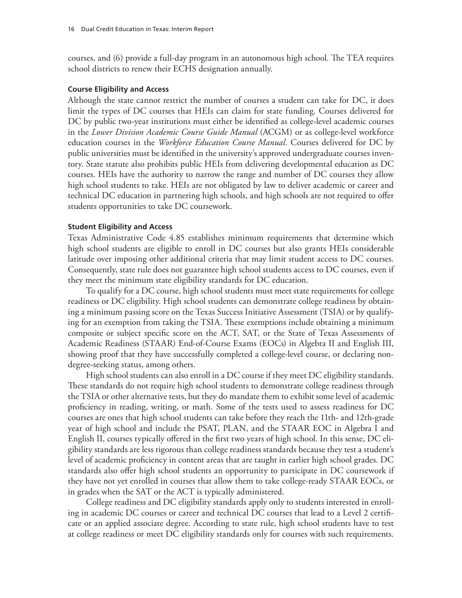courses, and (6) provide a full-day program in an autonomous high school. The TEA requires school districts to renew their ECHS designation annually.

#### **Course Eligibility and Access**

Although the state cannot restrict the number of courses a student can take for DC, it does limit the types of DC courses that HEIs can claim for state funding. Courses delivered for DC by public two-year institutions must either be identified as college-level academic courses in the *Lower Division Academic Course Guide Manual* (ACGM) or as college-level workforce education courses in the *Workforce Education Course Manual*. Courses delivered for DC by public universities must be identified in the university's approved undergraduate courses inventory. State statute also prohibits public HEIs from delivering developmental education as DC courses. HEIs have the authority to narrow the range and number of DC courses they allow high school students to take. HEIs are not obligated by law to deliver academic or career and technical DC education in partnering high schools, and high schools are not required to offer students opportunities to take DC coursework.

#### **Student Eligibility and Access**

Texas Administrative Code 4.85 establishes minimum requirements that determine which high school students are eligible to enroll in DC courses but also grants HEIs considerable latitude over imposing other additional criteria that may limit student access to DC courses. Consequently, state rule does not guarantee high school students access to DC courses, even if they meet the minimum state eligibility standards for DC education.

To qualify for a DC course, high school students must meet state requirements for college readiness or DC eligibility. High school students can demonstrate college readiness by obtaining a minimum passing score on the Texas Success Initiative Assessment (TSIA) or by qualifying for an exemption from taking the TSIA. These exemptions include obtaining a minimum composite or subject specific score on the ACT, SAT, or the State of Texas Assessments of Academic Readiness (STAAR) End-of-Course Exams (EOCs) in Algebra II and English III, showing proof that they have successfully completed a college-level course, or declaring nondegree-seeking status, among others.

High school students can also enroll in a DC course if they meet DC eligibility standards. These standards do not require high school students to demonstrate college readiness through the TSIA or other alternative tests, but they do mandate them to exhibit some level of academic proficiency in reading, writing, or math. Some of the tests used to assess readiness for DC courses are ones that high school students can take before they reach the 11th- and 12th-grade year of high school and include the PSAT, PLAN, and the STAAR EOC in Algebra I and English II, courses typically offered in the first two years of high school. In this sense, DC eligibility standards are less rigorous than college readiness standards because they test a student's level of academic proficiency in content areas that are taught in earlier high school grades. DC standards also offer high school students an opportunity to participate in DC coursework if they have not yet enrolled in courses that allow them to take college-ready STAAR EOCs, or in grades when the SAT or the ACT is typically administered.

College readiness and DC eligibility standards apply only to students interested in enrolling in academic DC courses or career and technical DC courses that lead to a Level 2 certificate or an applied associate degree. According to state rule, high school students have to test at college readiness or meet DC eligibility standards only for courses with such requirements.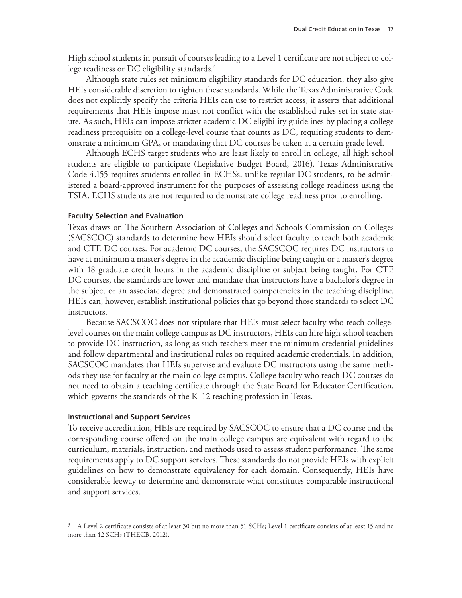High school students in pursuit of courses leading to a Level 1 certificate are not subject to college readiness or DC eligibility standards.3

Although state rules set minimum eligibility standards for DC education, they also give HEIs considerable discretion to tighten these standards. While the Texas Administrative Code does not explicitly specify the criteria HEIs can use to restrict access, it asserts that additional requirements that HEIs impose must not conflict with the established rules set in state statute. As such, HEIs can impose stricter academic DC eligibility guidelines by placing a college readiness prerequisite on a college-level course that counts as DC, requiring students to demonstrate a minimum GPA, or mandating that DC courses be taken at a certain grade level.

Although ECHS target students who are least likely to enroll in college, all high school students are eligible to participate (Legislative Budget Board, 2016). Texas Administrative Code 4.155 requires students enrolled in ECHSs, unlike regular DC students, to be administered a board-approved instrument for the purposes of assessing college readiness using the TSIA. ECHS students are not required to demonstrate college readiness prior to enrolling.

#### **Faculty Selection and Evaluation**

Texas draws on The Southern Association of Colleges and Schools Commission on Colleges (SACSCOC) standards to determine how HEIs should select faculty to teach both academic and CTE DC courses. For academic DC courses, the SACSCOC requires DC instructors to have at minimum a master's degree in the academic discipline being taught or a master's degree with 18 graduate credit hours in the academic discipline or subject being taught. For CTE DC courses, the standards are lower and mandate that instructors have a bachelor's degree in the subject or an associate degree and demonstrated competencies in the teaching discipline. HEIs can, however, establish institutional policies that go beyond those standards to select DC instructors.

Because SACSCOC does not stipulate that HEIs must select faculty who teach collegelevel courses on the main college campus as DC instructors, HEIs can hire high school teachers to provide DC instruction, as long as such teachers meet the minimum credential guidelines and follow departmental and institutional rules on required academic credentials. In addition, SACSCOC mandates that HEIs supervise and evaluate DC instructors using the same methods they use for faculty at the main college campus. College faculty who teach DC courses do not need to obtain a teaching certificate through the State Board for Educator Certification, which governs the standards of the K–12 teaching profession in Texas.

#### **Instructional and Support Services**

To receive accreditation, HEIs are required by SACSCOC to ensure that a DC course and the corresponding course offered on the main college campus are equivalent with regard to the curriculum, materials, instruction, and methods used to assess student performance. The same requirements apply to DC support services. These standards do not provide HEIs with explicit guidelines on how to demonstrate equivalency for each domain. Consequently, HEIs have considerable leeway to determine and demonstrate what constitutes comparable instructional and support services.

 $3$  A Level 2 certificate consists of at least 30 but no more than 51 SCHs; Level 1 certificate consists of at least 15 and no more than 42 SCHs (THECB, 2012).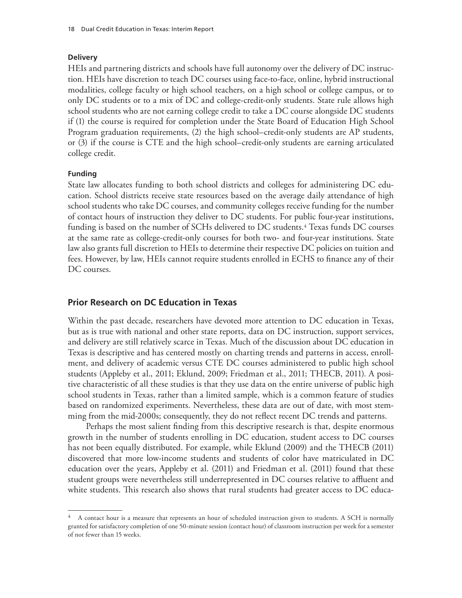#### **Delivery**

HEIs and partnering districts and schools have full autonomy over the delivery of DC instruction. HEIs have discretion to teach DC courses using face-to-face, online, hybrid instructional modalities, college faculty or high school teachers, on a high school or college campus, or to only DC students or to a mix of DC and college-credit-only students. State rule allows high school students who are not earning college credit to take a DC course alongside DC students if (1) the course is required for completion under the State Board of Education High School Program graduation requirements, (2) the high school–credit-only students are AP students, or (3) if the course is CTE and the high school–credit-only students are earning articulated college credit.

#### **Funding**

State law allocates funding to both school districts and colleges for administering DC education. School districts receive state resources based on the average daily attendance of high school students who take DC courses, and community colleges receive funding for the number of contact hours of instruction they deliver to DC students. For public four-year institutions, funding is based on the number of SCHs delivered to DC students.<sup>4</sup> Texas funds DC courses at the same rate as college-credit-only courses for both two- and four-year institutions. State law also grants full discretion to HEIs to determine their respective DC policies on tuition and fees. However, by law, HEIs cannot require students enrolled in ECHS to finance any of their DC courses.

#### **Prior Research on DC Education in Texas**

Within the past decade, researchers have devoted more attention to DC education in Texas, but as is true with national and other state reports, data on DC instruction, support services, and delivery are still relatively scarce in Texas. Much of the discussion about DC education in Texas is descriptive and has centered mostly on charting trends and patterns in access, enrollment, and delivery of academic versus CTE DC courses administered to public high school students (Appleby et al., 2011; Eklund, 2009; Friedman et al., 2011; THECB, 2011). A positive characteristic of all these studies is that they use data on the entire universe of public high school students in Texas, rather than a limited sample, which is a common feature of studies based on randomized experiments. Nevertheless, these data are out of date, with most stemming from the mid-2000s; consequently, they do not reflect recent DC trends and patterns.

Perhaps the most salient finding from this descriptive research is that, despite enormous growth in the number of students enrolling in DC education, student access to DC courses has not been equally distributed. For example, while Eklund (2009) and the THECB (2011) discovered that more low-income students and students of color have matriculated in DC education over the years, Appleby et al. (2011) and Friedman et al. (2011) found that these student groups were nevertheless still underrepresented in DC courses relative to affluent and white students. This research also shows that rural students had greater access to DC educa-

<sup>4</sup> A contact hour is a measure that represents an hour of scheduled instruction given to students. A SCH is normally granted for satisfactory completion of one 50-minute session (contact hour) of classroom instruction per week for a semester of not fewer than 15 weeks.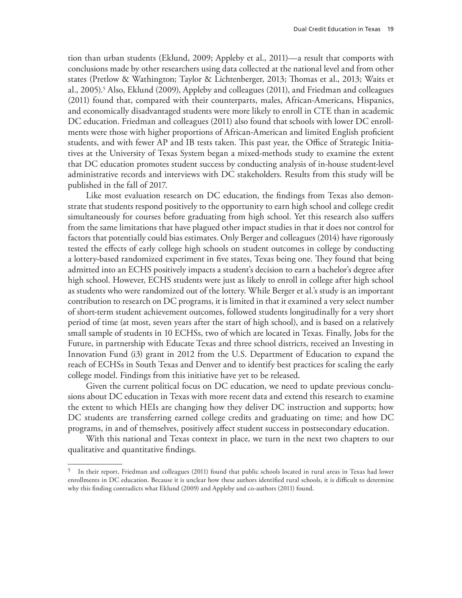tion than urban students (Eklund, 2009; Appleby et al., 2011)—a result that comports with conclusions made by other researchers using data collected at the national level and from other states (Pretlow & Wathington; Taylor & Lichtenberger, 2013; Thomas et al., 2013; Waits et al., 2005).<sup>5</sup> Also, Eklund (2009), Appleby and colleagues (2011), and Friedman and colleagues (2011) found that, compared with their counterparts, males, African-Americans, Hispanics, and economically disadvantaged students were more likely to enroll in CTE than in academic DC education. Friedman and colleagues (2011) also found that schools with lower DC enrollments were those with higher proportions of African-American and limited English proficient students, and with fewer AP and IB tests taken. This past year, the Office of Strategic Initiatives at the University of Texas System began a mixed-methods study to examine the extent that DC education promotes student success by conducting analysis of in-house student-level administrative records and interviews with DC stakeholders. Results from this study will be published in the fall of 2017.

Like most evaluation research on DC education, the findings from Texas also demonstrate that students respond positively to the opportunity to earn high school and college credit simultaneously for courses before graduating from high school. Yet this research also suffers from the same limitations that have plagued other impact studies in that it does not control for factors that potentially could bias estimates. Only Berger and colleagues (2014) have rigorously tested the effects of early college high schools on student outcomes in college by conducting a lottery-based randomized experiment in five states, Texas being one. They found that being admitted into an ECHS positively impacts a student's decision to earn a bachelor's degree after high school. However, ECHS students were just as likely to enroll in college after high school as students who were randomized out of the lottery. While Berger et al.'s study is an important contribution to research on DC programs, it is limited in that it examined a very select number of short-term student achievement outcomes, followed students longitudinally for a very short period of time (at most, seven years after the start of high school), and is based on a relatively small sample of students in 10 ECHSs, two of which are located in Texas. Finally, Jobs for the Future, in partnership with Educate Texas and three school districts, received an Investing in Innovation Fund (i3) grant in 2012 from the U.S. Department of Education to expand the reach of ECHSs in South Texas and Denver and to identify best practices for scaling the early college model. Findings from this initiative have yet to be released.

Given the current political focus on DC education, we need to update previous conclusions about DC education in Texas with more recent data and extend this research to examine the extent to which HEIs are changing how they deliver DC instruction and supports; how DC students are transferring earned college credits and graduating on time; and how DC programs, in and of themselves, positively affect student success in postsecondary education.

With this national and Texas context in place, we turn in the next two chapters to our qualitative and quantitative findings.

<sup>&</sup>lt;sup>5</sup> In their report, Friedman and colleagues (2011) found that public schools located in rural areas in Texas had lower enrollments in DC education. Because it is unclear how these authors identified rural schools, it is difficult to determine why this finding contradicts what Eklund (2009) and Appleby and co-authors (2011) found.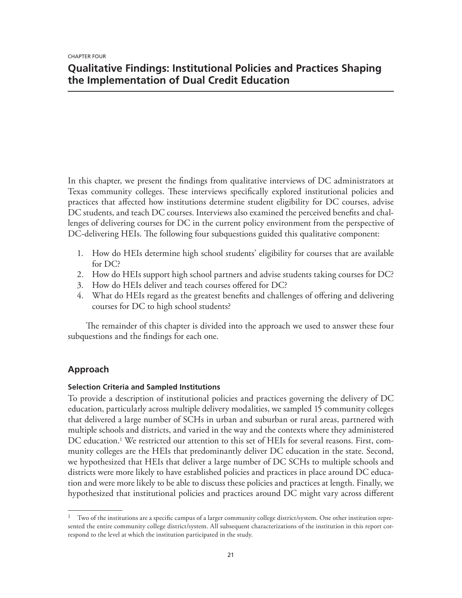# **Qualitative Findings: Institutional Policies and Practices Shaping the Implementation of Dual Credit Education**

In this chapter, we present the findings from qualitative interviews of DC administrators at Texas community colleges. These interviews specifically explored institutional policies and practices that affected how institutions determine student eligibility for DC courses, advise DC students, and teach DC courses. Interviews also examined the perceived benefits and challenges of delivering courses for DC in the current policy environment from the perspective of DC-delivering HEIs. The following four subquestions guided this qualitative component:

- 1. How do HEIs determine high school students' eligibility for courses that are available for DC?
- 2. How do HEIs support high school partners and advise students taking courses for DC?
- 3. How do HEIs deliver and teach courses offered for DC?
- 4. What do HEIs regard as the greatest benefits and challenges of offering and delivering courses for DC to high school students?

The remainder of this chapter is divided into the approach we used to answer these four subquestions and the findings for each one.

## **Approach**

### **Selection Criteria and Sampled Institutions**

To provide a description of institutional policies and practices governing the delivery of DC education, particularly across multiple delivery modalities, we sampled 15 community colleges that delivered a large number of SCHs in urban and suburban or rural areas, partnered with multiple schools and districts, and varied in the way and the contexts where they administered DC education.1 We restricted our attention to this set of HEIs for several reasons. First, community colleges are the HEIs that predominantly deliver DC education in the state. Second, we hypothesized that HEIs that deliver a large number of DC SCHs to multiple schools and districts were more likely to have established policies and practices in place around DC education and were more likely to be able to discuss these policies and practices at length. Finally, we hypothesized that institutional policies and practices around DC might vary across different

<sup>&</sup>lt;sup>1</sup> Two of the institutions are a specific campus of a larger community college district/system. One other institution represented the entire community college district/system. All subsequent characterizations of the institution in this report correspond to the level at which the institution participated in the study.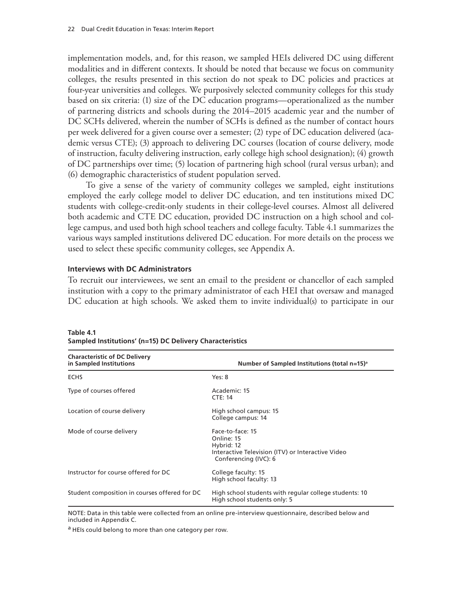implementation models, and, for this reason, we sampled HEIs delivered DC using different modalities and in different contexts. It should be noted that because we focus on community colleges, the results presented in this section do not speak to DC policies and practices at four-year universities and colleges. We purposively selected community colleges for this study based on six criteria: (1) size of the DC education programs—operationalized as the number of partnering districts and schools during the 2014–2015 academic year and the number of DC SCHs delivered, wherein the number of SCHs is defined as the number of contact hours per week delivered for a given course over a semester; (2) type of DC education delivered (academic versus CTE); (3) approach to delivering DC courses (location of course delivery, mode of instruction, faculty delivering instruction, early college high school designation); (4) growth of DC partnerships over time; (5) location of partnering high school (rural versus urban); and (6) demographic characteristics of student population served.

To give a sense of the variety of community colleges we sampled, eight institutions employed the early college model to deliver DC education, and ten institutions mixed DC students with college-credit-only students in their college-level courses. Almost all delivered both academic and CTE DC education, provided DC instruction on a high school and college campus, and used both high school teachers and college faculty. Table 4.1 summarizes the various ways sampled institutions delivered DC education. For more details on the process we used to select these specific community colleges, see Appendix A.

### **Interviews with DC Administrators**

To recruit our interviewees, we sent an email to the president or chancellor of each sampled institution with a copy to the primary administrator of each HEI that oversaw and managed DC education at high schools. We asked them to invite individual(s) to participate in our

| <b>Characteristic of DC Delivery</b><br>in Sampled Institutions | Number of Sampled Institutions (total n=15) <sup>a</sup>                                                                   |
|-----------------------------------------------------------------|----------------------------------------------------------------------------------------------------------------------------|
| <b>ECHS</b>                                                     | Yes: 8                                                                                                                     |
| Type of courses offered                                         | Academic: 15<br><b>CTE: 14</b>                                                                                             |
| Location of course delivery                                     | High school campus: 15<br>College campus: 14                                                                               |
| Mode of course delivery                                         | Face-to-face: 15<br>Online: 15<br>Hybrid: 12<br>Interactive Television (ITV) or Interactive Video<br>Conferencing (IVC): 6 |
| Instructor for course offered for DC                            | College faculty: 15<br>High school faculty: 13                                                                             |
| Student composition in courses offered for DC                   | High school students with regular college students: 10<br>High school students only: 5                                     |

**Table 4.1 Sampled Institutions' (n=15) DC Delivery Characteristics**

NOTE: Data in this table were collected from an online pre-interview questionnaire, described below and included in Appendix C.

a HEIs could belong to more than one category per row.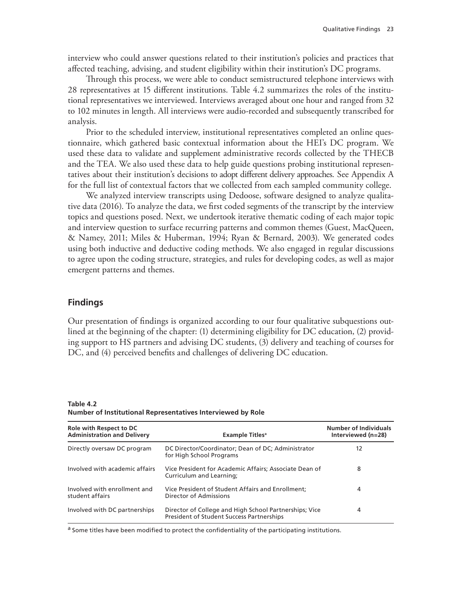interview who could answer questions related to their institution's policies and practices that affected teaching, advising, and student eligibility within their institution's DC programs.

Through this process, we were able to conduct semistructured telephone interviews with 28 representatives at 15 different institutions. Table 4.2 summarizes the roles of the institutional representatives we interviewed. Interviews averaged about one hour and ranged from 32 to 102 minutes in length. All interviews were audio-recorded and subsequently transcribed for analysis.

Prior to the scheduled interview, institutional representatives completed an online questionnaire, which gathered basic contextual information about the HEI's DC program. We used these data to validate and supplement administrative records collected by the THECB and the TEA. We also used these data to help guide questions probing institutional representatives about their institution's decisions to adopt different delivery approaches. See Appendix A for the full list of contextual factors that we collected from each sampled community college.

We analyzed interview transcripts using Dedoose, software designed to analyze qualitative data (2016). To analyze the data, we first coded segments of the transcript by the interview topics and questions posed. Next, we undertook iterative thematic coding of each major topic and interview question to surface recurring patterns and common themes (Guest, MacQueen, & Namey, 2011; Miles & Huberman, 1994; Ryan & Bernard, 2003). We generated codes using both inductive and deductive coding methods. We also engaged in regular discussions to agree upon the coding structure, strategies, and rules for developing codes, as well as major emergent patterns and themes.

### **Findings**

Our presentation of findings is organized according to our four qualitative subquestions outlined at the beginning of the chapter: (1) determining eligibility for DC education, (2) providing support to HS partners and advising DC students, (3) delivery and teaching of courses for DC, and (4) perceived benefits and challenges of delivering DC education.

**Table 4.2 Number of Institutional Representatives Interviewed by Role**

| <b>Role with Respect to DC</b><br><b>Administration and Delivery</b> | <b>Example Titles</b> <sup>a</sup>                                                                         | <b>Number of Individuals</b><br>Interviewed (n=28) |
|----------------------------------------------------------------------|------------------------------------------------------------------------------------------------------------|----------------------------------------------------|
| Directly oversaw DC program                                          | DC Director/Coordinator; Dean of DC; Administrator<br>for High School Programs                             | 12                                                 |
| Involved with academic affairs                                       | Vice President for Academic Affairs; Associate Dean of<br>Curriculum and Learning;                         | 8                                                  |
| Involved with enrollment and<br>student affairs                      | Vice President of Student Affairs and Enrollment;<br>Director of Admissions                                | 4                                                  |
| Involved with DC partnerships                                        | Director of College and High School Partnerships; Vice<br><b>President of Student Success Partnerships</b> | 4                                                  |

<sup>a</sup> Some titles have been modified to protect the confidentiality of the participating institutions.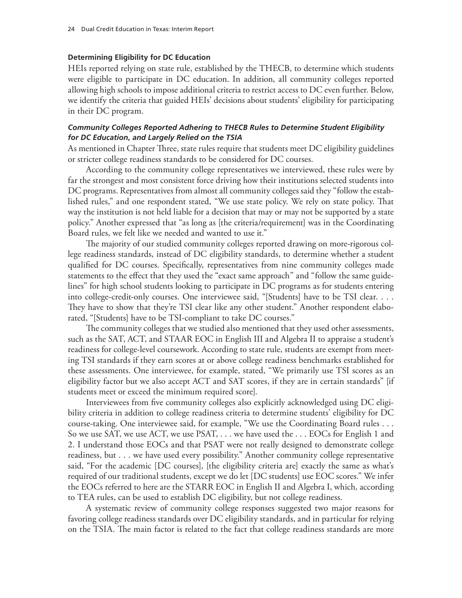### **Determining Eligibility for DC Education**

HEIs reported relying on state rule, established by the THECB, to determine which students were eligible to participate in DC education. In addition, all community colleges reported allowing high schools to impose additional criteria to restrict access to DC even further. Below, we identify the criteria that guided HEIs' decisions about students' eligibility for participating in their DC program.

### *Community Colleges Reported Adhering to THECB Rules to Determine Student Eligibility for DC Education, and Largely Relied on the TSIA*

As mentioned in Chapter Three, state rules require that students meet DC eligibility guidelines or stricter college readiness standards to be considered for DC courses.

According to the community college representatives we interviewed, these rules were by far the strongest and most consistent force driving how their institutions selected students into DC programs. Representatives from almost all community colleges said they "follow the established rules," and one respondent stated, "We use state policy. We rely on state policy. That way the institution is not held liable for a decision that may or may not be supported by a state policy." Another expressed that "as long as [the criteria/requirement] was in the Coordinating Board rules, we felt like we needed and wanted to use it."

The majority of our studied community colleges reported drawing on more-rigorous college readiness standards, instead of DC eligibility standards, to determine whether a student qualified for DC courses. Specifically, representatives from nine community colleges made statements to the effect that they used the "exact same approach" and "follow the same guidelines" for high school students looking to participate in DC programs as for students entering into college-credit-only courses. One interviewee said, "[Students] have to be TSI clear. . . . They have to show that they're TSI clear like any other student." Another respondent elaborated, "[Students] have to be TSI-compliant to take DC courses."

The community colleges that we studied also mentioned that they used other assessments, such as the SAT, ACT, and STAAR EOC in English III and Algebra II to appraise a student's readiness for college-level coursework. According to state rule, students are exempt from meeting TSI standards if they earn scores at or above college readiness benchmarks established for these assessments. One interviewee, for example, stated, "We primarily use TSI scores as an eligibility factor but we also accept ACT and SAT scores, if they are in certain standards" [if students meet or exceed the minimum required score].

Interviewees from five community colleges also explicitly acknowledged using DC eligibility criteria in addition to college readiness criteria to determine students' eligibility for DC course-taking. One interviewee said, for example, "We use the Coordinating Board rules . . . So we use SAT, we use ACT, we use PSAT, . . . we have used the . . . EOCs for English 1 and 2. I understand those EOCs and that PSAT were not really designed to demonstrate college readiness, but . . . we have used every possibility." Another community college representative said, "For the academic [DC courses], [the eligibility criteria are] exactly the same as what's required of our traditional students, except we do let [DC students] use EOC scores." We infer the EOCs referred to here are the STARR EOC in English II and Algebra I, which, according to TEA rules, can be used to establish DC eligibility, but not college readiness.

A systematic review of community college responses suggested two major reasons for favoring college readiness standards over DC eligibility standards, and in particular for relying on the TSIA. The main factor is related to the fact that college readiness standards are more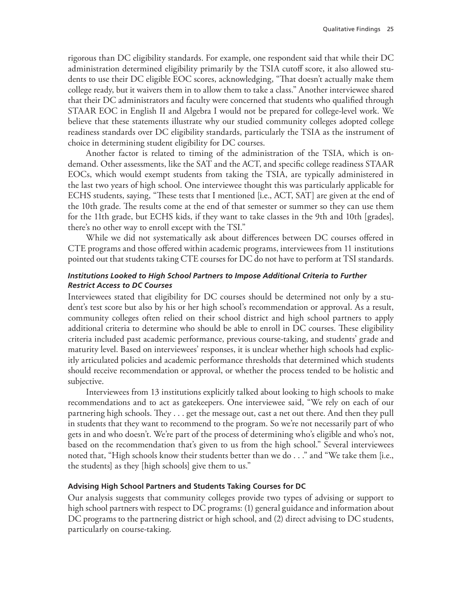rigorous than DC eligibility standards. For example, one respondent said that while their DC administration determined eligibility primarily by the TSIA cutoff score, it also allowed students to use their DC eligible EOC scores, acknowledging, "That doesn't actually make them college ready, but it waivers them in to allow them to take a class." Another interviewee shared that their DC administrators and faculty were concerned that students who qualified through STAAR EOC in English II and Algebra I would not be prepared for college-level work. We believe that these statements illustrate why our studied community colleges adopted college readiness standards over DC eligibility standards, particularly the TSIA as the instrument of choice in determining student eligibility for DC courses.

Another factor is related to timing of the administration of the TSIA, which is ondemand. Other assessments, like the SAT and the ACT, and specific college readiness STAAR EOCs, which would exempt students from taking the TSIA, are typically administered in the last two years of high school. One interviewee thought this was particularly applicable for ECHS students, saying, "These tests that I mentioned [i.e., ACT, SAT] are given at the end of the 10th grade. The results come at the end of that semester or summer so they can use them for the 11th grade, but ECHS kids, if they want to take classes in the 9th and 10th [grades], there's no other way to enroll except with the TSI."

While we did not systematically ask about differences between DC courses offered in CTE programs and those offered within academic programs, interviewees from 11 institutions pointed out that students taking CTE courses for DC do not have to perform at TSI standards.

## *Institutions Looked to High School Partners to Impose Additional Criteria to Further Restrict Access to DC Courses*

Interviewees stated that eligibility for DC courses should be determined not only by a student's test score but also by his or her high school's recommendation or approval. As a result, community colleges often relied on their school district and high school partners to apply additional criteria to determine who should be able to enroll in DC courses. These eligibility criteria included past academic performance, previous course-taking, and students' grade and maturity level. Based on interviewees' responses, it is unclear whether high schools had explicitly articulated policies and academic performance thresholds that determined which students should receive recommendation or approval, or whether the process tended to be holistic and subjective.

Interviewees from 13 institutions explicitly talked about looking to high schools to make recommendations and to act as gatekeepers. One interviewee said, "We rely on each of our partnering high schools. They . . . get the message out, cast a net out there. And then they pull in students that they want to recommend to the program. So we're not necessarily part of who gets in and who doesn't. We're part of the process of determining who's eligible and who's not, based on the recommendation that's given to us from the high school." Several interviewees noted that, "High schools know their students better than we do . . ." and "We take them [i.e., the students] as they [high schools] give them to us."

## **Advising High School Partners and Students Taking Courses for DC**

Our analysis suggests that community colleges provide two types of advising or support to high school partners with respect to DC programs: (1) general guidance and information about DC programs to the partnering district or high school, and (2) direct advising to DC students, particularly on course-taking.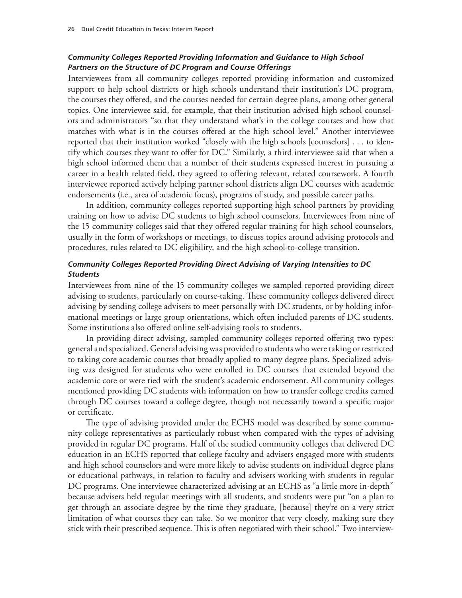### *Community Colleges Reported Providing Information and Guidance to High School Partners on the Structure of DC Program and Course Offerings*

Interviewees from all community colleges reported providing information and customized support to help school districts or high schools understand their institution's DC program, the courses they offered, and the courses needed for certain degree plans, among other general topics. One interviewee said, for example, that their institution advised high school counselors and administrators "so that they understand what's in the college courses and how that matches with what is in the courses offered at the high school level." Another interviewee reported that their institution worked "closely with the high schools [counselors] . . . to identify which courses they want to offer for DC." Similarly, a third interviewee said that when a high school informed them that a number of their students expressed interest in pursuing a career in a health related field, they agreed to offering relevant, related coursework. A fourth interviewee reported actively helping partner school districts align DC courses with academic endorsements (i.e., area of academic focus), programs of study, and possible career paths.

In addition, community colleges reported supporting high school partners by providing training on how to advise DC students to high school counselors. Interviewees from nine of the 15 community colleges said that they offered regular training for high school counselors, usually in the form of workshops or meetings, to discuss topics around advising protocols and procedures, rules related to DC eligibility, and the high school-to-college transition.

## *Community Colleges Reported Providing Direct Advising of Varying Intensities to DC Students*

Interviewees from nine of the 15 community colleges we sampled reported providing direct advising to students, particularly on course-taking. These community colleges delivered direct advising by sending college advisers to meet personally with DC students, or by holding informational meetings or large group orientations, which often included parents of DC students. Some institutions also offered online self-advising tools to students.

In providing direct advising, sampled community colleges reported offering two types: general and specialized. General advising was provided to students who were taking or restricted to taking core academic courses that broadly applied to many degree plans. Specialized advising was designed for students who were enrolled in DC courses that extended beyond the academic core or were tied with the student's academic endorsement. All community colleges mentioned providing DC students with information on how to transfer college credits earned through DC courses toward a college degree, though not necessarily toward a specific major or certificate.

The type of advising provided under the ECHS model was described by some community college representatives as particularly robust when compared with the types of advising provided in regular DC programs. Half of the studied community colleges that delivered DC education in an ECHS reported that college faculty and advisers engaged more with students and high school counselors and were more likely to advise students on individual degree plans or educational pathways, in relation to faculty and advisers working with students in regular DC programs. One interviewee characterized advising at an ECHS as "a little more in-depth" because advisers held regular meetings with all students, and students were put "on a plan to get through an associate degree by the time they graduate, [because] they're on a very strict limitation of what courses they can take. So we monitor that very closely, making sure they stick with their prescribed sequence. This is often negotiated with their school." Two interview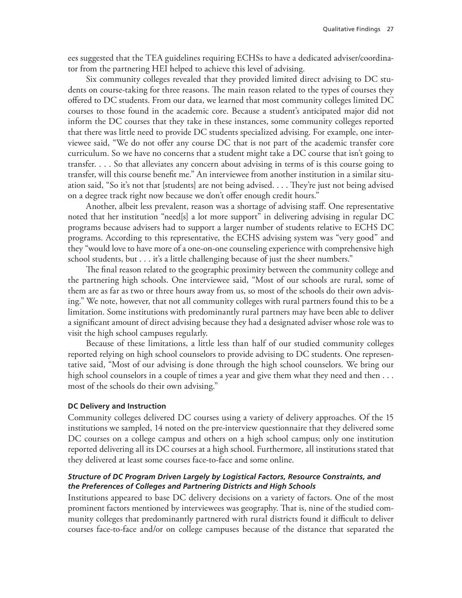ees suggested that the TEA guidelines requiring ECHSs to have a dedicated adviser/coordinator from the partnering HEI helped to achieve this level of advising.

Six community colleges revealed that they provided limited direct advising to DC students on course-taking for three reasons. The main reason related to the types of courses they offered to DC students. From our data, we learned that most community colleges limited DC courses to those found in the academic core. Because a student's anticipated major did not inform the DC courses that they take in these instances, some community colleges reported that there was little need to provide DC students specialized advising. For example, one interviewee said, "We do not offer any course DC that is not part of the academic transfer core curriculum. So we have no concerns that a student might take a DC course that isn't going to transfer. . . . So that alleviates any concern about advising in terms of is this course going to transfer, will this course benefit me." An interviewee from another institution in a similar situation said, "So it's not that [students] are not being advised. . . . They're just not being advised on a degree track right now because we don't offer enough credit hours."

Another, albeit less prevalent, reason was a shortage of advising staff. One representative noted that her institution "need[s] a lot more support" in delivering advising in regular DC programs because advisers had to support a larger number of students relative to ECHS DC programs. According to this representative, the ECHS advising system was "very good" and they "would love to have more of a one-on-one counseling experience with comprehensive high school students, but . . . it's a little challenging because of just the sheer numbers."

The final reason related to the geographic proximity between the community college and the partnering high schools. One interviewee said, "Most of our schools are rural, some of them are as far as two or three hours away from us, so most of the schools do their own advising." We note, however, that not all community colleges with rural partners found this to be a limitation. Some institutions with predominantly rural partners may have been able to deliver a significant amount of direct advising because they had a designated adviser whose role was to visit the high school campuses regularly.

Because of these limitations, a little less than half of our studied community colleges reported relying on high school counselors to provide advising to DC students. One representative said, "Most of our advising is done through the high school counselors. We bring our high school counselors in a couple of times a year and give them what they need and then . . . most of the schools do their own advising."

### **DC Delivery and Instruction**

Community colleges delivered DC courses using a variety of delivery approaches. Of the 15 institutions we sampled, 14 noted on the pre-interview questionnaire that they delivered some DC courses on a college campus and others on a high school campus; only one institution reported delivering all its DC courses at a high school. Furthermore, all institutions stated that they delivered at least some courses face-to-face and some online.

### *Structure of DC Program Driven Largely by Logistical Factors, Resource Constraints, and the Preferences of Colleges and Partnering Districts and High Schools*

Institutions appeared to base DC delivery decisions on a variety of factors. One of the most prominent factors mentioned by interviewees was geography. That is, nine of the studied community colleges that predominantly partnered with rural districts found it difficult to deliver courses face-to-face and/or on college campuses because of the distance that separated the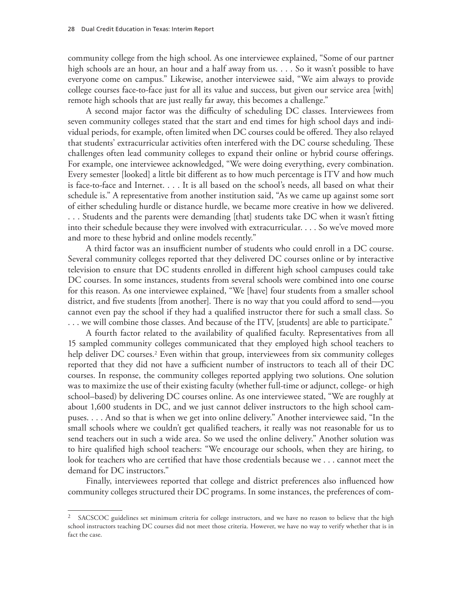community college from the high school. As one interviewee explained, "Some of our partner high schools are an hour, an hour and a half away from us. . . . So it wasn't possible to have everyone come on campus." Likewise, another interviewee said, "We aim always to provide college courses face-to-face just for all its value and success, but given our service area [with] remote high schools that are just really far away, this becomes a challenge."

A second major factor was the difficulty of scheduling DC classes. Interviewees from seven community colleges stated that the start and end times for high school days and individual periods, for example, often limited when DC courses could be offered. They also relayed that students' extracurricular activities often interfered with the DC course scheduling. These challenges often lead community colleges to expand their online or hybrid course offerings. For example, one interviewee acknowledged, "We were doing everything, every combination. Every semester [looked] a little bit different as to how much percentage is ITV and how much is face-to-face and Internet. . . . It is all based on the school's needs, all based on what their schedule is." A representative from another institution said, "As we came up against some sort of either scheduling hurdle or distance hurdle, we became more creative in how we delivered. . . . Students and the parents were demanding [that] students take DC when it wasn't fitting into their schedule because they were involved with extracurricular. . . . So we've moved more and more to these hybrid and online models recently."

A third factor was an insufficient number of students who could enroll in a DC course. Several community colleges reported that they delivered DC courses online or by interactive television to ensure that DC students enrolled in different high school campuses could take DC courses. In some instances, students from several schools were combined into one course for this reason. As one interviewee explained, "We [have] four students from a smaller school district, and five students [from another]. There is no way that you could afford to send—you cannot even pay the school if they had a qualified instructor there for such a small class. So . . . we will combine those classes. And because of the ITV, [students] are able to participate."

A fourth factor related to the availability of qualified faculty. Representatives from all 15 sampled community colleges communicated that they employed high school teachers to help deliver DC courses.<sup>2</sup> Even within that group, interviewees from six community colleges reported that they did not have a sufficient number of instructors to teach all of their DC courses. In response, the community colleges reported applying two solutions. One solution was to maximize the use of their existing faculty (whether full-time or adjunct, college- or high school–based) by delivering DC courses online. As one interviewee stated, "We are roughly at about 1,600 students in DC, and we just cannot deliver instructors to the high school campuses. . . . And so that is when we get into online delivery." Another interviewee said, "In the small schools where we couldn't get qualified teachers, it really was not reasonable for us to send teachers out in such a wide area. So we used the online delivery." Another solution was to hire qualified high school teachers: "We encourage our schools, when they are hiring, to look for teachers who are certified that have those credentials because we . . . cannot meet the demand for DC instructors."

Finally, interviewees reported that college and district preferences also influenced how community colleges structured their DC programs. In some instances, the preferences of com-

<sup>2</sup> SACSCOC guidelines set minimum criteria for college instructors, and we have no reason to believe that the high school instructors teaching DC courses did not meet those criteria. However, we have no way to verify whether that is in fact the case.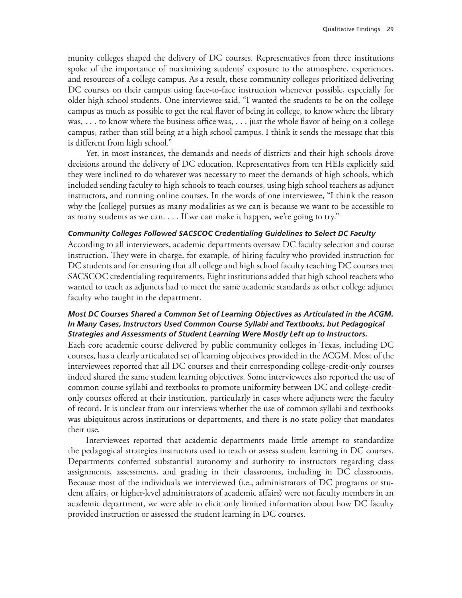munity colleges shaped the delivery of DC courses. Representatives from three institutions spoke of the importance of maximizing students' exposure to the atmosphere, experiences, and resources of a college campus. As a result, these community colleges prioritized delivering DC courses on their campus using face-to-face instruction whenever possible, especially for older high school students. One interviewee said, "I wanted the students to be on the college campus as much as possible to get the real flavor of being in college, to know where the library was, . . . to know where the business office was, . . . just the whole flavor of being on a college campus, rather than still being at a high school campus. I think it sends the message that this is different from high school."

Yet, in most instances, the demands and needs of districts and their high schools drove decisions around the delivery of DC education. Representatives from ten HEIs explicitly said they were inclined to do whatever was necessary to meet the demands of high schools, which included sending faculty to high schools to teach courses, using high school teachers as adjunct instructors, and running online courses. In the words of one interviewee, "I think the reason why the [college] pursues as many modalities as we can is because we want to be accessible to as many students as we can. . . . If we can make it happen, we're going to try."

### *Community Colleges Followed SACSCOC Credentialing Guidelines to Select DC Faculty*

According to all interviewees, academic departments oversaw DC faculty selection and course instruction. They were in charge, for example, of hiring faculty who provided instruction for DC students and for ensuring that all college and high school faculty teaching DC courses met SACSCOC credentialing requirements. Eight institutions added that high school teachers who wanted to teach as adjuncts had to meet the same academic standards as other college adjunct faculty who taught in the department.

## *Most DC Courses Shared a Common Set of Learning Objectives as Articulated in the ACGM. In Many Cases, Instructors Used Common Course Syllabi and Textbooks, but Pedagogical Strategies and Assessments of Student Learning Were Mostly Left up to Instructors.*

Each core academic course delivered by public community colleges in Texas, including DC courses, has a clearly articulated set of learning objectives provided in the ACGM. Most of the interviewees reported that all DC courses and their corresponding college-credit-only courses indeed shared the same student learning objectives. Some interviewees also reported the use of common course syllabi and textbooks to promote uniformity between DC and college-creditonly courses offered at their institution, particularly in cases where adjuncts were the faculty of record. It is unclear from our interviews whether the use of common syllabi and textbooks was ubiquitous across institutions or departments, and there is no state policy that mandates their use.

Interviewees reported that academic departments made little attempt to standardize the pedagogical strategies instructors used to teach or assess student learning in DC courses. Departments conferred substantial autonomy and authority to instructors regarding class assignments, assessments, and grading in their classrooms, including in DC classrooms. Because most of the individuals we interviewed (i.e., administrators of DC programs or student affairs, or higher-level administrators of academic affairs) were not faculty members in an academic department, we were able to elicit only limited information about how DC faculty provided instruction or assessed the student learning in DC courses.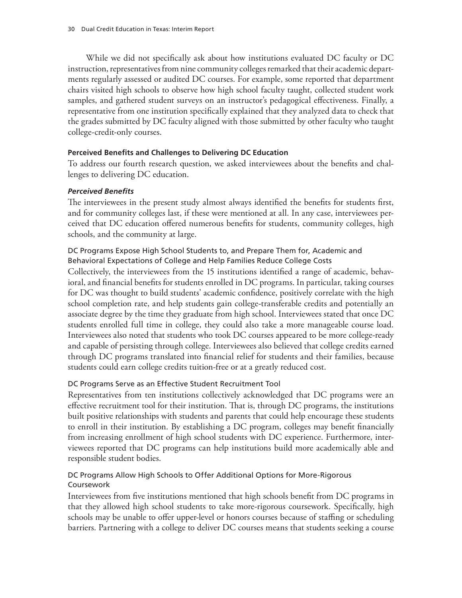While we did not specifically ask about how institutions evaluated DC faculty or DC instruction, representatives from nine community colleges remarked that their academic departments regularly assessed or audited DC courses. For example, some reported that department chairs visited high schools to observe how high school faculty taught, collected student work samples, and gathered student surveys on an instructor's pedagogical effectiveness. Finally, a representative from one institution specifically explained that they analyzed data to check that the grades submitted by DC faculty aligned with those submitted by other faculty who taught college-credit-only courses.

### **Perceived Benefits and Challenges to Delivering DC Education**

To address our fourth research question, we asked interviewees about the benefits and challenges to delivering DC education.

## *Perceived Benefits*

The interviewees in the present study almost always identified the benefits for students first, and for community colleges last, if these were mentioned at all. In any case, interviewees perceived that DC education offered numerous benefits for students, community colleges, high schools, and the community at large.

## DC Programs Expose High School Students to, and Prepare Them for, Academic and Behavioral Expectations of College and Help Families Reduce College Costs

Collectively, the interviewees from the 15 institutions identified a range of academic, behavioral, and financial benefits for students enrolled in DC programs. In particular, taking courses for DC was thought to build students' academic confidence, positively correlate with the high school completion rate, and help students gain college-transferable credits and potentially an associate degree by the time they graduate from high school. Interviewees stated that once DC students enrolled full time in college, they could also take a more manageable course load. Interviewees also noted that students who took DC courses appeared to be more college-ready and capable of persisting through college. Interviewees also believed that college credits earned through DC programs translated into financial relief for students and their families, because students could earn college credits tuition-free or at a greatly reduced cost.

## DC Programs Serve as an Effective Student Recruitment Tool

Representatives from ten institutions collectively acknowledged that DC programs were an effective recruitment tool for their institution. That is, through DC programs, the institutions built positive relationships with students and parents that could help encourage these students to enroll in their institution. By establishing a DC program, colleges may benefit financially from increasing enrollment of high school students with DC experience. Furthermore, interviewees reported that DC programs can help institutions build more academically able and responsible student bodies.

## DC Programs Allow High Schools to Offer Additional Options for More-Rigorous Coursework

Interviewees from five institutions mentioned that high schools benefit from DC programs in that they allowed high school students to take more-rigorous coursework. Specifically, high schools may be unable to offer upper-level or honors courses because of staffing or scheduling barriers. Partnering with a college to deliver DC courses means that students seeking a course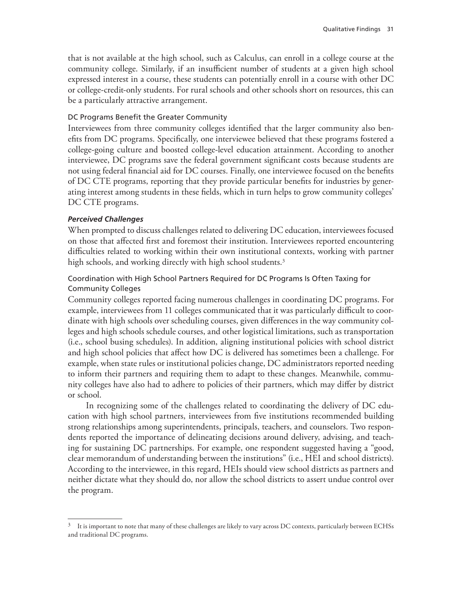that is not available at the high school, such as Calculus, can enroll in a college course at the community college. Similarly, if an insufficient number of students at a given high school expressed interest in a course, these students can potentially enroll in a course with other DC or college-credit-only students. For rural schools and other schools short on resources, this can be a particularly attractive arrangement.

### DC Programs Benefit the Greater Community

Interviewees from three community colleges identified that the larger community also benefits from DC programs. Specifically, one interviewee believed that these programs fostered a college-going culture and boosted college-level education attainment. According to another interviewee, DC programs save the federal government significant costs because students are not using federal financial aid for DC courses. Finally, one interviewee focused on the benefits of DC CTE programs, reporting that they provide particular benefits for industries by generating interest among students in these fields, which in turn helps to grow community colleges' DC CTE programs.

## *Perceived Challenges*

When prompted to discuss challenges related to delivering DC education, interviewees focused on those that affected first and foremost their institution. Interviewees reported encountering difficulties related to working within their own institutional contexts, working with partner high schools, and working directly with high school students.<sup>3</sup>

## Coordination with High School Partners Required for DC Programs Is Often Taxing for Community Colleges

Community colleges reported facing numerous challenges in coordinating DC programs. For example, interviewees from 11 colleges communicated that it was particularly difficult to coordinate with high schools over scheduling courses, given differences in the way community colleges and high schools schedule courses, and other logistical limitations, such as transportation (i.e., school busing schedules). In addition, aligning institutional policies with school district and high school policies that affect how DC is delivered has sometimes been a challenge. For example, when state rules or institutional policies change, DC administrators reported needing to inform their partners and requiring them to adapt to these changes. Meanwhile, community colleges have also had to adhere to policies of their partners, which may differ by district or school.

In recognizing some of the challenges related to coordinating the delivery of DC education with high school partners, interviewees from five institutions recommended building strong relationships among superintendents, principals, teachers, and counselors. Two respondents reported the importance of delineating decisions around delivery, advising, and teaching for sustaining DC partnerships. For example, one respondent suggested having a "good, clear memorandum of understanding between the institutions" (i.e., HEI and school districts). According to the interviewee, in this regard, HEIs should view school districts as partners and neither dictate what they should do, nor allow the school districts to assert undue control over the program.

<sup>&</sup>lt;sup>3</sup> It is important to note that many of these challenges are likely to vary across DC contexts, particularly between ECHSs and traditional DC programs.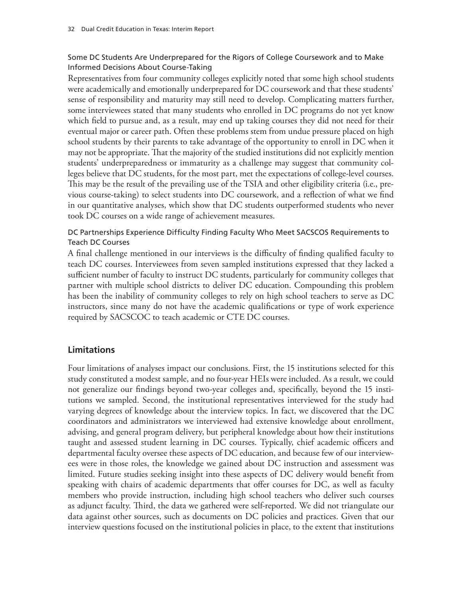## Some DC Students Are Underprepared for the Rigors of College Coursework and to Make Informed Decisions About Course-Taking

Representatives from four community colleges explicitly noted that some high school students were academically and emotionally underprepared for DC coursework and that these students' sense of responsibility and maturity may still need to develop. Complicating matters further, some interviewees stated that many students who enrolled in DC programs do not yet know which field to pursue and, as a result, may end up taking courses they did not need for their eventual major or career path. Often these problems stem from undue pressure placed on high school students by their parents to take advantage of the opportunity to enroll in DC when it may not be appropriate. That the majority of the studied institutions did not explicitly mention students' underpreparedness or immaturity as a challenge may suggest that community colleges believe that DC students, for the most part, met the expectations of college-level courses. This may be the result of the prevailing use of the TSIA and other eligibility criteria (i.e., previous course-taking) to select students into DC coursework, and a reflection of what we find in our quantitative analyses, which show that DC students outperformed students who never took DC courses on a wide range of achievement measures.

## DC Partnerships Experience Difficulty Finding Faculty Who Meet SACSCOS Requirements to Teach DC Courses

A final challenge mentioned in our interviews is the difficulty of finding qualified faculty to teach DC courses. Interviewees from seven sampled institutions expressed that they lacked a sufficient number of faculty to instruct DC students, particularly for community colleges that partner with multiple school districts to deliver DC education. Compounding this problem has been the inability of community colleges to rely on high school teachers to serve as DC instructors, since many do not have the academic qualifications or type of work experience required by SACSCOC to teach academic or CTE DC courses.

# **Limitations**

Four limitations of analyses impact our conclusions. First, the 15 institutions selected for this study constituted a modest sample, and no four-year HEIs were included. As a result, we could not generalize our findings beyond two-year colleges and, specifically, beyond the 15 institutions we sampled. Second, the institutional representatives interviewed for the study had varying degrees of knowledge about the interview topics. In fact, we discovered that the DC coordinators and administrators we interviewed had extensive knowledge about enrollment, advising, and general program delivery, but peripheral knowledge about how their institutions taught and assessed student learning in DC courses. Typically, chief academic officers and departmental faculty oversee these aspects of DC education, and because few of our interviewees were in those roles, the knowledge we gained about DC instruction and assessment was limited. Future studies seeking insight into these aspects of DC delivery would benefit from speaking with chairs of academic departments that offer courses for DC, as well as faculty members who provide instruction, including high school teachers who deliver such courses as adjunct faculty. Third, the data we gathered were self-reported. We did not triangulate our data against other sources, such as documents on DC policies and practices. Given that our interview questions focused on the institutional policies in place, to the extent that institutions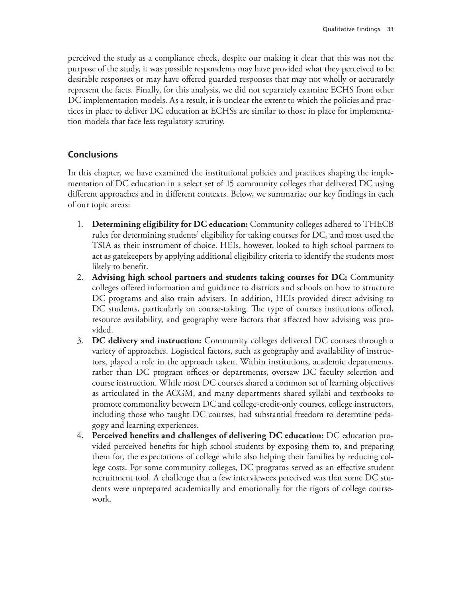perceived the study as a compliance check, despite our making it clear that this was not the purpose of the study, it was possible respondents may have provided what they perceived to be desirable responses or may have offered guarded responses that may not wholly or accurately represent the facts. Finally, for this analysis, we did not separately examine ECHS from other DC implementation models. As a result, it is unclear the extent to which the policies and practices in place to deliver DC education at ECHSs are similar to those in place for implementation models that face less regulatory scrutiny.

# **Conclusions**

In this chapter, we have examined the institutional policies and practices shaping the implementation of DC education in a select set of 15 community colleges that delivered DC using different approaches and in different contexts. Below, we summarize our key findings in each of our topic areas:

- 1. **Determining eligibility for DC education:** Community colleges adhered to THECB rules for determining students' eligibility for taking courses for DC, and most used the TSIA as their instrument of choice. HEIs, however, looked to high school partners to act as gatekeepers by applying additional eligibility criteria to identify the students most likely to benefit.
- 2. **Advising high school partners and students taking courses for DC:** Community colleges offered information and guidance to districts and schools on how to structure DC programs and also train advisers. In addition, HEIs provided direct advising to DC students, particularly on course-taking. The type of courses institutions offered, resource availability, and geography were factors that affected how advising was provided.
- 3. **DC delivery and instruction:** Community colleges delivered DC courses through a variety of approaches. Logistical factors, such as geography and availability of instructors, played a role in the approach taken. Within institutions, academic departments, rather than DC program offices or departments, oversaw DC faculty selection and course instruction. While most DC courses shared a common set of learning objectives as articulated in the ACGM, and many departments shared syllabi and textbooks to promote commonality between DC and college-credit-only courses, college instructors, including those who taught DC courses, had substantial freedom to determine pedagogy and learning experiences.
- 4. **Perceived benefits and challenges of delivering DC education:** DC education provided perceived benefits for high school students by exposing them to, and preparing them for, the expectations of college while also helping their families by reducing college costs. For some community colleges, DC programs served as an effective student recruitment tool. A challenge that a few interviewees perceived was that some DC students were unprepared academically and emotionally for the rigors of college coursework.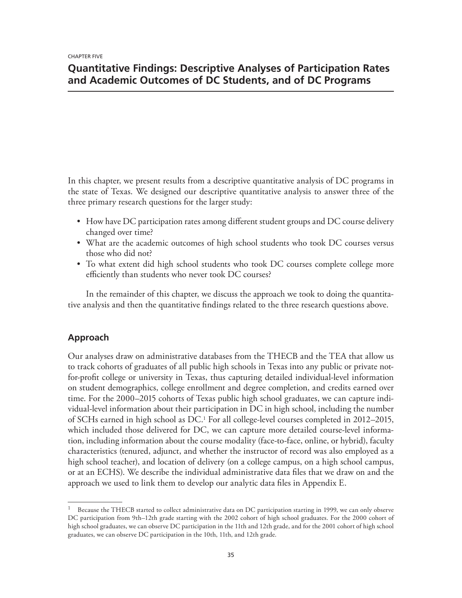# **Quantitative Findings: Descriptive Analyses of Participation Rates and Academic Outcomes of DC Students, and of DC Programs**

In this chapter, we present results from a descriptive quantitative analysis of DC programs in the state of Texas. We designed our descriptive quantitative analysis to answer three of the three primary research questions for the larger study:

- How have DC participation rates among different student groups and DC course delivery changed over time?
- What are the academic outcomes of high school students who took DC courses versus those who did not?
- To what extent did high school students who took DC courses complete college more efficiently than students who never took DC courses?

In the remainder of this chapter, we discuss the approach we took to doing the quantitative analysis and then the quantitative findings related to the three research questions above.

## **Approach**

Our analyses draw on administrative databases from the THECB and the TEA that allow us to track cohorts of graduates of all public high schools in Texas into any public or private notfor-profit college or university in Texas, thus capturing detailed individual-level information on student demographics, college enrollment and degree completion, and credits earned over time. For the 2000–2015 cohorts of Texas public high school graduates, we can capture individual-level information about their participation in DC in high school, including the number of SCHs earned in high school as DC.1 For all college-level courses completed in 2012–2015, which included those delivered for DC, we can capture more detailed course-level information, including information about the course modality (face-to-face, online, or hybrid), faculty characteristics (tenured, adjunct, and whether the instructor of record was also employed as a high school teacher), and location of delivery (on a college campus, on a high school campus, or at an ECHS). We describe the individual administrative data files that we draw on and the approach we used to link them to develop our analytic data files in Appendix E.

Because the THECB started to collect administrative data on DC participation starting in 1999, we can only observe DC participation from 9th–12th grade starting with the 2002 cohort of high school graduates. For the 2000 cohort of high school graduates, we can observe DC participation in the 11th and 12th grade, and for the 2001 cohort of high school graduates, we can observe DC participation in the 10th, 11th, and 12th grade.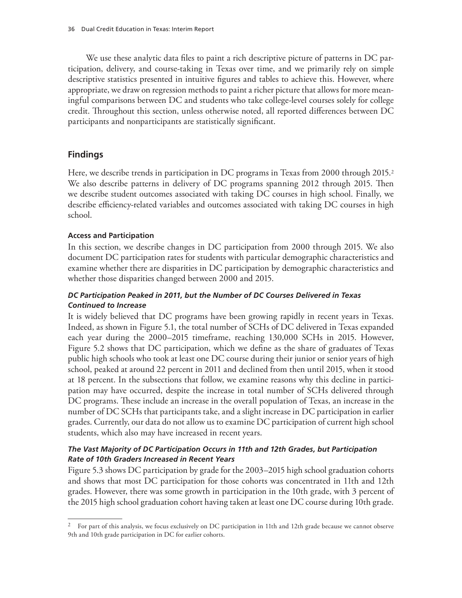We use these analytic data files to paint a rich descriptive picture of patterns in DC participation, delivery, and course-taking in Texas over time, and we primarily rely on simple descriptive statistics presented in intuitive figures and tables to achieve this. However, where appropriate, we draw on regression methods to paint a richer picture that allows for more meaningful comparisons between DC and students who take college-level courses solely for college credit. Throughout this section, unless otherwise noted, all reported differences between DC participants and nonparticipants are statistically significant.

# **Findings**

Here, we describe trends in participation in DC programs in Texas from 2000 through 2015.<sup>2</sup> We also describe patterns in delivery of DC programs spanning 2012 through 2015. Then we describe student outcomes associated with taking DC courses in high school. Finally, we describe efficiency-related variables and outcomes associated with taking DC courses in high school.

## **Access and Participation**

In this section, we describe changes in DC participation from 2000 through 2015. We also document DC participation rates for students with particular demographic characteristics and examine whether there are disparities in DC participation by demographic characteristics and whether those disparities changed between 2000 and 2015.

## *DC Participation Peaked in 2011, but the Number of DC Courses Delivered in Texas Continued to Increase*

It is widely believed that DC programs have been growing rapidly in recent years in Texas. Indeed, as shown in Figure 5.1, the total number of SCHs of DC delivered in Texas expanded each year during the 2000–2015 timeframe, reaching 130,000 SCHs in 2015. However, Figure 5.2 shows that DC participation, which we define as the share of graduates of Texas public high schools who took at least one DC course during their junior or senior years of high school, peaked at around 22 percent in 2011 and declined from then until 2015, when it stood at 18 percent. In the subsections that follow, we examine reasons why this decline in participation may have occurred, despite the increase in total number of SCHs delivered through DC programs. These include an increase in the overall population of Texas, an increase in the number of DC SCHs that participants take, and a slight increase in DC participation in earlier grades. Currently, our data do not allow us to examine DC participation of current high school students, which also may have increased in recent years.

## *The Vast Majority of DC Participation Occurs in 11th and 12th Grades, but Participation Rate of 10th Graders Increased in Recent Years*

Figure 5.3 shows DC participation by grade for the 2003–2015 high school graduation cohorts and shows that most DC participation for those cohorts was concentrated in 11th and 12th grades. However, there was some growth in participation in the 10th grade, with 3 percent of the 2015 high school graduation cohort having taken at least one DC course during 10th grade.

<sup>&</sup>lt;sup>2</sup> For part of this analysis, we focus exclusively on DC participation in 11th and 12th grade because we cannot observe 9th and 10th grade participation in DC for earlier cohorts.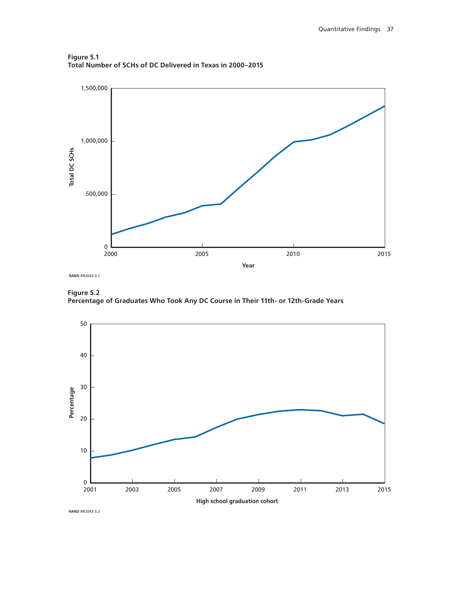

**Figure 5.1 Total Number of SCHs of DC Delivered in Texas in 2000–2015**

**Figure 5.2**

**Percentage of Graduates Who Took Any DC Course in Their 11th- or 12th-Grade Years**

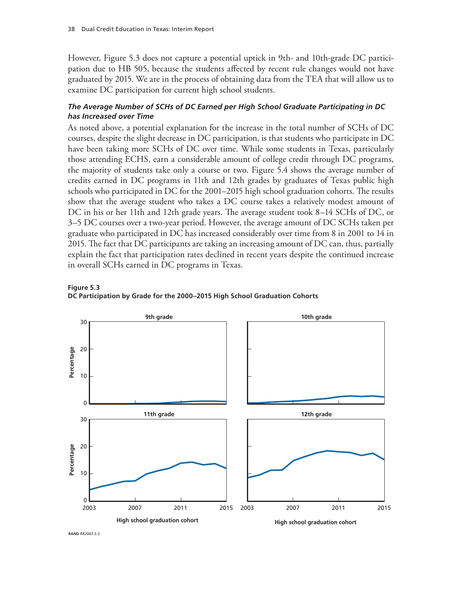However, Figure 5.3 does not capture a potential uptick in 9th- and 10th-grade DC participation due to HB 505, because the students affected by recent rule changes would not have graduated by 2015. We are in the process of obtaining data from the TEA that will allow us to examine DC participation for current high school students.

### *The Average Number of SCHs of DC Earned per High School Graduate Participating in DC has Increased over Time*

As noted above, a potential explanation for the increase in the total number of SCHs of DC courses, despite the slight decrease in DC participation, is that students who participate in DC have been taking more SCHs of DC over time. While some students in Texas, particularly those attending ECHS, earn a considerable amount of college credit through DC programs, the majority of students take only a course or two. Figure 5.4 shows the average number of credits earned in DC programs in 11th and 12th grades by graduates of Texas public high schools who participated in DC for the 2001–2015 high school graduation cohorts. The results show that the average student who takes a DC course takes a relatively modest amount of DC in his or her 11th and 12th grade years. The average student took 8–14 SCHs of DC, or 3–5 DC courses over a two-year period. However, the average amount of DC SCHs taken per graduate who participated in DC has increased considerably over time from 8 in 2001 to 14 in 2015. The fact that DC participants are taking an increasing amount of DC can, thus, partially explain the fact that participation rates declined in recent years despite the continued increase in overall SCHs earned in DC programs in Texas.





**RAND RR2043-53**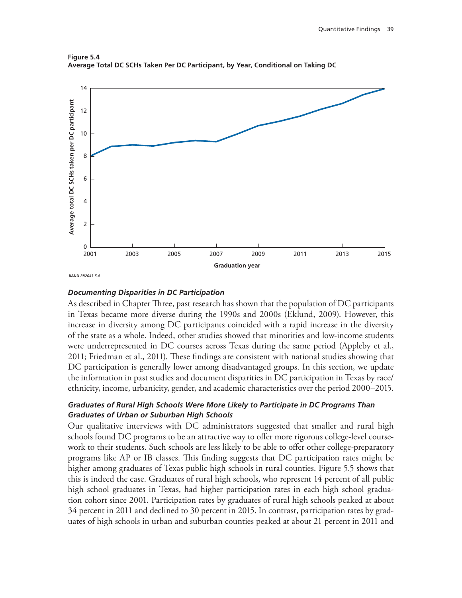



#### *Documenting Disparities in DC Participation*

As described in Chapter Three, past research has shown that the population of DC participants in Texas became more diverse during the 1990s and 2000s (Eklund, 2009). However, this increase in diversity among DC participants coincided with a rapid increase in the diversity of the state as a whole. Indeed, other studies showed that minorities and low-income students were underrepresented in DC courses across Texas during the same period (Appleby et al., 2011; Friedman et al., 2011). These findings are consistent with national studies showing that DC participation is generally lower among disadvantaged groups. In this section, we update the information in past studies and document disparities in DC participation in Texas by race/ ethnicity, income, urbanicity, gender, and academic characteristics over the period 2000–2015.

### *Graduates of Rural High Schools Were More Likely to Participate in DC Programs Than Graduates of Urban or Suburban High Schools*

Our qualitative interviews with DC administrators suggested that smaller and rural high schools found DC programs to be an attractive way to offer more rigorous college-level coursework to their students. Such schools are less likely to be able to offer other college-preparatory programs like AP or IB classes. This finding suggests that DC participation rates might be higher among graduates of Texas public high schools in rural counties. Figure 5.5 shows that this is indeed the case. Graduates of rural high schools, who represent 14 percent of all public high school graduates in Texas, had higher participation rates in each high school graduation cohort since 2001. Participation rates by graduates of rural high schools peaked at about 34 percent in 2011 and declined to 30 percent in 2015. In contrast, participation rates by graduates of high schools in urban and suburban counties peaked at about 21 percent in 2011 and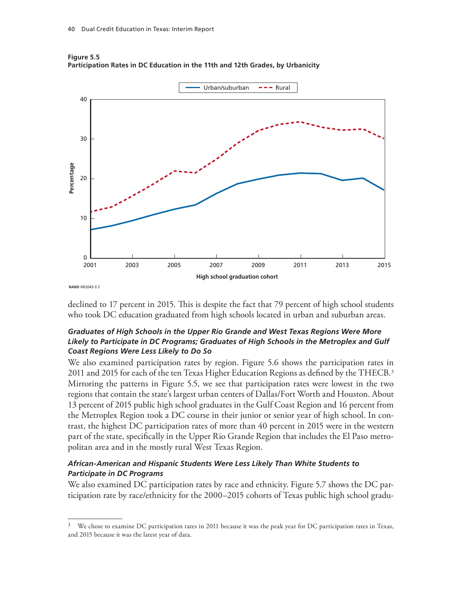

**Figure 5.5 Participation Rates in DC Education in the 11th and 12th Grades, by Urbanicity**

declined to 17 percent in 2015. This is despite the fact that 79 percent of high school students who took DC education graduated from high schools located in urban and suburban areas.

### *Graduates of High Schools in the Upper Rio Grande and West Texas Regions Were More Likely to Participate in DC Programs; Graduates of High Schools in the Metroplex and Gulf Coast Regions Were Less Likely to Do So*

We also examined participation rates by region. Figure 5.6 shows the participation rates in 2011 and 2015 for each of the ten Texas Higher Education Regions as defined by the THECB.<sup>3</sup> Mirroring the patterns in Figure 5.5, we see that participation rates were lowest in the two regions that contain the state's largest urban centers of Dallas/Fort Worth and Houston. About 13 percent of 2015 public high school graduates in the Gulf Coast Region and 16 percent from the Metroplex Region took a DC course in their junior or senior year of high school. In contrast, the highest DC participation rates of more than 40 percent in 2015 were in the western part of the state, specifically in the Upper Rio Grande Region that includes the El Paso metropolitan area and in the mostly rural West Texas Region.

### *African-American and Hispanic Students Were Less Likely Than White Students to Participate in DC Programs*

We also examined DC participation rates by race and ethnicity. Figure 5.7 shows the DC participation rate by race/ethnicity for the 2000–2015 cohorts of Texas public high school gradu-

 $3\text{ }\degree$  We chose to examine DC participation rates in 2011 because it was the peak year for DC participation rates in Texas, and 2015 because it was the latest year of data.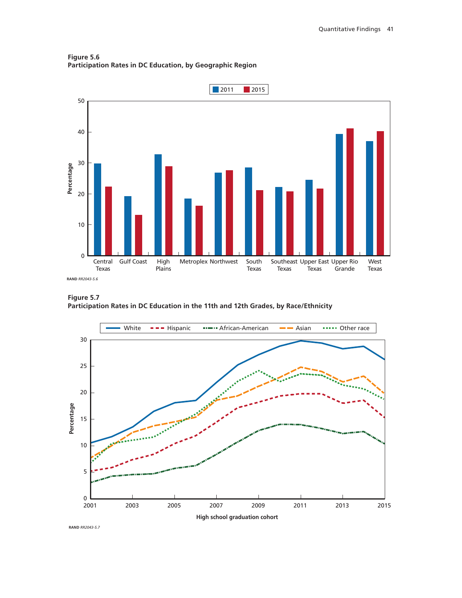**Figure 5.6 Participation Rates in DC Education, by Geographic Region**



**Figure 5.7 Participation Rates in DC Education in the 11th and 12th Grades, by Race/Ethnicity**

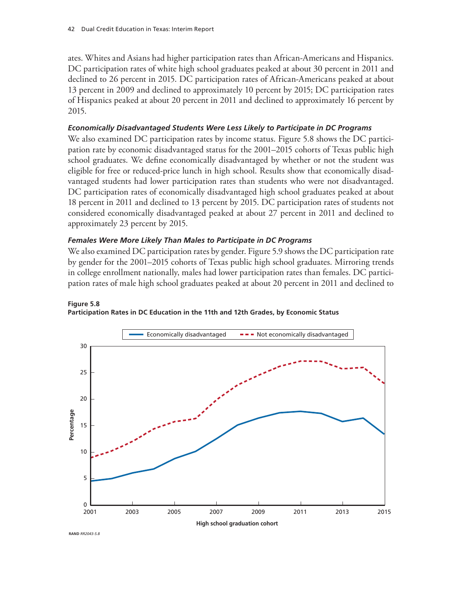ates. Whites and Asians had higher participation rates than African-Americans and Hispanics. DC participation rates of white high school graduates peaked at about 30 percent in 2011 and declined to 26 percent in 2015. DC participation rates of African-Americans peaked at about 13 percent in 2009 and declined to approximately 10 percent by 2015; DC participation rates of Hispanics peaked at about 20 percent in 2011 and declined to approximately 16 percent by 2015.

### *Economically Disadvantaged Students Were Less Likely to Participate in DC Programs*

We also examined DC participation rates by income status. Figure 5.8 shows the DC participation rate by economic disadvantaged status for the 2001–2015 cohorts of Texas public high school graduates. We define economically disadvantaged by whether or not the student was eligible for free or reduced-price lunch in high school. Results show that economically disadvantaged students had lower participation rates than students who were not disadvantaged. DC participation rates of economically disadvantaged high school graduates peaked at about 18 percent in 2011 and declined to 13 percent by 2015. DC participation rates of students not considered economically disadvantaged peaked at about 27 percent in 2011 and declined to approximately 23 percent by 2015.

### *Females Were More Likely Than Males to Participate in DC Programs*

We also examined DC participation rates by gender. Figure 5.9 shows the DC participation rate by gender for the 2001–2015 cohorts of Texas public high school graduates. Mirroring trends in college enrollment nationally, males had lower participation rates than females. DC participation rates of male high school graduates peaked at about 20 percent in 2011 and declined to





**RAND** *RR2043-5.8*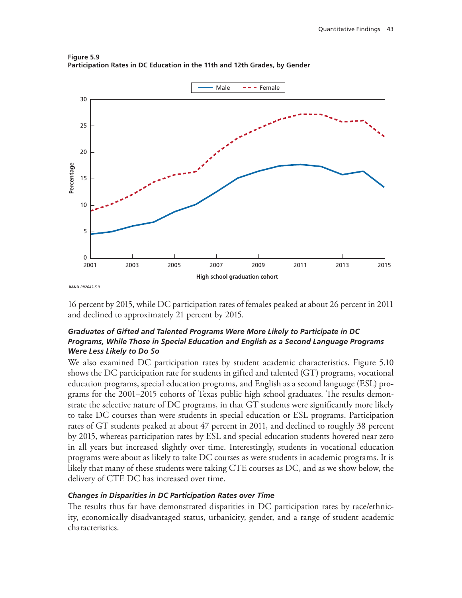

**Figure 5.9 Participation Rates in DC Education in the 11th and 12th Grades, by Gender**

16 percent by 2015, while DC participation rates of females peaked at about 26 percent in 2011 and declined to approximately 21 percent by 2015.

## *Graduates of Gifted and Talented Programs Were More Likely to Participate in DC Programs, While Those in Special Education and English as a Second Language Programs Were Less Likely to Do So*

We also examined DC participation rates by student academic characteristics. Figure 5.10 shows the DC participation rate for students in gifted and talented (GT) programs, vocational education programs, special education programs, and English as a second language (ESL) programs for the 2001–2015 cohorts of Texas public high school graduates. The results demonstrate the selective nature of DC programs, in that GT students were significantly more likely to take DC courses than were students in special education or ESL programs. Participation rates of GT students peaked at about 47 percent in 2011, and declined to roughly 38 percent by 2015, whereas participation rates by ESL and special education students hovered near zero in all years but increased slightly over time. Interestingly, students in vocational education programs were about as likely to take DC courses as were students in academic programs. It is likely that many of these students were taking CTE courses as DC, and as we show below, the delivery of CTE DC has increased over time.

## *Changes in Disparities in DC Participation Rates over Time*

The results thus far have demonstrated disparities in DC participation rates by race/ethnicity, economically disadvantaged status, urbanicity, gender, and a range of student academic characteristics.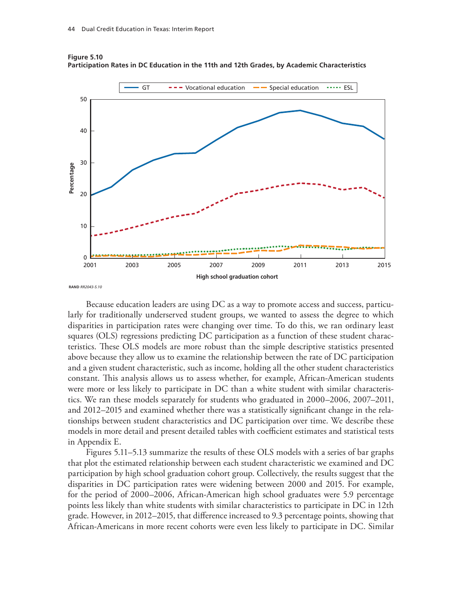

**Figure 5.10 Participation Rates in DC Education in the 11th and 12th Grades, by Academic Characteristics**

Because education leaders are using DC as a way to promote access and success, particularly for traditionally underserved student groups, we wanted to assess the degree to which disparities in participation rates were changing over time. To do this, we ran ordinary least squares (OLS) regressions predicting DC participation as a function of these student characteristics. These OLS models are more robust than the simple descriptive statistics presented above because they allow us to examine the relationship between the rate of DC participation and a given student characteristic, such as income, holding all the other student characteristics constant. This analysis allows us to assess whether, for example, African-American students were more or less likely to participate in DC than a white student with similar characteristics. We ran these models separately for students who graduated in 2000–2006, 2007–2011, and 2012–2015 and examined whether there was a statistically significant change in the relationships between student characteristics and DC participation over time. We describe these models in more detail and present detailed tables with coefficient estimates and statistical tests in Appendix E.

Figures 5.11–5.13 summarize the results of these OLS models with a series of bar graphs that plot the estimated relationship between each student characteristic we examined and DC participation by high school graduation cohort group. Collectively, the results suggest that the disparities in DC participation rates were widening between 2000 and 2015. For example, for the period of 2000–2006, African-American high school graduates were 5.9 percentage points less likely than white students with similar characteristics to participate in DC in 12th grade. However, in 2012–2015, that difference increased to 9.3 percentage points, showing that African-Americans in more recent cohorts were even less likely to participate in DC. Similar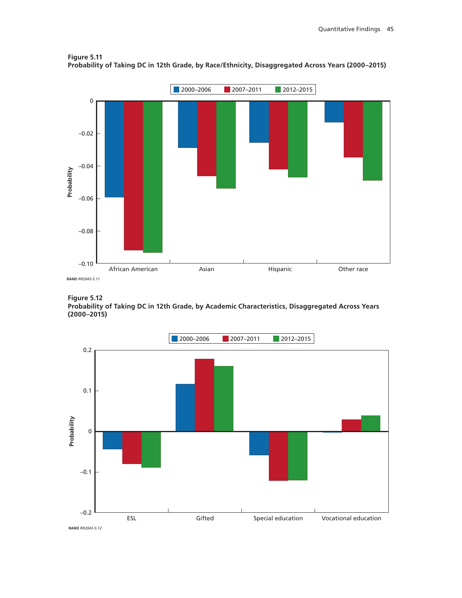

**Figure 5.11 Probability of Taking DC in 12th Grade, by Race/Ethnicity, Disaggregated Across Years (2000–2015)**

**Figure 5.12**

**Probability of Taking DC in 12th Grade, by Academic Characteristics, Disaggregated Across Years (2000–2015)**

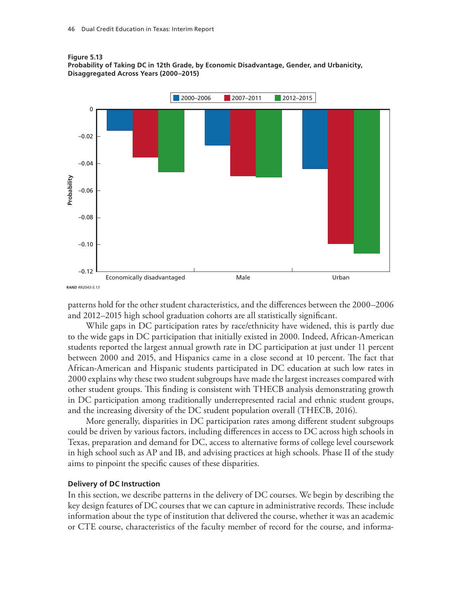



patterns hold for the other student characteristics, and the differences between the 2000–2006 and 2012–2015 high school graduation cohorts are all statistically significant.

While gaps in DC participation rates by race/ethnicity have widened, this is partly due to the wide gaps in DC participation that initially existed in 2000. Indeed, African-American students reported the largest annual growth rate in DC participation at just under 11 percent between 2000 and 2015, and Hispanics came in a close second at 10 percent. The fact that African-American and Hispanic students participated in DC education at such low rates in 2000 explains why these two student subgroups have made the largest increases compared with other student groups. This finding is consistent with THECB analysis demonstrating growth in DC participation among traditionally underrepresented racial and ethnic student groups, and the increasing diversity of the DC student population overall (THECB, 2016).

More generally, disparities in DC participation rates among different student subgroups could be driven by various factors, including differences in access to DC across high schools in Texas, preparation and demand for DC, access to alternative forms of college level coursework in high school such as AP and IB, and advising practices at high schools. Phase II of the study aims to pinpoint the specific causes of these disparities.

#### **Delivery of DC Instruction**

In this section, we describe patterns in the delivery of DC courses. We begin by describing the key design features of DC courses that we can capture in administrative records. These include information about the type of institution that delivered the course, whether it was an academic or CTE course, characteristics of the faculty member of record for the course, and informa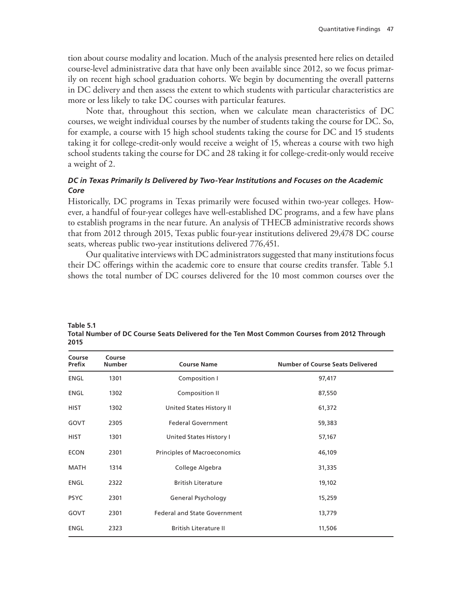tion about course modality and location. Much of the analysis presented here relies on detailed course-level administrative data that have only been available since 2012, so we focus primarily on recent high school graduation cohorts. We begin by documenting the overall patterns in DC delivery and then assess the extent to which students with particular characteristics are more or less likely to take DC courses with particular features.

Note that, throughout this section, when we calculate mean characteristics of DC courses, we weight individual courses by the number of students taking the course for DC. So, for example, a course with 15 high school students taking the course for DC and 15 students taking it for college-credit-only would receive a weight of 15, whereas a course with two high school students taking the course for DC and 28 taking it for college-credit-only would receive a weight of 2.

### *DC in Texas Primarily Is Delivered by Two-Year Institutions and Focuses on the Academic Core*

Historically, DC programs in Texas primarily were focused within two-year colleges. However, a handful of four-year colleges have well-established DC programs, and a few have plans to establish programs in the near future. An analysis of THECB administrative records shows that from 2012 through 2015, Texas public four-year institutions delivered 29,478 DC course seats, whereas public two-year institutions delivered 776,451.

Our qualitative interviews with DC administrators suggested that many institutions focus their DC offerings within the academic core to ensure that course credits transfer. Table 5.1 shows the total number of DC courses delivered for the 10 most common courses over the

| Course<br>Prefix | Course<br><b>Number</b> | <b>Course Name</b>                  | <b>Number of Course Seats Delivered</b> |  |
|------------------|-------------------------|-------------------------------------|-----------------------------------------|--|
| ENGL             | 1301                    | Composition I                       | 97,417                                  |  |
| ENGL             | 1302                    | Composition II                      | 87,550                                  |  |
| <b>HIST</b>      | 1302                    | United States History II            | 61,372                                  |  |
| GOVT             | 2305                    | <b>Federal Government</b>           | 59,383                                  |  |
| HIST             | 1301                    | United States History I             | 57,167                                  |  |
| <b>ECON</b>      | 2301                    | Principles of Macroeconomics        | 46,109                                  |  |
| MATH             | 1314                    | College Algebra                     | 31,335                                  |  |
| ENGL             | 2322                    | <b>British Literature</b>           | 19,102                                  |  |
| <b>PSYC</b>      | 2301                    | General Psychology                  | 15,259                                  |  |
| GOVT             | 2301                    | <b>Federal and State Government</b> | 13,779                                  |  |
| ENGL             | 2323                    | <b>British Literature II</b>        | 11,506                                  |  |

**Table 5.1 Total Number of DC Course Seats Delivered for the Ten Most Common Courses from 2012 Through 2015**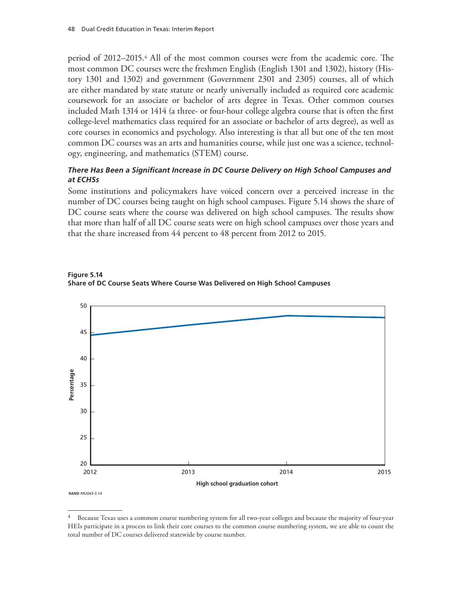period of 2012–2015.4 All of the most common courses were from the academic core. The most common DC courses were the freshmen English (English 1301 and 1302), history (History 1301 and 1302) and government (Government 2301 and 2305) courses, all of which are either mandated by state statute or nearly universally included as required core academic coursework for an associate or bachelor of arts degree in Texas. Other common courses included Math 1314 or 1414 (a three- or four-hour college algebra course that is often the first college-level mathematics class required for an associate or bachelor of arts degree), as well as core courses in economics and psychology. Also interesting is that all but one of the ten most common DC courses was an arts and humanities course, while just one was a science, technology, engineering, and mathematics (STEM) course.

### *There Has Been a Significant Increase in DC Course Delivery on High School Campuses and at ECHSs*

Some institutions and policymakers have voiced concern over a perceived increase in the number of DC courses being taught on high school campuses. Figure 5.14 shows the share of DC course seats where the course was delivered on high school campuses. The results show that more than half of all DC course seats were on high school campuses over those years and that the share increased from 44 percent to 48 percent from 2012 to 2015.





<sup>4</sup> Because Texas uses a common course numbering system for all two-year colleges and because the majority of four-year HEIs participate in a process to link their core courses to the common course numbering system, we are able to count the total number of DC courses delivered statewide by course number.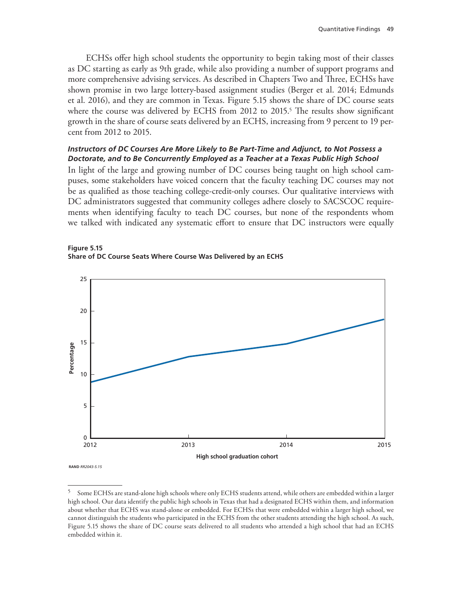ECHSs offer high school students the opportunity to begin taking most of their classes as DC starting as early as 9th grade, while also providing a number of support programs and more comprehensive advising services. As described in Chapters Two and Three, ECHSs have shown promise in two large lottery-based assignment studies (Berger et al. 2014; Edmunds et al. 2016), and they are common in Texas. Figure 5.15 shows the share of DC course seats where the course was delivered by ECHS from 2012 to 2015.<sup>5</sup> The results show significant growth in the share of course seats delivered by an ECHS, increasing from 9 percent to 19 percent from 2012 to 2015.

### *Instructors of DC Courses Are More Likely to Be Part-Time and Adjunct, to Not Possess a Doctorate, and to Be Concurrently Employed as a Teacher at a Texas Public High School*

In light of the large and growing number of DC courses being taught on high school campuses, some stakeholders have voiced concern that the faculty teaching DC courses may not be as qualified as those teaching college-credit-only courses. Our qualitative interviews with DC administrators suggested that community colleges adhere closely to SACSCOC requirements when identifying faculty to teach DC courses, but none of the respondents whom we talked with indicated any systematic effort to ensure that DC instructors were equally





**RAND** *RR2043-5.15*

<sup>5</sup> Some ECHSs are stand-alone high schools where only ECHS students attend, while others are embedded within a larger high school. Our data identify the public high schools in Texas that had a designated ECHS within them, and information about whether that ECHS was stand-alone or embedded. For ECHSs that were embedded within a larger high school, we cannot distinguish the students who participated in the ECHS from the other students attending the high school. As such, Figure 5.15 shows the share of DC course seats delivered to all students who attended a high school that had an ECHS embedded within it.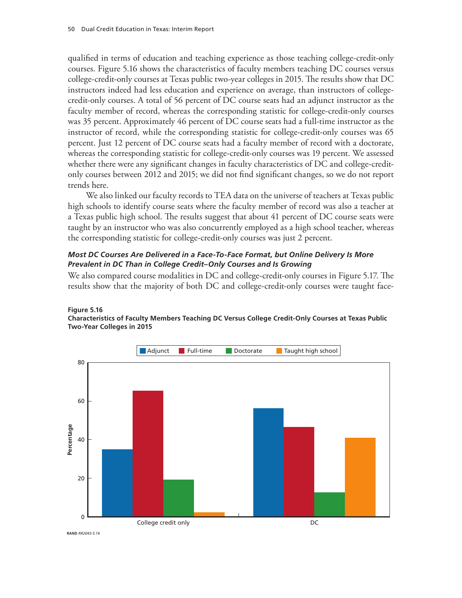qualified in terms of education and teaching experience as those teaching college-credit-only courses. Figure 5.16 shows the characteristics of faculty members teaching DC courses versus college-credit-only courses at Texas public two-year colleges in 2015. The results show that DC instructors indeed had less education and experience on average, than instructors of collegecredit-only courses. A total of 56 percent of DC course seats had an adjunct instructor as the faculty member of record, whereas the corresponding statistic for college-credit-only courses was 35 percent. Approximately 46 percent of DC course seats had a full-time instructor as the instructor of record, while the corresponding statistic for college-credit-only courses was 65 percent. Just 12 percent of DC course seats had a faculty member of record with a doctorate, whereas the corresponding statistic for college-credit-only courses was 19 percent. We assessed whether there were any significant changes in faculty characteristics of DC and college-creditonly courses between 2012 and 2015; we did not find significant changes, so we do not report trends here.

We also linked our faculty records to TEA data on the universe of teachers at Texas public high schools to identify course seats where the faculty member of record was also a teacher at a Texas public high school. The results suggest that about 41 percent of DC course seats were taught by an instructor who was also concurrently employed as a high school teacher, whereas the corresponding statistic for college-credit-only courses was just 2 percent.

## *Most DC Courses Are Delivered in a Face-To-Face Format, but Online Delivery Is More Prevalent in DC Than in College Credit–Only Courses and Is Growing*

We also compared course modalities in DC and college-credit-only courses in Figure 5.17. The results show that the majority of both DC and college-credit-only courses were taught face-



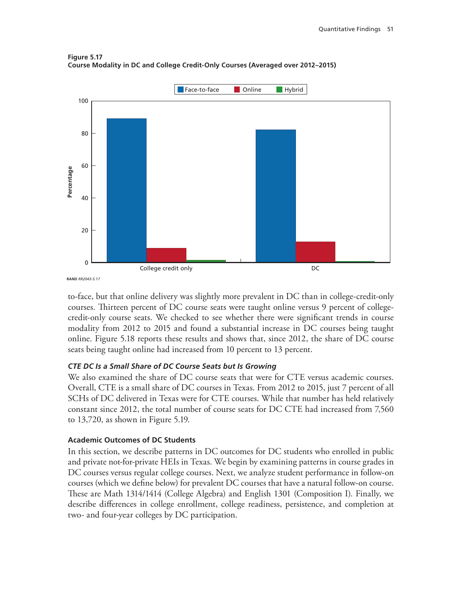



to-face, but that online delivery was slightly more prevalent in DC than in college-credit-only courses. Thirteen percent of DC course seats were taught online versus 9 percent of collegecredit-only course seats. We checked to see whether there were significant trends in course modality from 2012 to 2015 and found a substantial increase in DC courses being taught online. Figure 5.18 reports these results and shows that, since 2012, the share of DC course seats being taught online had increased from 10 percent to 13 percent.

### *CTE DC Is a Small Share of DC Course Seats but Is Growing*

We also examined the share of DC course seats that were for CTE versus academic courses. Overall, CTE is a small share of DC courses in Texas. From 2012 to 2015, just 7 percent of all SCHs of DC delivered in Texas were for CTE courses. While that number has held relatively constant since 2012, the total number of course seats for DC CTE had increased from 7,560 to 13,720, as shown in Figure 5.19.

### **Academic Outcomes of DC Students**

In this section, we describe patterns in DC outcomes for DC students who enrolled in public and private not-for-private HEIs in Texas. We begin by examining patterns in course grades in DC courses versus regular college courses. Next, we analyze student performance in follow-on courses (which we define below) for prevalent DC courses that have a natural follow-on course. These are Math 1314/1414 (College Algebra) and English 1301 (Composition I). Finally, we describe differences in college enrollment, college readiness, persistence, and completion at two- and four-year colleges by DC participation.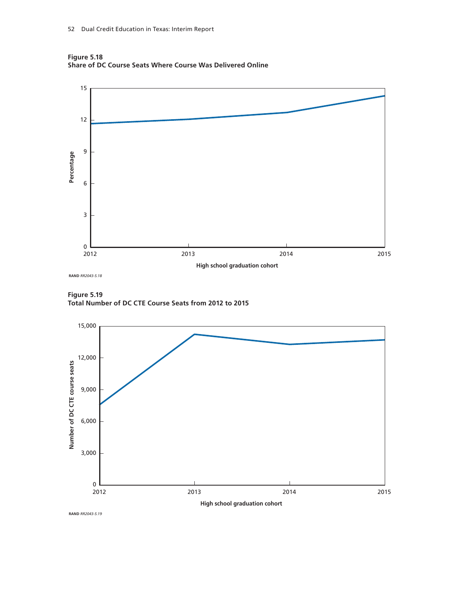



**Figure 5.19 Total Number of DC CTE Course Seats from 2012 to 2015**



**RAND** *RR2043-5.19*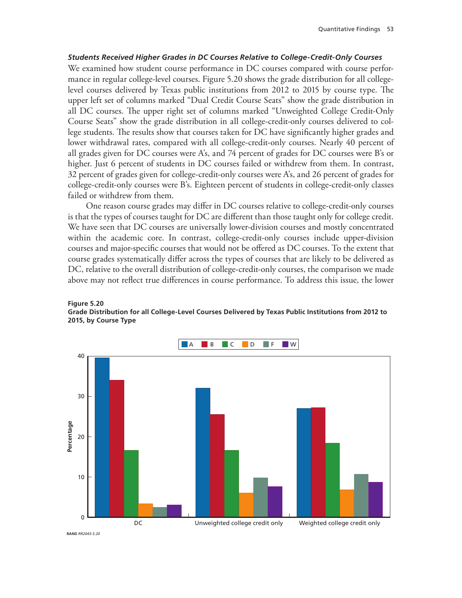### *Students Received Higher Grades in DC Courses Relative to College-Credit-Only Courses*

We examined how student course performance in DC courses compared with course performance in regular college-level courses. Figure 5.20 shows the grade distribution for all collegelevel courses delivered by Texas public institutions from 2012 to 2015 by course type. The upper left set of columns marked "Dual Credit Course Seats" show the grade distribution in all DC courses. The upper right set of columns marked "Unweighted College Credit-Only Course Seats" show the grade distribution in all college-credit-only courses delivered to college students. The results show that courses taken for DC have significantly higher grades and lower withdrawal rates, compared with all college-credit-only courses. Nearly 40 percent of all grades given for DC courses were A's, and 74 percent of grades for DC courses were B's or higher. Just 6 percent of students in DC courses failed or withdrew from them. In contrast, 32 percent of grades given for college-credit-only courses were A's, and 26 percent of grades for college-credit-only courses were B's. Eighteen percent of students in college-credit-only classes failed or withdrew from them.

One reason course grades may differ in DC courses relative to college-credit-only courses is that the types of courses taught for DC are different than those taught only for college credit. We have seen that DC courses are universally lower-division courses and mostly concentrated within the academic core. In contrast, college-credit-only courses include upper-division courses and major-specific courses that would not be offered as DC courses. To the extent that course grades systematically differ across the types of courses that are likely to be delivered as DC, relative to the overall distribution of college-credit-only courses, the comparison we made above may not reflect true differences in course performance. To address this issue, the lower



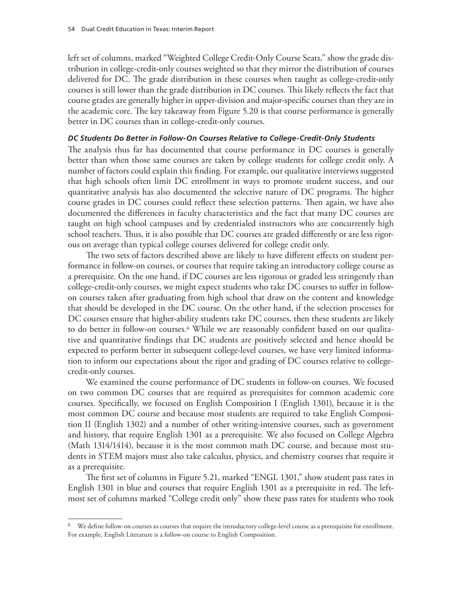left set of columns, marked "Weighted College Credit-Only Course Seats," show the grade distribution in college-credit-only courses weighted so that they mirror the distribution of courses delivered for DC. The grade distribution in these courses when taught as college-credit-only courses is still lower than the grade distribution in DC courses. This likely reflects the fact that course grades are generally higher in upper-division and major-specific courses than they are in the academic core. The key takeaway from Figure 5.20 is that course performance is generally better in DC courses than in college-credit-only courses.

### *DC Students Do Better in Follow-On Courses Relative to College-Credit-Only Students*

The analysis thus far has documented that course performance in DC courses is generally better than when those same courses are taken by college students for college credit only. A number of factors could explain this finding. For example, our qualitative interviews suggested that high schools often limit DC enrollment in ways to promote student success, and our quantitative analysis has also documented the selective nature of DC programs. The higher course grades in DC courses could reflect these selection patterns. Then again, we have also documented the differences in faculty characteristics and the fact that many DC courses are taught on high school campuses and by credentialed instructors who are concurrently high school teachers. Thus, it is also possible that DC courses are graded differently or are less rigorous on average than typical college courses delivered for college credit only.

The two sets of factors described above are likely to have different effects on student performance in follow-on courses, or courses that require taking an introductory college course as a prerequisite. On the one hand, if DC courses are less rigorous or graded less stringently than college-credit-only courses, we might expect students who take DC courses to suffer in followon courses taken after graduating from high school that draw on the content and knowledge that should be developed in the DC course. On the other hand, if the selection processes for DC courses ensure that higher-ability students take DC courses, then these students are likely to do better in follow-on courses.6 While we are reasonably confident based on our qualitative and quantitative findings that DC students are positively selected and hence should be expected to perform better in subsequent college-level courses, we have very limited information to inform our expectations about the rigor and grading of DC courses relative to collegecredit-only courses.

We examined the course performance of DC students in follow-on courses. We focused on two common DC courses that are required as prerequisites for common academic core courses. Specifically, we focused on English Composition I (English 1301), because it is the most common DC course and because most students are required to take English Composition II (English 1302) and a number of other writing-intensive courses, such as government and history, that require English 1301 as a prerequisite. We also focused on College Algebra (Math 1314/1414), because it is the most common math DC course, and because most students in STEM majors must also take calculus, physics, and chemistry courses that require it as a prerequisite.

The first set of columns in Figure 5.21, marked "ENGL 1301," show student pass rates in English 1301 in blue and courses that require English 1301 as a prerequisite in red. The leftmost set of columns marked "College credit only" show these pass rates for students who took

 $6$  We define follow-on courses as courses that require the introductory college-level course as a prerequisite for enrollment. For example, English Literature is a follow-on course to English Composition.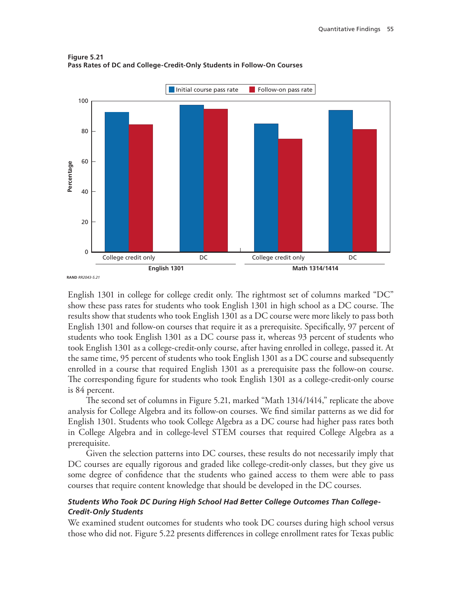

**Figure 5.21 Pass Rates of DC and College-Credit-Only Students in Follow-On Courses**

English 1301 in college for college credit only. The rightmost set of columns marked "DC" show these pass rates for students who took English 1301 in high school as a DC course. The results show that students who took English 1301 as a DC course were more likely to pass both English 1301 and follow-on courses that require it as a prerequisite. Specifically, 97 percent of students who took English 1301 as a DC course pass it, whereas 93 percent of students who took English 1301 as a college-credit-only course, after having enrolled in college, passed it. At the same time, 95 percent of students who took English 1301 as a DC course and subsequently enrolled in a course that required English 1301 as a prerequisite pass the follow-on course. The corresponding figure for students who took English 1301 as a college-credit-only course is 84 percent.

The second set of columns in Figure 5.21, marked "Math 1314/1414," replicate the above analysis for College Algebra and its follow-on courses. We find similar patterns as we did for English 1301. Students who took College Algebra as a DC course had higher pass rates both in College Algebra and in college-level STEM courses that required College Algebra as a prerequisite.

Given the selection patterns into DC courses, these results do not necessarily imply that DC courses are equally rigorous and graded like college-credit-only classes, but they give us some degree of confidence that the students who gained access to them were able to pass courses that require content knowledge that should be developed in the DC courses.

### *Students Who Took DC During High School Had Better College Outcomes Than College-Credit-Only Students*

We examined student outcomes for students who took DC courses during high school versus those who did not. Figure 5.22 presents differences in college enrollment rates for Texas public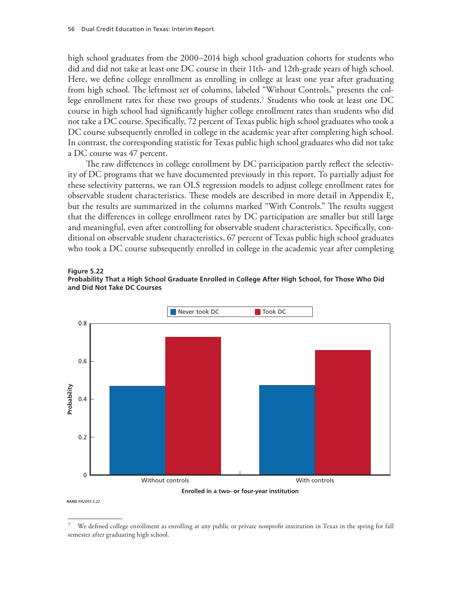high school graduates from the 2000–2014 high school graduation cohorts for students who did and did not take at least one DC course in their 11th- and 12th-grade years of high school. Here, we define college enrollment as enrolling in college at least one year after graduating from high school. The leftmost set of columns, labeled "Without Controls," presents the college enrollment rates for these two groups of students.7 Students who took at least one DC course in high school had significantly higher college enrollment rates than students who did not take a DC course. Specifically, 72 percent of Texas public high school graduates who took a DC course subsequently enrolled in college in the academic year after completing high school. In contrast, the corresponding statistic for Texas public high school graduates who did not take a DC course was 47 percent.

The raw differences in college enrollment by DC participation partly reflect the selectivity of DC programs that we have documented previously in this report. To partially adjust for these selectivity patterns, we ran OLS regression models to adjust college enrollment rates for observable student characteristics. These models are described in more detail in Appendix E, but the results are summarized in the columns marked "With Controls." The results suggest that the differences in college enrollment rates by DC participation are smaller but still large and meaningful, even after controlling for observable student characteristics. Specifically, conditional on observable student characteristics, 67 percent of Texas public high school graduates who took a DC course subsequently enrolled in college in the academic year after completing

#### **Figure 5.22**







<sup>7</sup> We defined college enrollment as enrolling at any public or private nonprofit institution in Texas in the spring for fall semester after graduating high school.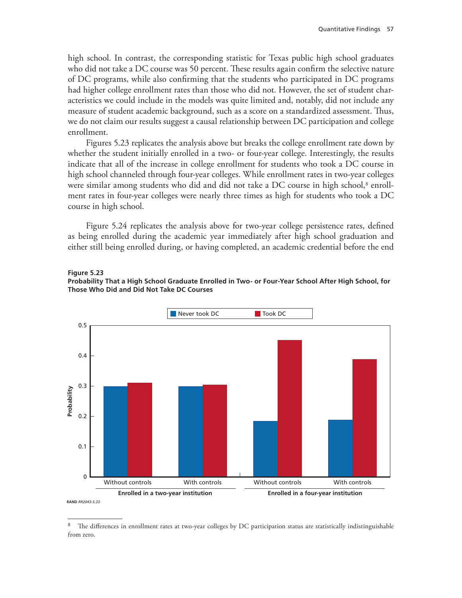high school. In contrast, the corresponding statistic for Texas public high school graduates who did not take a DC course was 50 percent. These results again confirm the selective nature of DC programs, while also confirming that the students who participated in DC programs had higher college enrollment rates than those who did not. However, the set of student characteristics we could include in the models was quite limited and, notably, did not include any measure of student academic background, such as a score on a standardized assessment. Thus, we do not claim our results suggest a causal relationship between DC participation and college enrollment.

Figures 5.23 replicates the analysis above but breaks the college enrollment rate down by whether the student initially enrolled in a two- or four-year college. Interestingly, the results indicate that all of the increase in college enrollment for students who took a DC course in high school channeled through four-year colleges. While enrollment rates in two-year colleges were similar among students who did and did not take a DC course in high school, $^8$  enrollment rates in four-year colleges were nearly three times as high for students who took a DC course in high school.

Figure 5.24 replicates the analysis above for two-year college persistence rates, defined as being enrolled during the academic year immediately after high school graduation and either still being enrolled during, or having completed, an academic credential before the end







<sup>&</sup>lt;sup>8</sup> The differences in enrollment rates at two-year colleges by DC participation status are statistically indistinguishable from zero.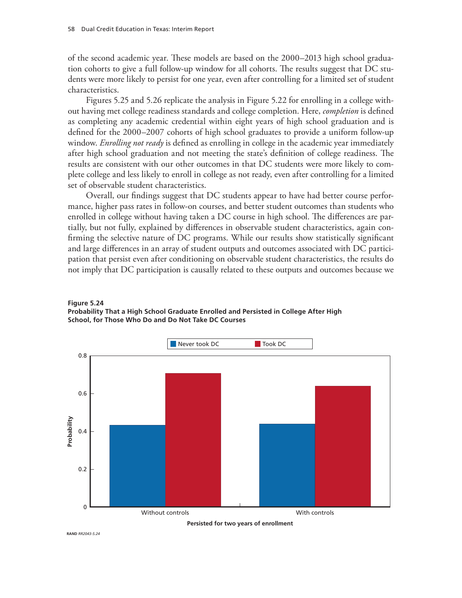of the second academic year. These models are based on the 2000–2013 high school graduation cohorts to give a full follow-up window for all cohorts. The results suggest that DC students were more likely to persist for one year, even after controlling for a limited set of student characteristics.

Figures 5.25 and 5.26 replicate the analysis in Figure 5.22 for enrolling in a college without having met college readiness standards and college completion. Here, *completion* is defined as completing any academic credential within eight years of high school graduation and is defined for the 2000–2007 cohorts of high school graduates to provide a uniform follow-up window. *Enrolling not ready* is defined as enrolling in college in the academic year immediately after high school graduation and not meeting the state's definition of college readiness. The results are consistent with our other outcomes in that DC students were more likely to complete college and less likely to enroll in college as not ready, even after controlling for a limited set of observable student characteristics.

Overall, our findings suggest that DC students appear to have had better course performance, higher pass rates in follow-on courses, and better student outcomes than students who enrolled in college without having taken a DC course in high school. The differences are partially, but not fully, explained by differences in observable student characteristics, again confirming the selective nature of DC programs. While our results show statistically significant and large differences in an array of student outputs and outcomes associated with DC participation that persist even after conditioning on observable student characteristics, the results do not imply that DC participation is causally related to these outputs and outcomes because we





**Persisted for two years of enrollment**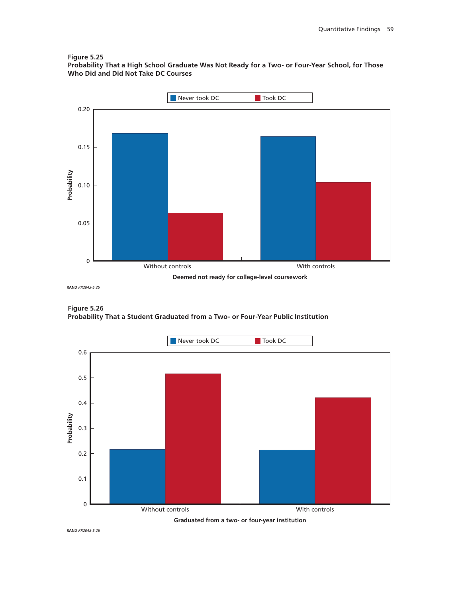#### **Figure 5.25**

**Probability That a High School Graduate Was Not Ready for a Two- or Four-Year School, for Those Who Did and Did Not Take DC Courses**



**Figure 5.26 Probability That a Student Graduated from a Two- or Four-Year Public Institution**



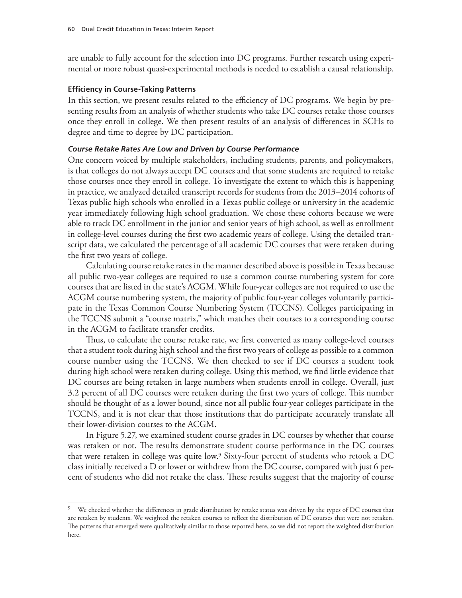are unable to fully account for the selection into DC programs. Further research using experimental or more robust quasi-experimental methods is needed to establish a causal relationship.

#### **Efficiency in Course-Taking Patterns**

In this section, we present results related to the efficiency of DC programs. We begin by presenting results from an analysis of whether students who take DC courses retake those courses once they enroll in college. We then present results of an analysis of differences in SCHs to degree and time to degree by DC participation.

#### *Course Retake Rates Are Low and Driven by Course Performance*

One concern voiced by multiple stakeholders, including students, parents, and policymakers, is that colleges do not always accept DC courses and that some students are required to retake those courses once they enroll in college. To investigate the extent to which this is happening in practice, we analyzed detailed transcript records for students from the 2013–2014 cohorts of Texas public high schools who enrolled in a Texas public college or university in the academic year immediately following high school graduation. We chose these cohorts because we were able to track DC enrollment in the junior and senior years of high school, as well as enrollment in college-level courses during the first two academic years of college. Using the detailed transcript data, we calculated the percentage of all academic DC courses that were retaken during the first two years of college.

Calculating course retake rates in the manner described above is possible in Texas because all public two-year colleges are required to use a common course numbering system for core courses that are listed in the state's ACGM. While four-year colleges are not required to use the ACGM course numbering system, the majority of public four-year colleges voluntarily participate in the Texas Common Course Numbering System (TCCNS). Colleges participating in the TCCNS submit a "course matrix," which matches their courses to a corresponding course in the ACGM to facilitate transfer credits.

Thus, to calculate the course retake rate, we first converted as many college-level courses that a student took during high school and the first two years of college as possible to a common course number using the TCCNS. We then checked to see if DC courses a student took during high school were retaken during college. Using this method, we find little evidence that DC courses are being retaken in large numbers when students enroll in college. Overall, just 3.2 percent of all DC courses were retaken during the first two years of college. This number should be thought of as a lower bound, since not all public four-year colleges participate in the TCCNS, and it is not clear that those institutions that do participate accurately translate all their lower-division courses to the ACGM.

In Figure 5.27, we examined student course grades in DC courses by whether that course was retaken or not. The results demonstrate student course performance in the DC courses that were retaken in college was quite low.9 Sixty-four percent of students who retook a DC class initially received a D or lower or withdrew from the DC course, compared with just 6 percent of students who did not retake the class. These results suggest that the majority of course

<sup>&</sup>lt;sup>9</sup> We checked whether the differences in grade distribution by retake status was driven by the types of DC courses that are retaken by students. We weighted the retaken courses to reflect the distribution of DC courses that were not retaken. The patterns that emerged were qualitatively similar to those reported here, so we did not report the weighted distribution here.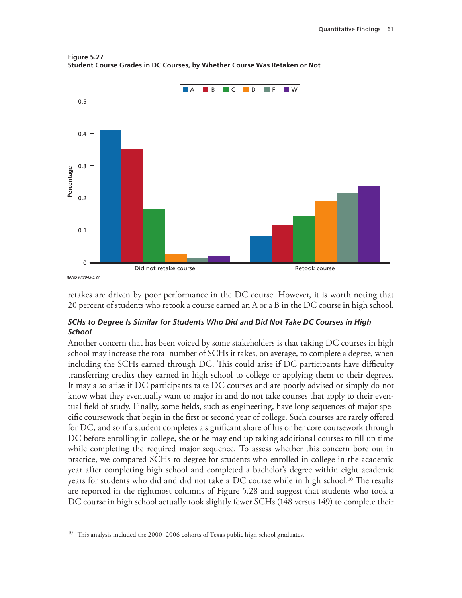



retakes are driven by poor performance in the DC course. However, it is worth noting that 20 percent of students who retook a course earned an A or a B in the DC course in high school.

### *SCHs to Degree Is Similar for Students Who Did and Did Not Take DC Courses in High School*

Another concern that has been voiced by some stakeholders is that taking DC courses in high school may increase the total number of SCHs it takes, on average, to complete a degree, when including the SCHs earned through DC. This could arise if DC participants have difficulty transferring credits they earned in high school to college or applying them to their degrees. It may also arise if DC participants take DC courses and are poorly advised or simply do not know what they eventually want to major in and do not take courses that apply to their eventual field of study. Finally, some fields, such as engineering, have long sequences of major-specific coursework that begin in the first or second year of college. Such courses are rarely offered for DC, and so if a student completes a significant share of his or her core coursework through DC before enrolling in college, she or he may end up taking additional courses to fill up time while completing the required major sequence. To assess whether this concern bore out in practice, we compared SCHs to degree for students who enrolled in college in the academic year after completing high school and completed a bachelor's degree within eight academic years for students who did and did not take a DC course while in high school.10 The results are reported in the rightmost columns of Figure 5.28 and suggest that students who took a DC course in high school actually took slightly fewer SCHs (148 versus 149) to complete their

<sup>10</sup> This analysis included the 2000–2006 cohorts of Texas public high school graduates.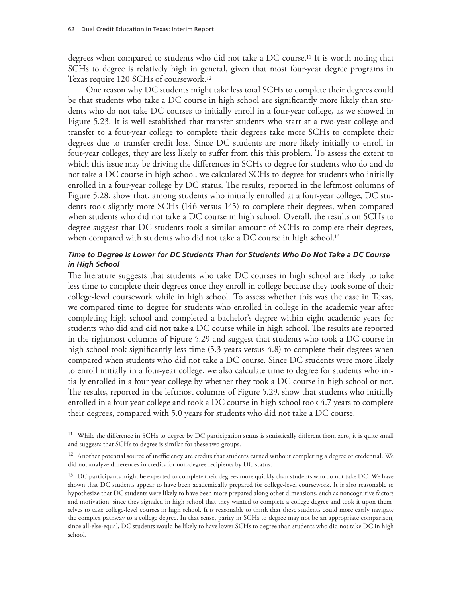degrees when compared to students who did not take a DC course.11 It is worth noting that SCHs to degree is relatively high in general, given that most four-year degree programs in Texas require 120 SCHs of coursework.12

One reason why DC students might take less total SCHs to complete their degrees could be that students who take a DC course in high school are significantly more likely than students who do not take DC courses to initially enroll in a four-year college, as we showed in Figure 5.23. It is well established that transfer students who start at a two-year college and transfer to a four-year college to complete their degrees take more SCHs to complete their degrees due to transfer credit loss. Since DC students are more likely initially to enroll in four-year colleges, they are less likely to suffer from this this problem. To assess the extent to which this issue may be driving the differences in SCHs to degree for students who do and do not take a DC course in high school, we calculated SCHs to degree for students who initially enrolled in a four-year college by DC status. The results, reported in the leftmost columns of Figure 5.28, show that, among students who initially enrolled at a four-year college, DC students took slightly more SCHs (146 versus 145) to complete their degrees, when compared when students who did not take a DC course in high school. Overall, the results on SCHs to degree suggest that DC students took a similar amount of SCHs to complete their degrees, when compared with students who did not take a DC course in high school.<sup>13</sup>

#### *Time to Degree Is Lower for DC Students Than for Students Who Do Not Take a DC Course in High School*

The literature suggests that students who take DC courses in high school are likely to take less time to complete their degrees once they enroll in college because they took some of their college-level coursework while in high school. To assess whether this was the case in Texas, we compared time to degree for students who enrolled in college in the academic year after completing high school and completed a bachelor's degree within eight academic years for students who did and did not take a DC course while in high school. The results are reported in the rightmost columns of Figure 5.29 and suggest that students who took a DC course in high school took significantly less time (5.3 years versus 4.8) to complete their degrees when compared when students who did not take a DC course. Since DC students were more likely to enroll initially in a four-year college, we also calculate time to degree for students who initially enrolled in a four-year college by whether they took a DC course in high school or not. The results, reported in the leftmost columns of Figure 5.29, show that students who initially enrolled in a four-year college and took a DC course in high school took 4.7 years to complete their degrees, compared with 5.0 years for students who did not take a DC course.

<sup>&</sup>lt;sup>11</sup> While the difference in SCHs to degree by DC participation status is statistically different from zero, it is quite small and suggests that SCHs to degree is similar for these two groups.

 $12$  Another potential source of inefficiency are credits that students earned without completing a degree or credential. We did not analyze differences in credits for non-degree recipients by DC status.

 $13$  DC participants might be expected to complete their degrees more quickly than students who do not take DC. We have shown that DC students appear to have been academically prepared for college-level coursework. It is also reasonable to hypothesize that DC students were likely to have been more prepared along other dimensions, such as noncognitive factors and motivation, since they signaled in high school that they wanted to complete a college degree and took it upon themselves to take college-level courses in high school. It is reasonable to think that these students could more easily navigate the complex pathway to a college degree. In that sense, parity in SCHs to degree may not be an appropriate comparison, since all-else-equal, DC students would be likely to have lower SCHs to degree than students who did not take DC in high school.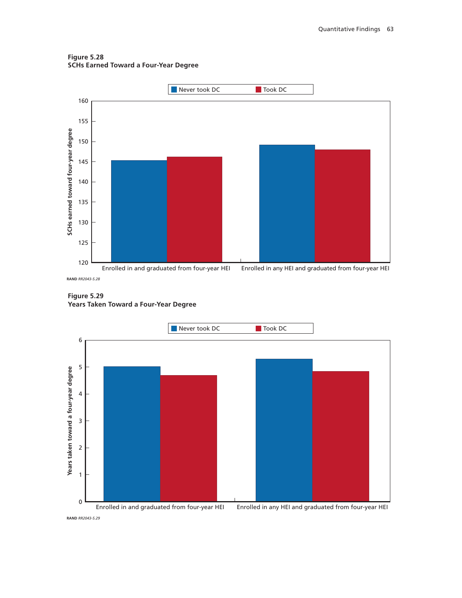**Figure 5.28 SCHs Earned Toward a Four-Year Degree**



**Figure 5.29 Years Taken Toward a Four-Year Degree**

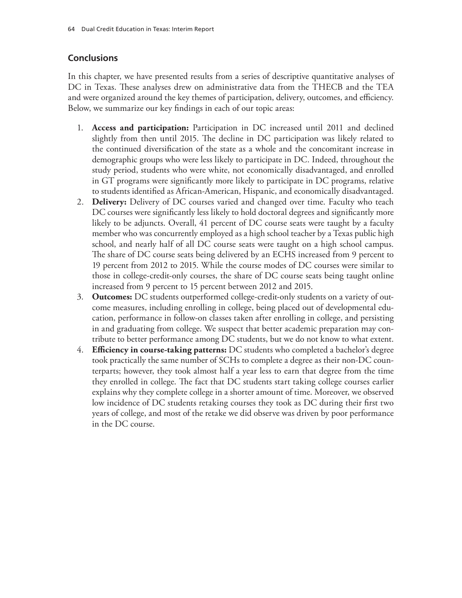## **Conclusions**

In this chapter, we have presented results from a series of descriptive quantitative analyses of DC in Texas. These analyses drew on administrative data from the THECB and the TEA and were organized around the key themes of participation, delivery, outcomes, and efficiency. Below, we summarize our key findings in each of our topic areas:

- 1. **Access and participation:** Participation in DC increased until 2011 and declined slightly from then until 2015. The decline in DC participation was likely related to the continued diversification of the state as a whole and the concomitant increase in demographic groups who were less likely to participate in DC. Indeed, throughout the study period, students who were white, not economically disadvantaged, and enrolled in GT programs were significantly more likely to participate in DC programs, relative to students identified as African-American, Hispanic, and economically disadvantaged.
- 2. **Delivery:** Delivery of DC courses varied and changed over time. Faculty who teach DC courses were significantly less likely to hold doctoral degrees and significantly more likely to be adjuncts. Overall, 41 percent of DC course seats were taught by a faculty member who was concurrently employed as a high school teacher by a Texas public high school, and nearly half of all DC course seats were taught on a high school campus. The share of DC course seats being delivered by an ECHS increased from 9 percent to 19 percent from 2012 to 2015. While the course modes of DC courses were similar to those in college-credit-only courses, the share of DC course seats being taught online increased from 9 percent to 15 percent between 2012 and 2015.
- 3. **Outcomes:** DC students outperformed college-credit-only students on a variety of outcome measures, including enrolling in college, being placed out of developmental education, performance in follow-on classes taken after enrolling in college, and persisting in and graduating from college. We suspect that better academic preparation may contribute to better performance among DC students, but we do not know to what extent.
- 4. **Efficiency in course-taking patterns:** DC students who completed a bachelor's degree took practically the same number of SCHs to complete a degree as their non-DC counterparts; however, they took almost half a year less to earn that degree from the time they enrolled in college. The fact that DC students start taking college courses earlier explains why they complete college in a shorter amount of time. Moreover, we observed low incidence of DC students retaking courses they took as DC during their first two years of college, and most of the retake we did observe was driven by poor performance in the DC course.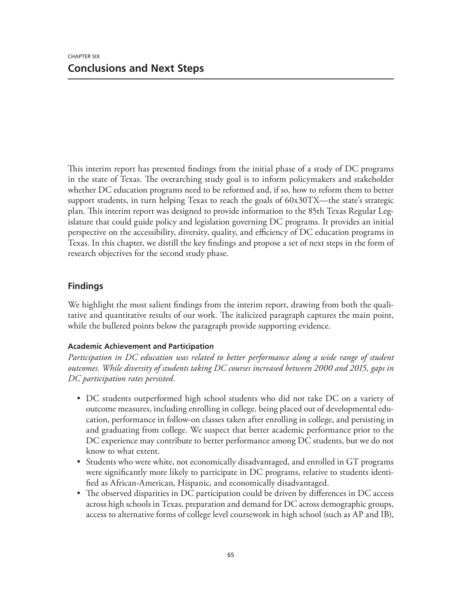This interim report has presented findings from the initial phase of a study of DC programs in the state of Texas. The overarching study goal is to inform policymakers and stakeholder whether DC education programs need to be reformed and, if so, how to reform them to better support students, in turn helping Texas to reach the goals of 60x30TX—the state's strategic plan. This interim report was designed to provide information to the 85th Texas Regular Legislature that could guide policy and legislation governing DC programs. It provides an initial perspective on the accessibility, diversity, quality, and efficiency of DC education programs in Texas. In this chapter, we distill the key findings and propose a set of next steps in the form of research objectives for the second study phase.

## **Findings**

We highlight the most salient findings from the interim report, drawing from both the qualitative and quantitative results of our work. The italicized paragraph captures the main point, while the bulleted points below the paragraph provide supporting evidence.

### **Academic Achievement and Participation**

*Participation in DC education was related to better performance along a wide range of student outcomes. While diversity of students taking DC courses increased between 2000 and 2015, gaps in DC participation rates persisted.* 

- DC students outperformed high school students who did not take DC on a variety of outcome measures, including enrolling in college, being placed out of developmental education, performance in follow-on classes taken after enrolling in college, and persisting in and graduating from college. We suspect that better academic performance prior to the DC experience may contribute to better performance among DC students, but we do not know to what extent.
- Students who were white, not economically disadvantaged, and enrolled in GT programs were significantly more likely to participate in DC programs, relative to students identified as African-American, Hispanic, and economically disadvantaged.
- The observed disparities in DC participation could be driven by differences in DC access across high schools in Texas, preparation and demand for DC across demographic groups, access to alternative forms of college level coursework in high school (such as AP and IB),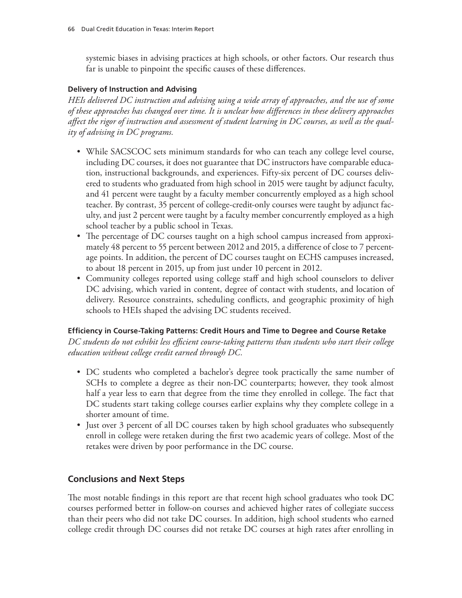systemic biases in advising practices at high schools, or other factors. Our research thus far is unable to pinpoint the specific causes of these differences.

### **Delivery of Instruction and Advising**

*HEIs delivered DC instruction and advising using a wide array of approaches, and the use of some of these approaches has changed over time. It is unclear how differences in these delivery approaches affect the rigor of instruction and assessment of student learning in DC courses, as well as the quality of advising in DC programs.*

- While SACSCOC sets minimum standards for who can teach any college level course, including DC courses, it does not guarantee that DC instructors have comparable education, instructional backgrounds, and experiences. Fifty-six percent of DC courses delivered to students who graduated from high school in 2015 were taught by adjunct faculty, and 41 percent were taught by a faculty member concurrently employed as a high school teacher. By contrast, 35 percent of college-credit-only courses were taught by adjunct faculty, and just 2 percent were taught by a faculty member concurrently employed as a high school teacher by a public school in Texas.
- The percentage of DC courses taught on a high school campus increased from approximately 48 percent to 55 percent between 2012 and 2015, a difference of close to 7 percentage points. In addition, the percent of DC courses taught on ECHS campuses increased, to about 18 percent in 2015, up from just under 10 percent in 2012.
- Community colleges reported using college staff and high school counselors to deliver DC advising, which varied in content, degree of contact with students, and location of delivery. Resource constraints, scheduling conflicts, and geographic proximity of high schools to HEIs shaped the advising DC students received.

### **Efficiency in Course-Taking Patterns: Credit Hours and Time to Degree and Course Retake**

*DC students do not exhibit less efficient course-taking patterns than students who start their college education without college credit earned through DC.*

- DC students who completed a bachelor's degree took practically the same number of SCHs to complete a degree as their non-DC counterparts; however, they took almost half a year less to earn that degree from the time they enrolled in college. The fact that DC students start taking college courses earlier explains why they complete college in a shorter amount of time.
- Just over 3 percent of all DC courses taken by high school graduates who subsequently enroll in college were retaken during the first two academic years of college. Most of the retakes were driven by poor performance in the DC course.

## **Conclusions and Next Steps**

The most notable findings in this report are that recent high school graduates who took DC courses performed better in follow-on courses and achieved higher rates of collegiate success than their peers who did not take DC courses. In addition, high school students who earned college credit through DC courses did not retake DC courses at high rates after enrolling in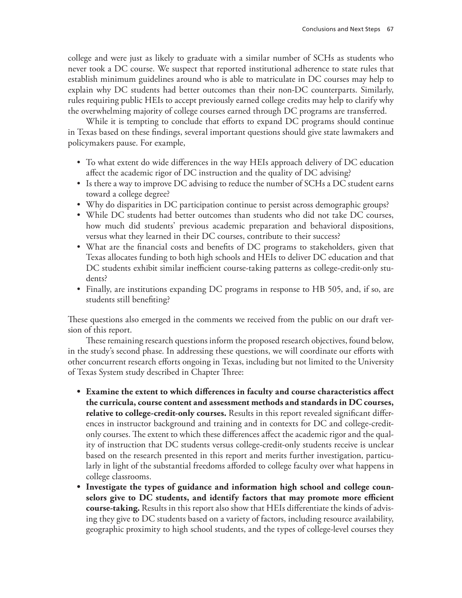college and were just as likely to graduate with a similar number of SCHs as students who never took a DC course. We suspect that reported institutional adherence to state rules that establish minimum guidelines around who is able to matriculate in DC courses may help to explain why DC students had better outcomes than their non-DC counterparts. Similarly, rules requiring public HEIs to accept previously earned college credits may help to clarify why the overwhelming majority of college courses earned through DC programs are transferred.

While it is tempting to conclude that efforts to expand DC programs should continue in Texas based on these findings, several important questions should give state lawmakers and policymakers pause. For example,

- To what extent do wide differences in the way HEIs approach delivery of DC education affect the academic rigor of DC instruction and the quality of DC advising?
- Is there a way to improve DC advising to reduce the number of SCHs a DC student earns toward a college degree?
- Why do disparities in DC participation continue to persist across demographic groups?
- While DC students had better outcomes than students who did not take DC courses, how much did students' previous academic preparation and behavioral dispositions, versus what they learned in their DC courses, contribute to their success?
- What are the financial costs and benefits of DC programs to stakeholders, given that Texas allocates funding to both high schools and HEIs to deliver DC education and that DC students exhibit similar inefficient course-taking patterns as college-credit-only students?
- Finally, are institutions expanding DC programs in response to HB 505, and, if so, are students still benefiting?

These questions also emerged in the comments we received from the public on our draft version of this report.

These remaining research questions inform the proposed research objectives, found below, in the study's second phase. In addressing these questions, we will coordinate our efforts with other concurrent research efforts ongoing in Texas, including but not limited to the University of Texas System study described in Chapter Three:

- **• Examine the extent to which differences in faculty and course characteristics affect the curricula, course content and assessment methods and standards in DC courses, relative to college-credit-only courses.** Results in this report revealed significant differences in instructor background and training and in contexts for DC and college-creditonly courses. The extent to which these differences affect the academic rigor and the quality of instruction that DC students versus college-credit-only students receive is unclear based on the research presented in this report and merits further investigation, particularly in light of the substantial freedoms afforded to college faculty over what happens in college classrooms.
- **• Investigate the types of guidance and information high school and college counselors give to DC students, and identify factors that may promote more efficient course-taking.** Results in this report also show that HEIs differentiate the kinds of advising they give to DC students based on a variety of factors, including resource availability, geographic proximity to high school students, and the types of college-level courses they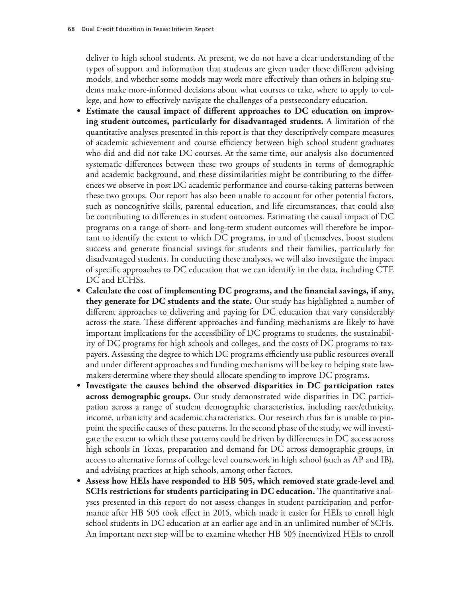deliver to high school students. At present, we do not have a clear understanding of the types of support and information that students are given under these different advising models, and whether some models may work more effectively than others in helping students make more-informed decisions about what courses to take, where to apply to college, and how to effectively navigate the challenges of a postsecondary education.

- **• Estimate the causal impact of different approaches to DC education on improving student outcomes, particularly for disadvantaged students.** A limitation of the quantitative analyses presented in this report is that they descriptively compare measures of academic achievement and course efficiency between high school student graduates who did and did not take DC courses. At the same time, our analysis also documented systematic differences between these two groups of students in terms of demographic and academic background, and these dissimilarities might be contributing to the differences we observe in post DC academic performance and course-taking patterns between these two groups. Our report has also been unable to account for other potential factors, such as noncognitive skills, parental education, and life circumstances, that could also be contributing to differences in student outcomes. Estimating the causal impact of DC programs on a range of short- and long-term student outcomes will therefore be important to identify the extent to which DC programs, in and of themselves, boost student success and generate financial savings for students and their families, particularly for disadvantaged students. In conducting these analyses, we will also investigate the impact of specific approaches to DC education that we can identify in the data, including CTE DC and ECHSs.
- **• Calculate the cost of implementing DC programs, and the financial savings, if any, they generate for DC students and the state.** Our study has highlighted a number of different approaches to delivering and paying for DC education that vary considerably across the state. These different approaches and funding mechanisms are likely to have important implications for the accessibility of DC programs to students, the sustainability of DC programs for high schools and colleges, and the costs of DC programs to taxpayers. Assessing the degree to which DC programs efficiently use public resources overall and under different approaches and funding mechanisms will be key to helping state lawmakers determine where they should allocate spending to improve DC programs.
- **• Investigate the causes behind the observed disparities in DC participation rates across demographic groups.** Our study demonstrated wide disparities in DC participation across a range of student demographic characteristics, including race/ethnicity, income, urbanicity and academic characteristics. Our research thus far is unable to pinpoint the specific causes of these patterns. In the second phase of the study, we will investigate the extent to which these patterns could be driven by differences in DC access across high schools in Texas, preparation and demand for DC across demographic groups, in access to alternative forms of college level coursework in high school (such as AP and IB), and advising practices at high schools, among other factors.
- **• Assess how HEIs have responded to HB 505, which removed state grade-level and SCHs restrictions for students participating in DC education.** The quantitative analyses presented in this report do not assess changes in student participation and performance after HB 505 took effect in 2015, which made it easier for HEIs to enroll high school students in DC education at an earlier age and in an unlimited number of SCHs. An important next step will be to examine whether HB 505 incentivized HEIs to enroll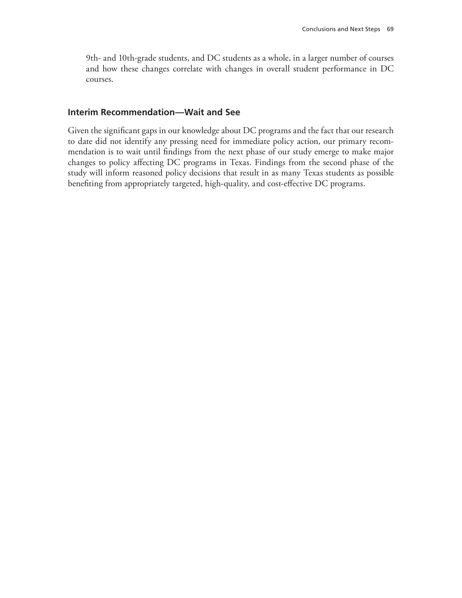9th- and 10th-grade students, and DC students as a whole, in a larger number of courses and how these changes correlate with changes in overall student performance in DC courses.

#### **Interim Recommendation—Wait and See**

Given the significant gaps in our knowledge about DC programs and the fact that our research to date did not identify any pressing need for immediate policy action, our primary recommendation is to wait until findings from the next phase of our study emerge to make major changes to policy affecting DC programs in Texas. Findings from the second phase of the study will inform reasoned policy decisions that result in as many Texas students as possible benefiting from appropriately targeted, high-quality, and cost-effective DC programs.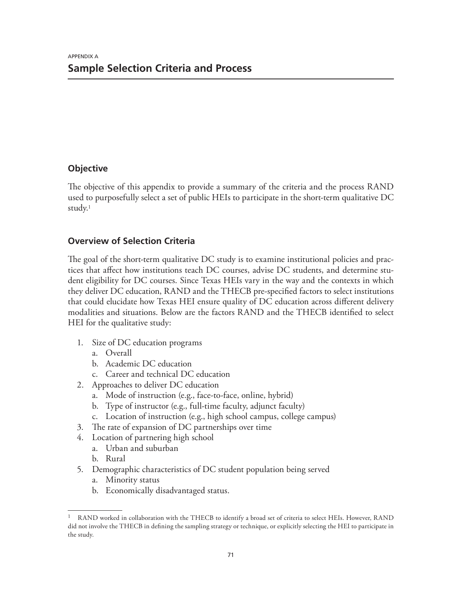# **Objective**

The objective of this appendix to provide a summary of the criteria and the process RAND used to purposefully select a set of public HEIs to participate in the short-term qualitative DC study.1

# **Overview of Selection Criteria**

The goal of the short-term qualitative DC study is to examine institutional policies and practices that affect how institutions teach DC courses, advise DC students, and determine student eligibility for DC courses. Since Texas HEIs vary in the way and the contexts in which they deliver DC education, RAND and the THECB pre-specified factors to select institutions that could elucidate how Texas HEI ensure quality of DC education across different delivery modalities and situations. Below are the factors RAND and the THECB identified to select HEI for the qualitative study:

- 1. Size of DC education programs
	- a. Overall
	- b. Academic DC education
	- c. Career and technical DC education
- 2. Approaches to deliver DC education
	- a. Mode of instruction (e.g., face-to-face, online, hybrid)
	- b. Type of instructor (e.g., full-time faculty, adjunct faculty)
	- c. Location of instruction (e.g., high school campus, college campus)
- 3. The rate of expansion of DC partnerships over time
- 4. Location of partnering high school
	- a. Urban and suburban
	- b. Rural
- 5. Demographic characteristics of DC student population being served
	- a. Minority status
	- b. Economically disadvantaged status.

<sup>1</sup> RAND worked in collaboration with the THECB to identify a broad set of criteria to select HEIs. However, RAND did not involve the THECB in defining the sampling strategy or technique, or explicitly selecting the HEI to participate in the study.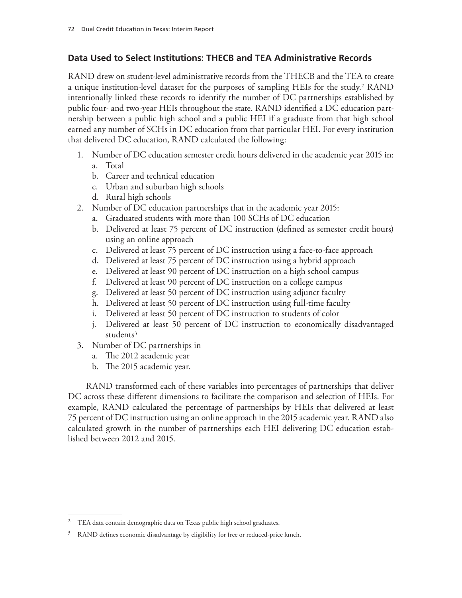# **Data Used to Select Institutions: THECB and TEA Administrative Records**

RAND drew on student-level administrative records from the THECB and the TEA to create a unique institution-level dataset for the purposes of sampling HEIs for the study.2 RAND intentionally linked these records to identify the number of DC partnerships established by public four- and two-year HEIs throughout the state. RAND identified a DC education partnership between a public high school and a public HEI if a graduate from that high school earned any number of SCHs in DC education from that particular HEI. For every institution that delivered DC education, RAND calculated the following:

- 1. Number of DC education semester credit hours delivered in the academic year 2015 in: a. Total
	- b. Career and technical education
	- c. Urban and suburban high schools
	- d. Rural high schools
- 2. Number of DC education partnerships that in the academic year 2015:
	- a. Graduated students with more than 100 SCHs of DC education
	- b. Delivered at least 75 percent of DC instruction (defined as semester credit hours) using an online approach
	- c. Delivered at least 75 percent of DC instruction using a face-to-face approach
	- d. Delivered at least 75 percent of DC instruction using a hybrid approach
	- e. Delivered at least 90 percent of DC instruction on a high school campus
	- f. Delivered at least 90 percent of DC instruction on a college campus
	- g. Delivered at least 50 percent of DC instruction using adjunct faculty
	- h. Delivered at least 50 percent of DC instruction using full-time faculty
	- i. Delivered at least 50 percent of DC instruction to students of color
	- j. Delivered at least 50 percent of DC instruction to economically disadvantaged students<sup>3</sup>
- 3. Number of DC partnerships in
	- a. The 2012 academic year
	- b. The 2015 academic year.

RAND transformed each of these variables into percentages of partnerships that deliver DC across these different dimensions to facilitate the comparison and selection of HEIs. For example, RAND calculated the percentage of partnerships by HEIs that delivered at least 75 percent of DC instruction using an online approach in the 2015 academic year. RAND also calculated growth in the number of partnerships each HEI delivering DC education established between 2012 and 2015.

<sup>&</sup>lt;sup>2</sup> TEA data contain demographic data on Texas public high school graduates.

<sup>&</sup>lt;sup>3</sup> RAND defines economic disadvantage by eligibility for free or reduced-price lunch.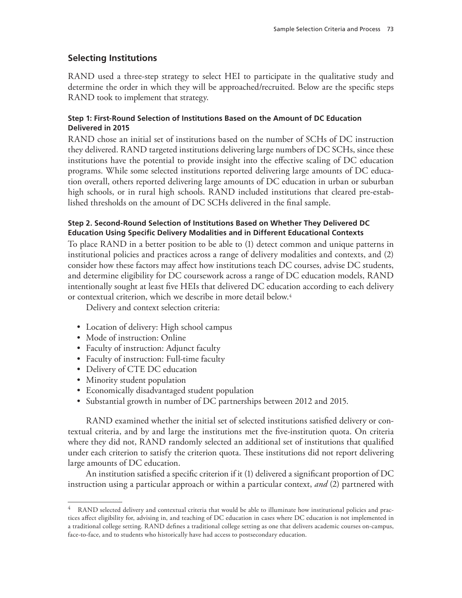# **Selecting Institutions**

RAND used a three-step strategy to select HEI to participate in the qualitative study and determine the order in which they will be approached/recruited. Below are the specific steps RAND took to implement that strategy.

### **Step 1: First-Round Selection of Institutions Based on the Amount of DC Education Delivered in 2015**

RAND chose an initial set of institutions based on the number of SCHs of DC instruction they delivered. RAND targeted institutions delivering large numbers of DC SCHs, since these institutions have the potential to provide insight into the effective scaling of DC education programs. While some selected institutions reported delivering large amounts of DC education overall, others reported delivering large amounts of DC education in urban or suburban high schools, or in rural high schools. RAND included institutions that cleared pre-established thresholds on the amount of DC SCHs delivered in the final sample.

### **Step 2. Second-Round Selection of Institutions Based on Whether They Delivered DC Education Using Specific Delivery Modalities and in Different Educational Contexts**

To place RAND in a better position to be able to (1) detect common and unique patterns in institutional policies and practices across a range of delivery modalities and contexts, and (2) consider how these factors may affect how institutions teach DC courses, advise DC students, and determine eligibility for DC coursework across a range of DC education models, RAND intentionally sought at least five HEIs that delivered DC education according to each delivery or contextual criterion, which we describe in more detail below.<sup>4</sup>

Delivery and context selection criteria:

- Location of delivery: High school campus
- Mode of instruction: Online
- Faculty of instruction: Adjunct faculty
- Faculty of instruction: Full-time faculty
- Delivery of CTE DC education
- Minority student population
- Economically disadvantaged student population
- Substantial growth in number of DC partnerships between 2012 and 2015.

RAND examined whether the initial set of selected institutions satisfied delivery or contextual criteria, and by and large the institutions met the five-institution quota. On criteria where they did not, RAND randomly selected an additional set of institutions that qualified under each criterion to satisfy the criterion quota. These institutions did not report delivering large amounts of DC education.

An institution satisfied a specific criterion if it (1) delivered a significant proportion of DC instruction using a particular approach or within a particular context, *and* (2) partnered with

RAND selected delivery and contextual criteria that would be able to illuminate how institutional policies and practices affect eligibility for, advising in, and teaching of DC education in cases where DC education is not implemented in a traditional college setting. RAND defines a traditional college setting as one that delivers academic courses on-campus, face-to-face, and to students who historically have had access to postsecondary education.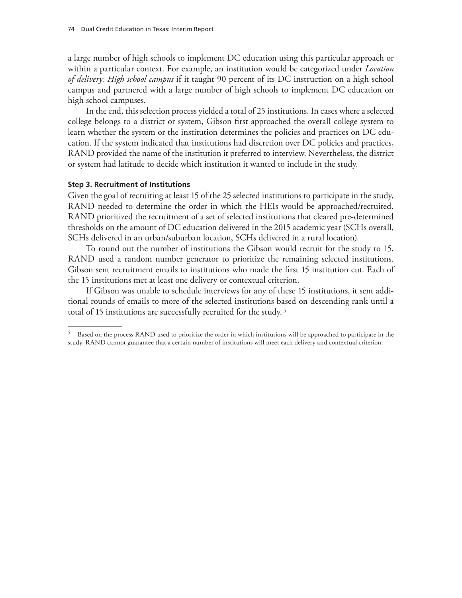a large number of high schools to implement DC education using this particular approach or within a particular context. For example, an institution would be categorized under *Location of delivery: High school campus* if it taught 90 percent of its DC instruction on a high school campus and partnered with a large number of high schools to implement DC education on high school campuses.

In the end, this selection process yielded a total of 25 institutions. In cases where a selected college belongs to a district or system, Gibson first approached the overall college system to learn whether the system or the institution determines the policies and practices on DC education. If the system indicated that institutions had discretion over DC policies and practices, RAND provided the name of the institution it preferred to interview. Nevertheless, the district or system had latitude to decide which institution it wanted to include in the study.

#### **Step 3. Recruitment of Institutions**

Given the goal of recruiting at least 15 of the 25 selected institutions to participate in the study, RAND needed to determine the order in which the HEIs would be approached/recruited. RAND prioritized the recruitment of a set of selected institutions that cleared pre-determined thresholds on the amount of DC education delivered in the 2015 academic year (SCHs overall, SCHs delivered in an urban/suburban location, SCHs delivered in a rural location).

To round out the number of institutions the Gibson would recruit for the study to 15, RAND used a random number generator to prioritize the remaining selected institutions. Gibson sent recruitment emails to institutions who made the first 15 institution cut. Each of the 15 institutions met at least one delivery or contextual criterion.

If Gibson was unable to schedule interviews for any of these 15 institutions, it sent additional rounds of emails to more of the selected institutions based on descending rank until a total of 15 institutions are successfully recruited for the study. <sup>5</sup>

<sup>&</sup>lt;sup>5</sup> Based on the process RAND used to prioritize the order in which institutions will be approached to participate in the study, RAND cannot guarantee that a certain number of institutions will meet each delivery and contextual criterion.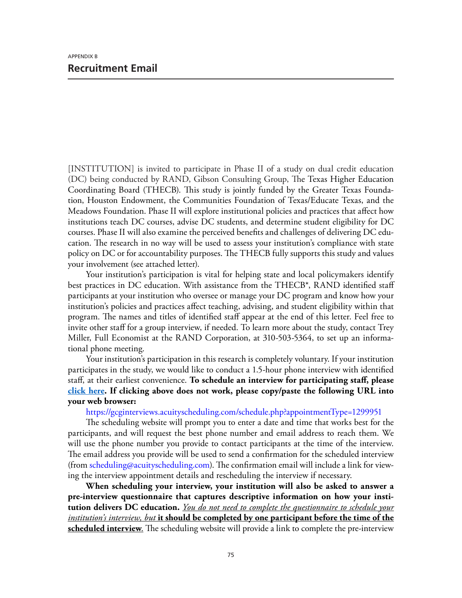[INSTITUTION] is invited to participate in Phase II of a study on dual credit education (DC) being conducted by RAND, Gibson Consulting Group, The Texas Higher Education Coordinating Board (THECB). This study is jointly funded by the Greater Texas Foundation, Houston Endowment, the Communities Foundation of Texas/Educate Texas, and the Meadows Foundation. Phase II will explore institutional policies and practices that affect how institutions teach DC courses, advise DC students, and determine student eligibility for DC courses. Phase II will also examine the perceived benefits and challenges of delivering DC education. The research in no way will be used to assess your institution's compliance with state policy on DC or for accountability purposes. The THECB fully supports this study and values your involvement (see attached letter).

Your institution's participation is vital for helping state and local policymakers identify best practices in DC education. With assistance from the THECB\*, RAND identified staff participants at your institution who oversee or manage your DC program and know how your institution's policies and practices affect teaching, advising, and student eligibility within that program. The names and titles of identified staff appear at the end of this letter. Feel free to invite other staff for a group interview, if needed. To learn more about the study, contact Trey Miller, Full Economist at the RAND Corporation, at 310-503-5364, to set up an informational phone meeting.

Your institution's participation in this research is completely voluntary. If your institution participates in the study, we would like to conduct a 1.5‐hour phone interview with identified staff, at their earliest convenience. **To schedule an interview for participating staff, please click here. If clicking above does not work, please copy/paste the following URL into your web browser:**

<https://gcginterviews.acuityscheduling.com/schedule.php?appointmentType=1299951>

The scheduling website will prompt you to enter a date and time that works best for the participants, and will request the best phone number and email address to reach them. We will use the phone number you provide to contact participants at the time of the interview. The email address you provide will be used to send a confirmation for the scheduled interview (from [scheduling@acuityscheduling.com\)](mailto:scheduling@acuityscheduling.com). The confirmation email will include a link for viewing the interview appointment details and rescheduling the interview if necessary.

**When scheduling your interview, your institution will also be asked to answer a pre-interview questionnaire that captures descriptive information on how your institution delivers DC education.** *You do not need to complete the questionnaire to schedule your institution's interview, but* **it should be completed by one participant before the time of the scheduled interview**. The scheduling website will provide a link to complete the pre‐interview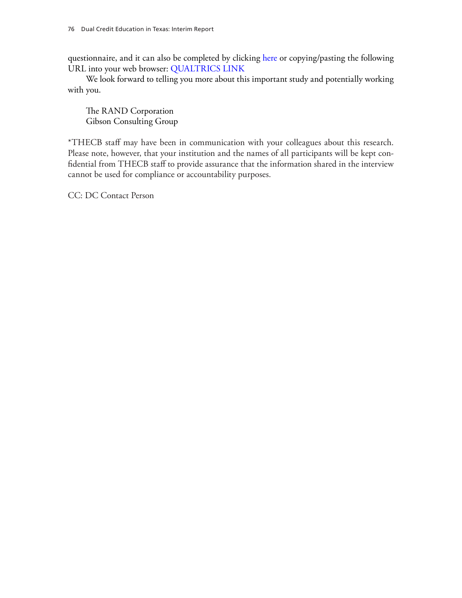questionnaire, and it can also be completed by clicking here or copying/pasting the following URL into your web browser: QUALTRICS LINK

We look forward to telling you more about this important study and potentially working with you.

The RAND Corporation Gibson Consulting Group

\*THECB staff may have been in communication with your colleagues about this research. Please note, however, that your institution and the names of all participants will be kept confidential from THECB staff to provide assurance that the information shared in the interview cannot be used for compliance or accountability purposes.

CC: DC Contact Person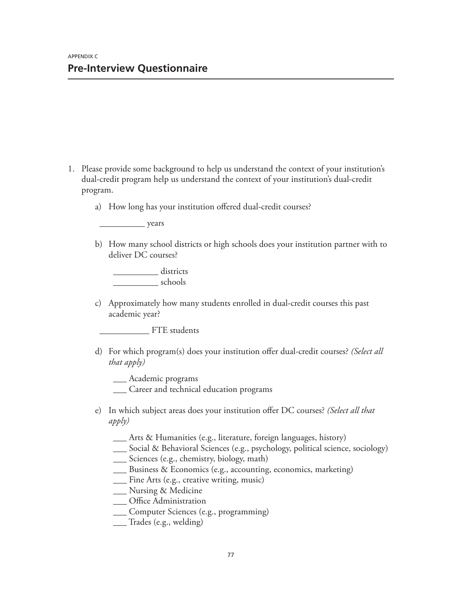- 1. Please provide some background to help us understand the context of your institution's dual-credit program help us understand the context of your institution's dual-credit program.
	- a) How long has your institution offered dual-credit courses?

\_\_\_\_\_\_\_\_\_\_ years

b) How many school districts or high schools does your institution partner with to deliver DC courses?

\_\_\_\_\_\_\_\_\_\_ districts \_\_\_\_\_\_\_\_\_\_ schools

c) Approximately how many students enrolled in dual-credit courses this past academic year?

FTE students

d) For which program(s) does your institution offer dual-credit courses? *(Select all that apply)*

\_\_\_ Academic programs

- \_\_\_ Career and technical education programs
- e) In which subject areas does your institution offer DC courses? *(Select all that apply)*
	- \_\_\_ Arts & Humanities (e.g., literature, foreign languages, history)
	- \_\_\_ Social & Behavioral Sciences (e.g., psychology, political science, sociology)
	- \_\_\_ Sciences (e.g., chemistry, biology, math)
	- \_\_\_ Business & Economics (e.g., accounting, economics, marketing)
	- \_\_\_ Fine Arts (e.g., creative writing, music)
	- \_\_\_ Nursing & Medicine
	- \_\_ Office Administration
	- \_\_\_ Computer Sciences (e.g., programming)
	- \_\_\_ Trades (e.g., welding)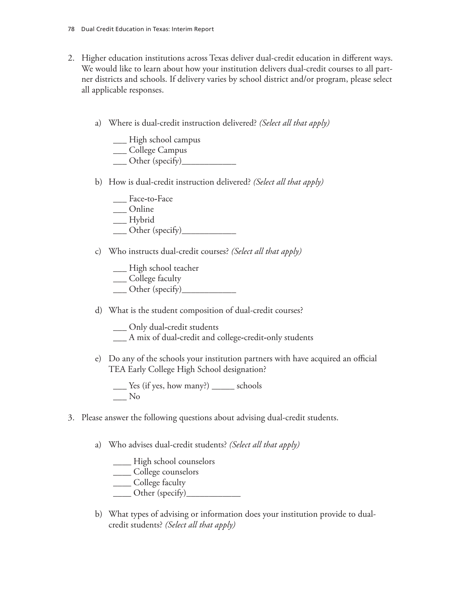- 2. Higher education institutions across Texas deliver dual-credit education in different ways. We would like to learn about how your institution delivers dual-credit courses to all partner districts and schools. If delivery varies by school district and/or program, please select all applicable responses.
	- a) Where is dual-credit instruction delivered? *(Select all that apply)*

\_\_\_ High school campus \_\_\_ College Campus

- \_\_\_ Other (specify)\_\_\_\_\_\_\_\_\_\_\_\_
- b) How is dual-credit instruction delivered? *(Select all that apply)*
	- \_\_\_ Face**-**to**-**Face
	- \_\_\_ Online
	- \_\_\_ Hybrid
	- \_\_\_ Other (specify)\_\_\_\_\_\_\_\_\_\_\_\_
- c) Who instructs dual-credit courses? *(Select all that apply)*
	- \_\_\_ High school teacher
	- \_\_\_ College faculty
	- \_\_\_ Other (specify)\_\_\_\_\_\_\_\_\_\_\_\_
- d) What is the student composition of dual-credit courses?
	- \_\_\_ Only dual**-**credit students
	- \_\_\_ A mix of dual**-**credit and college**-**credit**-**only students
- e) Do any of the schools your institution partners with have acquired an official TEA Early College High School designation?

\_\_\_ Yes (if yes, how many?) \_\_\_\_\_ schools \_\_\_ No

- 3. Please answer the following questions about advising dual-credit students.
	- a) Who advises dual-credit students? *(Select all that apply)*
		- \_\_\_\_ High school counselors
		- \_\_\_\_ College counselors
		- \_\_\_\_ College faculty
		- $\frac{\text{Other (specificity)}}{\text{other (specificity)}}$
	- b) What types of advising or information does your institution provide to dualcredit students? *(Select all that apply)*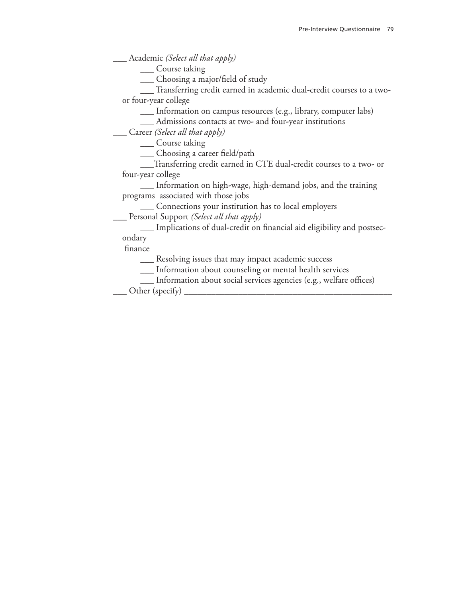\_\_\_ Academic *(Select all that apply)*

\_\_\_ Course taking

\_\_\_ Choosing a major/field of study

\_\_\_ Transferring credit earned in academic dual**-**credit courses to a two**‐**  or four**‐**year college

\_\_\_ Information on campus resources (e.g., library, computer labs)

\_\_\_ Admissions contacts at two**-** and four**-**year institutions

\_\_\_ Career *(Select all that apply)*

\_\_\_ Course taking

\_\_\_ Choosing a career field/path

\_\_\_Transferring credit earned in CTE dual**-**credit courses to a two**-** or four-year college

\_\_\_ Information on high**-**wage, high-demand jobs, and the training programs associated with those jobs

\_\_\_ Connections your institution has to local employers

\_\_\_ Personal Support *(Select all that apply)*

\_\_\_ Implications of dual**-**credit on financial aid eligibility and postsec-

ondary

finance

\_\_\_ Resolving issues that may impact academic success

- \_\_\_ Information about counseling or mental health services
- \_\_\_ Information about social services agencies (e.g., welfare offices)

Other (specify)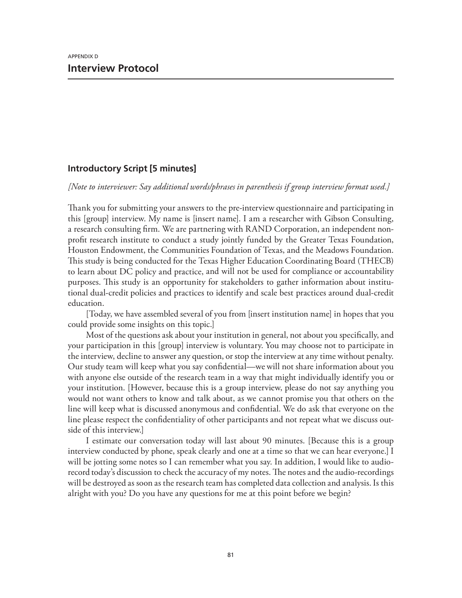## **Introductory Script [5 minutes]**

*[Note to interviewer: Say additional words/phrases in parenthesis if group interview format used.]*

Thank you for submitting your answers to the pre-interview questionnaire and participating in this [group] interview. My name is [insert name]. I am a researcher with Gibson Consulting, a research consulting firm. We are partnering with RAND Corporation, an independent non‐ profit research institute to conduct a study jointly funded by the Greater Texas Foundation, Houston Endowment, the Communities Foundation of Texas, and the Meadows Foundation. This study is being conducted for the Texas Higher Education Coordinating Board (THECB) to learn about DC policy and practice, and will not be used for compliance or accountability purposes. This study is an opportunity for stakeholders to gather information about institutional dual-credit policies and practices to identify and scale best practices around dual-credit education.

[Today, we have assembled several of you from [insert institution name] in hopes that you could provide some insights on this topic.]

Most of the questions ask about your institution in general, not about you specifically, and your participation in this [group] interview is voluntary. You may choose not to participate in the interview, decline to answer any question, or stop the interview at any time without penalty. Our study team will keep what you say confidential—we will not share information about you with anyone else outside of the research team in a way that might individually identify you or your institution. [However, because this is a group interview, please do not say anything you would not want others to know and talk about, as we cannot promise you that others on the line will keep what is discussed anonymous and confidential. We do ask that everyone on the line please respect the confidentiality of other participants and not repeat what we discuss outside of this interview.]

I estimate our conversation today will last about 90 minutes. [Because this is a group interview conducted by phone, speak clearly and one at a time so that we can hear everyone.] I will be jotting some notes so I can remember what you say. In addition, I would like to audiorecord today's discussion to check the accuracy of my notes. The notes and the audio-recordings will be destroyed as soon as the research team has completed data collection and analysis. Is this alright with you? Do you have any questions for me at this point before we begin?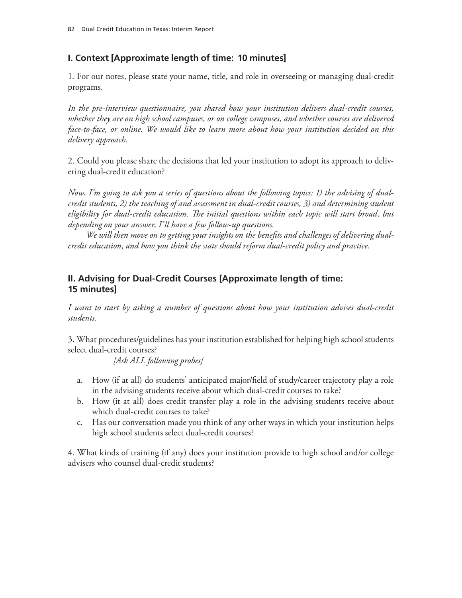# **I. Context [Approximate length of time: 10 minutes]**

1. For our notes, please state your name, title, and role in overseeing or managing dual‐credit programs.

*In the pre‐interview questionnaire, you shared how your institution delivers dual‐credit courses, whether they are on high school campuses, or on college campuses, and whether courses are delivered face‐to‐face, or online. We would like to learn more about how your institution decided on this delivery approach.*

2. Could you please share the decisions that led your institution to adopt its approach to delivering dual‐credit education?

*Now, I'm going to ask you a series of questions about the following topics: 1) the advising of dual‐ credit students, 2) the teaching of and assessment in dual‐credit courses, 3) and determining student eligibility for dual‐credit education. The initial questions within each topic will start broad, but depending on your answer, I'll have a few follow‐up questions.*

*We will then move on to getting your insights on the benefits and challenges of delivering dual‐ credit education, and how you think the state should reform dual‐credit policy and practice.*

# **II. Advising for Dual‐Credit Courses [Approximate length of time: 15 minutes]**

*I want to start by asking a number of questions about how your institution advises dual‐credit students.*

3. What procedures/guidelines has your institution established for helping high school students select dual‐credit courses?

*[Ask ALL following probes]*

- a. How (if at all) do students' anticipated major/field of study/career trajectory play a role in the advising students receive about which dual-credit courses to take?
- b. How (it at all) does credit transfer play a role in the advising students receive about which dual-credit courses to take?
- c. Has our conversation made you think of any other ways in which your institution helps high school students select dual-credit courses?

4. What kinds of training (if any) does your institution provide to high school and/or college advisers who counsel dual‐credit students?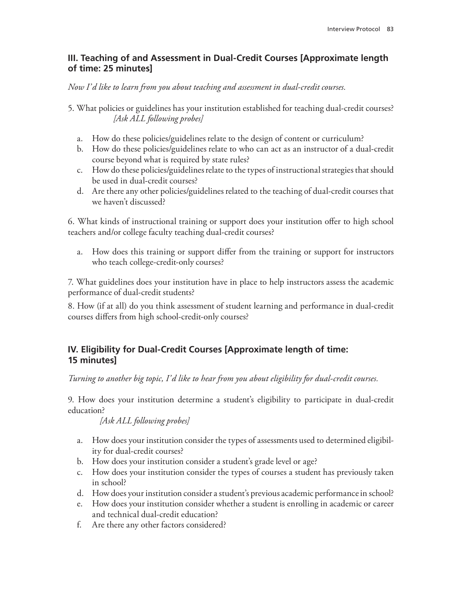## **III. Teaching of and Assessment in Dual‐Credit Courses [Approximate length of time: 25 minutes]**

*Now I'd like to learn from you about teaching and assessment in dual‐credit courses.*

- 5. What policies or guidelines has your institution established for teaching dual-credit courses? *[Ask ALL following probes]*
	- a. How do these policies/guidelines relate to the design of content or curriculum?
	- b. How do these policies/guidelines relate to who can act as an instructor of a dual-credit course beyond what is required by state rules?
	- c. How do these policies/guidelines relate to the types of instructional strategies that should be used in dual‐credit courses?
	- d. Are there any other policies/guidelines related to the teaching of dual‐credit courses that we haven't discussed?

6. What kinds of instructional training or support does your institution offer to high school teachers and/or college faculty teaching dual‐credit courses?

a. How does this training or support differ from the training or support for instructors who teach college-credit-only courses?

7. What guidelines does your institution have in place to help instructors assess the academic performance of dual‐credit students?

8. How (if at all) do you think assessment of student learning and performance in dual‐credit courses differs from high school‐credit‐only courses?

## **IV. Eligibility for Dual‐Credit Courses [Approximate length of time: 15 minutes]**

*Turning to another big topic, I'd like to hear from you about eligibility for dual‐credit courses.*

9. How does your institution determine a student's eligibility to participate in dual‐credit education?

*[Ask ALL following probes]*

- a. How does your institution consider the types of assessments used to determined eligibility for dual‐credit courses?
- b. How does your institution consider a student's grade level or age?
- c. How does your institution consider the types of courses a student has previously taken in school?
- d. How does your institution consider a student's previous academic performance in school?
- e. How does your institution consider whether a student is enrolling in academic or career and technical dual‐credit education?
- f. Are there any other factors considered?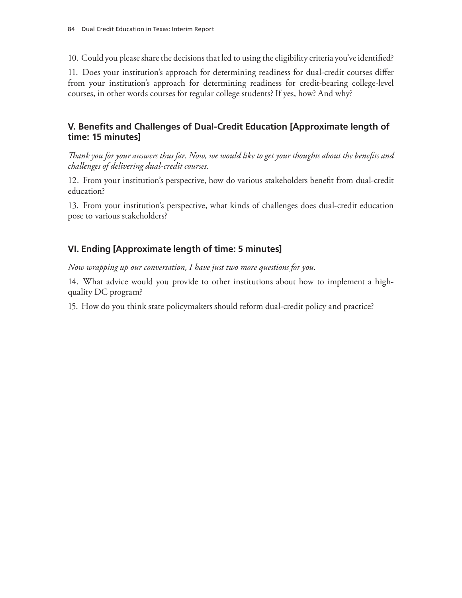10. Could you please share the decisions that led to using the eligibility criteria you've identified?

11. Does your institution's approach for determining readiness for dual‐credit courses differ from your institution's approach for determining readiness for credit-bearing college-level courses, in other words courses for regular college students? If yes, how? And why?

## **V. Benefits and Challenges of Dual‐Credit Education [Approximate length of time: 15 minutes]**

*Thank you for your answers thus far. Now, we would like to get your thoughts about the benefits and challenges of delivering dual‐credit courses.*

12. From your institution's perspective, how do various stakeholders benefit from dual‐credit education?

13. From your institution's perspective, what kinds of challenges does dual‐credit education pose to various stakeholders?

# **VI. Ending [Approximate length of time: 5 minutes]**

*Now wrapping up our conversation, I have just two more questions for you.*

14. What advice would you provide to other institutions about how to implement a high‐ quality DC program?

15. How do you think state policymakers should reform dual‐credit policy and practice?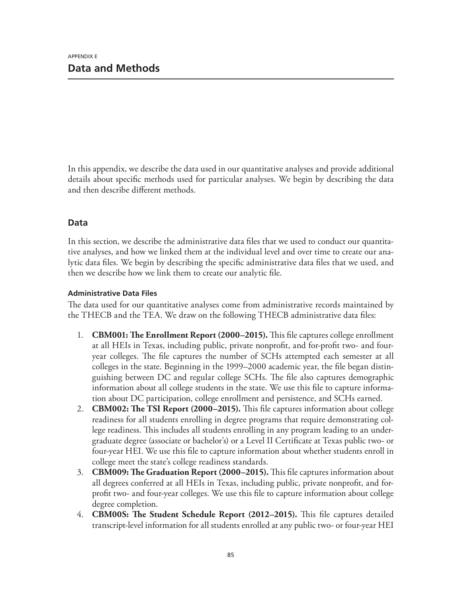In this appendix, we describe the data used in our quantitative analyses and provide additional details about specific methods used for particular analyses. We begin by describing the data and then describe different methods.

# **Data**

In this section, we describe the administrative data files that we used to conduct our quantitative analyses, and how we linked them at the individual level and over time to create our analytic data files. We begin by describing the specific administrative data files that we used, and then we describe how we link them to create our analytic file.

### **Administrative Data Files**

The data used for our quantitative analyses come from administrative records maintained by the THECB and the TEA. We draw on the following THECB administrative data files:

- 1. **CBM001: The Enrollment Report (2000–2015).** This file captures college enrollment at all HEIs in Texas, including public, private nonprofit, and for-profit two- and fouryear colleges. The file captures the number of SCHs attempted each semester at all colleges in the state. Beginning in the 1999–2000 academic year, the file began distinguishing between DC and regular college SCHs. The file also captures demographic information about all college students in the state. We use this file to capture information about DC participation, college enrollment and persistence, and SCHs earned.
- 2. **CBM002: The TSI Report (2000–2015).** This file captures information about college readiness for all students enrolling in degree programs that require demonstrating college readiness. This includes all students enrolling in any program leading to an undergraduate degree (associate or bachelor's) or a Level II Certificate at Texas public two- or four-year HEI. We use this file to capture information about whether students enroll in college meet the state's college readiness standards.
- 3. **CBM009: The Graduation Report (2000–2015).** This file captures information about all degrees conferred at all HEIs in Texas, including public, private nonprofit, and forprofit two- and four-year colleges. We use this file to capture information about college degree completion.
- 4. **CBM00S: The Student Schedule Report (2012–2015).** This file captures detailed transcript-level information for all students enrolled at any public two- or four-year HEI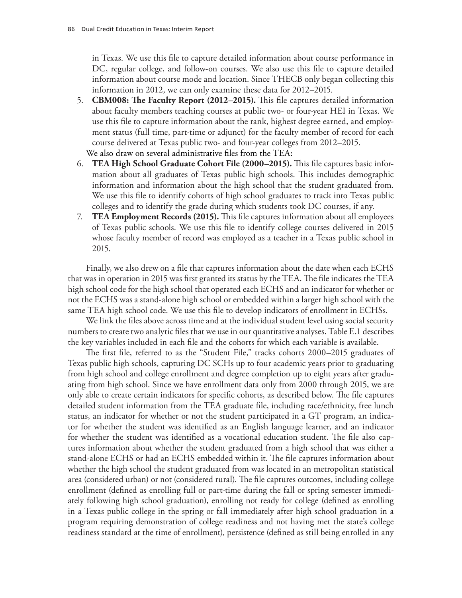in Texas. We use this file to capture detailed information about course performance in DC, regular college, and follow-on courses. We also use this file to capture detailed information about course mode and location. Since THECB only began collecting this information in 2012, we can only examine these data for 2012–2015.

- 5. **CBM008: The Faculty Report (2012–2015).** This file captures detailed information about faculty members teaching courses at public two- or four-year HEI in Texas. We use this file to capture information about the rank, highest degree earned, and employment status (full time, part-time or adjunct) for the faculty member of record for each course delivered at Texas public two- and four-year colleges from 2012–2015. We also draw on several administrative files from the TEA:
- 6. **TEA High School Graduate Cohort File (2000–2015).** This file captures basic information about all graduates of Texas public high schools. This includes demographic information and information about the high school that the student graduated from. We use this file to identify cohorts of high school graduates to track into Texas public colleges and to identify the grade during which students took DC courses, if any.
- 7. **TEA Employment Records (2015).** This file captures information about all employees of Texas public schools. We use this file to identify college courses delivered in 2015 whose faculty member of record was employed as a teacher in a Texas public school in 2015.

Finally, we also drew on a file that captures information about the date when each ECHS that was in operation in 2015 was first granted its status by the TEA. The file indicates the TEA high school code for the high school that operated each ECHS and an indicator for whether or not the ECHS was a stand-alone high school or embedded within a larger high school with the same TEA high school code. We use this file to develop indicators of enrollment in ECHSs.

We link the files above across time and at the individual student level using social security numbers to create two analytic files that we use in our quantitative analyses. Table E.1 describes the key variables included in each file and the cohorts for which each variable is available.

The first file, referred to as the "Student File," tracks cohorts 2000–2015 graduates of Texas public high schools, capturing DC SCHs up to four academic years prior to graduating from high school and college enrollment and degree completion up to eight years after graduating from high school. Since we have enrollment data only from 2000 through 2015, we are only able to create certain indicators for specific cohorts, as described below. The file captures detailed student information from the TEA graduate file, including race/ethnicity, free lunch status, an indicator for whether or not the student participated in a GT program, an indicator for whether the student was identified as an English language learner, and an indicator for whether the student was identified as a vocational education student. The file also captures information about whether the student graduated from a high school that was either a stand-alone ECHS or had an ECHS embedded within it. The file captures information about whether the high school the student graduated from was located in an metropolitan statistical area (considered urban) or not (considered rural). The file captures outcomes, including college enrollment (defined as enrolling full or part-time during the fall or spring semester immediately following high school graduation), enrolling not ready for college (defined as enrolling in a Texas public college in the spring or fall immediately after high school graduation in a program requiring demonstration of college readiness and not having met the state's college readiness standard at the time of enrollment), persistence (defined as still being enrolled in any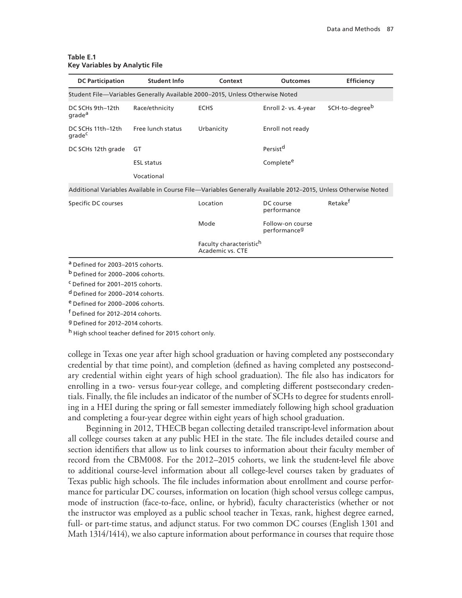| <b>DC Participation</b>                     | <b>Student Info</b> | Context                                                                      | <b>Outcomes</b>                              | <b>Efficiency</b>                                                                                             |  |  |  |
|---------------------------------------------|---------------------|------------------------------------------------------------------------------|----------------------------------------------|---------------------------------------------------------------------------------------------------------------|--|--|--|
|                                             |                     | Student File-Variables Generally Available 2000-2015, Unless Otherwise Noted |                                              |                                                                                                               |  |  |  |
| DC SCHs 9th-12th<br>grade <sup>a</sup>      | Race/ethnicity      | <b>ECHS</b>                                                                  | Enroll 2- vs. 4-year                         | SCH-to-degree <sup>b</sup>                                                                                    |  |  |  |
| DC SCHs 11th-12th<br>grade <sup>c</sup>     | Free lunch status   | Urbanicity                                                                   | Enroll not ready                             |                                                                                                               |  |  |  |
| DC SCHs 12th grade                          | GT                  |                                                                              | Persist <sup>d</sup>                         |                                                                                                               |  |  |  |
|                                             | <b>ESL</b> status   |                                                                              | Complete <sup>e</sup>                        |                                                                                                               |  |  |  |
|                                             | Vocational          |                                                                              |                                              |                                                                                                               |  |  |  |
|                                             |                     |                                                                              |                                              | Additional Variables Available in Course File—Variables Generally Available 2012-2015, Unless Otherwise Noted |  |  |  |
| Specific DC courses                         |                     | Location                                                                     | DC course<br>performance                     | Retake <sup>f</sup>                                                                                           |  |  |  |
|                                             |                     | Mode                                                                         | Follow-on course<br>performance <sup>g</sup> |                                                                                                               |  |  |  |
|                                             |                     | Faculty characteristic <sup>h</sup><br><b>Academic vs. CTE</b>               |                                              |                                                                                                               |  |  |  |
| <sup>a</sup> Defined for 2003-2015 cohorts. |                     |                                                                              |                                              |                                                                                                               |  |  |  |

#### **Table E.1 Key Variables by Analytic File**

a Defined for 2003-2015 cohorts.

<sup>b</sup> Defined for 2000–2006 cohorts.

<sup>c</sup> Defined for 2001–2015 cohorts.

<sup>d</sup> Defined for 2000–2014 cohorts.

<sup>e</sup> Defined for 2000–2006 cohorts.

f Defined for 2012–2014 cohorts.

g Defined for 2012–2014 cohorts.

h High school teacher defined for 2015 cohort only.

college in Texas one year after high school graduation or having completed any postsecondary credential by that time point), and completion (defined as having completed any postsecondary credential within eight years of high school graduation). The file also has indicators for enrolling in a two- versus four-year college, and completing different postsecondary credentials. Finally, the file includes an indicator of the number of SCHs to degree for students enrolling in a HEI during the spring or fall semester immediately following high school graduation and completing a four-year degree within eight years of high school graduation.

Beginning in 2012, THECB began collecting detailed transcript-level information about all college courses taken at any public HEI in the state. The file includes detailed course and section identifiers that allow us to link courses to information about their faculty member of record from the CBM008. For the 2012–2015 cohorts, we link the student-level file above to additional course-level information about all college-level courses taken by graduates of Texas public high schools. The file includes information about enrollment and course performance for particular DC courses, information on location (high school versus college campus, mode of instruction (face-to-face, online, or hybrid), faculty characteristics (whether or not the instructor was employed as a public school teacher in Texas, rank, highest degree earned, full- or part-time status, and adjunct status. For two common DC courses (English 1301 and Math 1314/1414), we also capture information about performance in courses that require those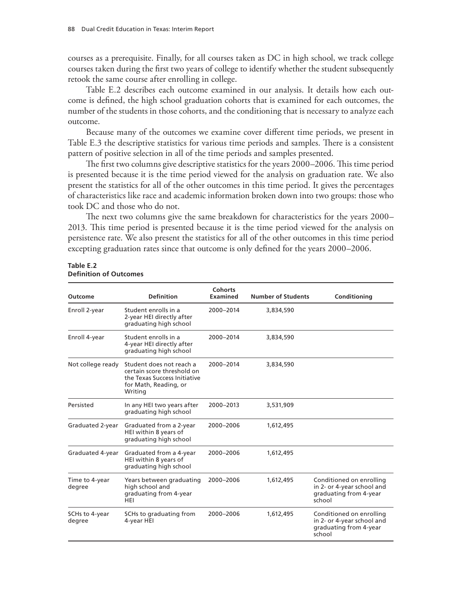courses as a prerequisite. Finally, for all courses taken as DC in high school, we track college courses taken during the first two years of college to identify whether the student subsequently retook the same course after enrolling in college.

Table E.2 describes each outcome examined in our analysis. It details how each outcome is defined, the high school graduation cohorts that is examined for each outcomes, the number of the students in those cohorts, and the conditioning that is necessary to analyze each outcome.

Because many of the outcomes we examine cover different time periods, we present in Table E.3 the descriptive statistics for various time periods and samples. There is a consistent pattern of positive selection in all of the time periods and samples presented.

The first two columns give descriptive statistics for the years 2000–2006. This time period is presented because it is the time period viewed for the analysis on graduation rate. We also present the statistics for all of the other outcomes in this time period. It gives the percentages of characteristics like race and academic information broken down into two groups: those who took DC and those who do not.

The next two columns give the same breakdown for characteristics for the years 2000– 2013. This time period is presented because it is the time period viewed for the analysis on persistence rate. We also present the statistics for all of the other outcomes in this time period excepting graduation rates since that outcome is only defined for the years 2000–2006.

| Table E.2                     |  |
|-------------------------------|--|
| <b>Definition of Outcomes</b> |  |

| Outcome                  | <b>Definition</b>                                                                                                          | <b>Cohorts</b><br>Examined | <b>Number of Students</b> | Conditioning                                                                               |
|--------------------------|----------------------------------------------------------------------------------------------------------------------------|----------------------------|---------------------------|--------------------------------------------------------------------------------------------|
| Enroll 2-year            | Student enrolls in a<br>2-year HEI directly after<br>graduating high school                                                | 2000-2014                  | 3,834,590                 |                                                                                            |
| Enroll 4-year            | Student enrolls in a<br>4-year HEI directly after<br>graduating high school                                                | 2000-2014                  | 3,834,590                 |                                                                                            |
| Not college ready        | Student does not reach a<br>certain score threshold on<br>the Texas Success Initiative<br>for Math, Reading, or<br>Writing | 2000-2014                  | 3,834,590                 |                                                                                            |
| Persisted                | In any HEI two years after<br>graduating high school                                                                       | 2000-2013                  | 3,531,909                 |                                                                                            |
| Graduated 2-year         | Graduated from a 2-year<br>HEI within 8 years of<br>graduating high school                                                 | 2000-2006                  | 1,612,495                 |                                                                                            |
| Graduated 4-year         | Graduated from a 4-year<br>HEI within 8 years of<br>graduating high school                                                 | 2000-2006                  | 1,612,495                 |                                                                                            |
| Time to 4-year<br>degree | Years between graduating<br>high school and<br>graduating from 4-year<br>HEI                                               | 2000-2006                  | 1,612,495                 | Conditioned on enrolling<br>in 2- or 4-year school and<br>graduating from 4-year<br>school |
| SCHs to 4-year<br>degree | SCHs to graduating from<br>4-year HEI                                                                                      | 2000-2006                  | 1,612,495                 | Conditioned on enrolling<br>in 2- or 4-year school and<br>graduating from 4-year<br>school |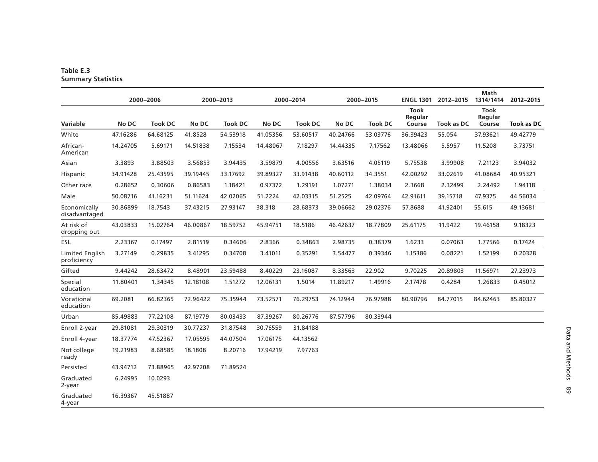#### **Table E.3 Summary Statistics**

|                                       | 2000-2006 |                | 2000-2013 |                | 2000-2014 |                | 2000-2015 |                | <b>ENGL 1301</b>                 | 2012-2015         | <b>Math</b><br>1314/1414         | 2012-2015         |
|---------------------------------------|-----------|----------------|-----------|----------------|-----------|----------------|-----------|----------------|----------------------------------|-------------------|----------------------------------|-------------------|
| Variable                              | No DC     | <b>Took DC</b> | No DC     | <b>Took DC</b> | No DC     | <b>Took DC</b> | No DC     | <b>Took DC</b> | <b>Took</b><br>Regular<br>Course | <b>Took as DC</b> | <b>Took</b><br>Regular<br>Course | <b>Took as DC</b> |
| White                                 | 47.16286  | 64.68125       | 41.8528   | 54.53918       | 41.05356  | 53.60517       | 40.24766  | 53.03776       | 36.39423                         | 55.054            | 37.93621                         | 49.42779          |
| African-<br>American                  | 14.24705  | 5.69171        | 14.51838  | 7.15534        | 14.48067  | 7.18297        | 14.44335  | 7.17562        | 13.48066                         | 5.5957            | 11.5208                          | 3.73751           |
| Asian                                 | 3.3893    | 3.88503        | 3.56853   | 3.94435        | 3.59879   | 4.00556        | 3.63516   | 4.05119        | 5.75538                          | 3.99908           | 7.21123                          | 3.94032           |
| Hispanic                              | 34.91428  | 25.43595       | 39.19445  | 33.17692       | 39.89327  | 33.91438       | 40.60112  | 34.3551        | 42.00292                         | 33.02619          | 41.08684                         | 40.95321          |
| Other race                            | 0.28652   | 0.30606        | 0.86583   | 1.18421        | 0.97372   | 1.29191        | 1.07271   | 1.38034        | 2.3668                           | 2.32499           | 2.24492                          | 1.94118           |
| Male                                  | 50.08716  | 41.16231       | 51.11624  | 42.02065       | 51.2224   | 42.03315       | 51.2525   | 42.09764       | 42.91611                         | 39.15718          | 47.9375                          | 44.56034          |
| Economically<br>disadvantaged         | 30.86899  | 18.7543        | 37.43215  | 27.93147       | 38.318    | 28.68373       | 39.06662  | 29.02376       | 57.8688                          | 41.92401          | 55.615                           | 49.13681          |
| At risk of<br>dropping out            | 43.03833  | 15.02764       | 46.00867  | 18.59752       | 45.94751  | 18.5186        | 46.42637  | 18.77809       | 25.61175                         | 11.9422           | 19.46158                         | 9.18323           |
| ESL                                   | 2.23367   | 0.17497        | 2.81519   | 0.34606        | 2.8366    | 0.34863        | 2.98735   | 0.38379        | 1.6233                           | 0.07063           | 1.77566                          | 0.17424           |
| <b>Limited English</b><br>proficiency | 3.27149   | 0.29835        | 3.41295   | 0.34708        | 3.41011   | 0.35291        | 3.54477   | 0.39346        | 1.15386                          | 0.08221           | 1.52199                          | 0.20328           |
| Gifted                                | 9.44242   | 28.63472       | 8.48901   | 23.59488       | 8.40229   | 23.16087       | 8.33563   | 22.902         | 9.70225                          | 20.89803          | 11.56971                         | 27.23973          |
| Special<br>education                  | 11.80401  | 1.34345        | 12.18108  | 1.51272        | 12.06131  | 1.5014         | 11.89217  | 1.49916        | 2.17478                          | 0.4284            | 1.26833                          | 0.45012           |
| Vocational<br>education               | 69.2081   | 66.82365       | 72.96422  | 75.35944       | 73.52571  | 76.29753       | 74.12944  | 76.97988       | 80.90796                         | 84.77015          | 84.62463                         | 85.80327          |
| Urban                                 | 85.49883  | 77.22108       | 87.19779  | 80.03433       | 87.39267  | 80.26776       | 87.57796  | 80.33944       |                                  |                   |                                  |                   |
| Enroll 2-year                         | 29.81081  | 29.30319       | 30.77237  | 31.87548       | 30.76559  | 31.84188       |           |                |                                  |                   |                                  |                   |
| Enroll 4-year                         | 18.37774  | 47.52367       | 17.05595  | 44.07504       | 17.06175  | 44.13562       |           |                |                                  |                   |                                  |                   |
| Not college<br>ready                  | 19.21983  | 8.68585        | 18.1808   | 8.20716        | 17.94219  | 7.97763        |           |                |                                  |                   |                                  |                   |
| Persisted                             | 43.94712  | 73.88965       | 42.97208  | 71.89524       |           |                |           |                |                                  |                   |                                  |                   |
| Graduated<br>2-year                   | 6.24995   | 10.0293        |           |                |           |                |           |                |                                  |                   |                                  |                   |
| Graduated<br>4-year                   | 16.39367  | 45.51887       |           |                |           |                |           |                |                                  |                   |                                  |                   |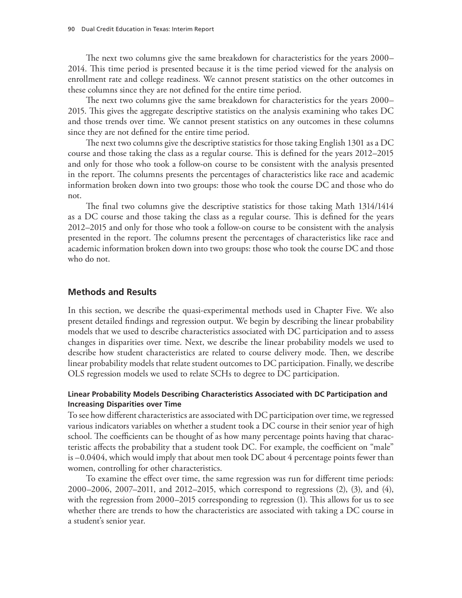The next two columns give the same breakdown for characteristics for the years 2000– 2014. This time period is presented because it is the time period viewed for the analysis on enrollment rate and college readiness. We cannot present statistics on the other outcomes in these columns since they are not defined for the entire time period.

The next two columns give the same breakdown for characteristics for the years 2000– 2015. This gives the aggregate descriptive statistics on the analysis examining who takes DC and those trends over time. We cannot present statistics on any outcomes in these columns since they are not defined for the entire time period.

The next two columns give the descriptive statistics for those taking English 1301 as a DC course and those taking the class as a regular course. This is defined for the years 2012–2015 and only for those who took a follow-on course to be consistent with the analysis presented in the report. The columns presents the percentages of characteristics like race and academic information broken down into two groups: those who took the course DC and those who do not.

The final two columns give the descriptive statistics for those taking Math 1314/1414 as a DC course and those taking the class as a regular course. This is defined for the years 2012–2015 and only for those who took a follow-on course to be consistent with the analysis presented in the report. The columns present the percentages of characteristics like race and academic information broken down into two groups: those who took the course DC and those who do not.

#### **Methods and Results**

In this section, we describe the quasi-experimental methods used in Chapter Five. We also present detailed findings and regression output. We begin by describing the linear probability models that we used to describe characteristics associated with DC participation and to assess changes in disparities over time. Next, we describe the linear probability models we used to describe how student characteristics are related to course delivery mode. Then, we describe linear probability models that relate student outcomes to DC participation. Finally, we describe OLS regression models we used to relate SCHs to degree to DC participation.

#### **Linear Probability Models Describing Characteristics Associated with DC Participation and Increasing Disparities over Time**

To see how different characteristics are associated with DC participation over time, we regressed various indicators variables on whether a student took a DC course in their senior year of high school. The coefficients can be thought of as how many percentage points having that characteristic affects the probability that a student took DC. For example, the coefficient on "male" is –0.0404, which would imply that about men took DC about 4 percentage points fewer than women, controlling for other characteristics.

To examine the effect over time, the same regression was run for different time periods: 2000–2006, 2007–2011, and 2012–2015, which correspond to regressions (2), (3), and (4), with the regression from 2000–2015 corresponding to regression (1). This allows for us to see whether there are trends to how the characteristics are associated with taking a DC course in a student's senior year.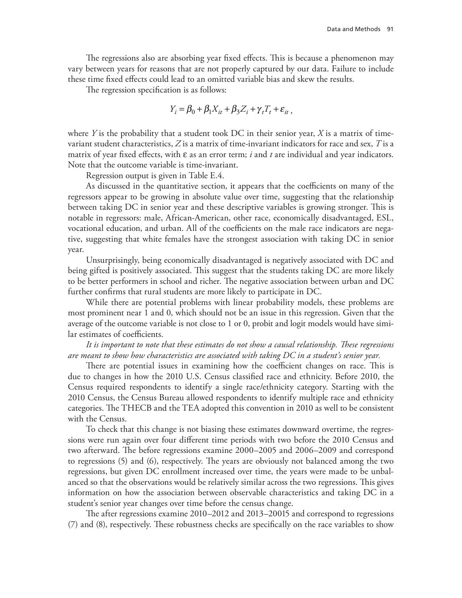The regressions also are absorbing year fixed effects. This is because a phenomenon may vary between years for reasons that are not properly captured by our data. Failure to include these time fixed effects could lead to an omitted variable bias and skew the results.

The regression specification is as follows:

$$
Y_i = \beta_0 + \beta_1 X_{it} + \beta_3 Z_i + \gamma_t T_t + \varepsilon_{it}
$$

where *Y* is the probability that a student took DC in their senior year, *X* is a matrix of timevariant student characteristics, *Z* is a matrix of time-invariant indicators for race and sex, *T* is a matrix of year fixed effects, with ε as an error term; *i* and *t* are individual and year indicators. Note that the outcome variable is time-invariant.

Regression output is given in Table E.4.

As discussed in the quantitative section, it appears that the coefficients on many of the regressors appear to be growing in absolute value over time, suggesting that the relationship between taking DC in senior year and these descriptive variables is growing stronger. This is notable in regressors: male, African-American, other race, economically disadvantaged, ESL, vocational education, and urban. All of the coefficients on the male race indicators are negative, suggesting that white females have the strongest association with taking DC in senior year.

Unsurprisingly, being economically disadvantaged is negatively associated with DC and being gifted is positively associated. This suggest that the students taking DC are more likely to be better performers in school and richer. The negative association between urban and DC further confirms that rural students are more likely to participate in DC.

While there are potential problems with linear probability models, these problems are most prominent near 1 and 0, which should not be an issue in this regression. Given that the average of the outcome variable is not close to 1 or 0, probit and logit models would have similar estimates of coefficients.

*It is important to note that these estimates do not show a causal relationship. These regressions are meant to show how characteristics are associated with taking DC in a student's senior year.*

There are potential issues in examining how the coefficient changes on race. This is due to changes in how the 2010 U.S. Census classified race and ethnicity. Before 2010, the Census required respondents to identify a single race/ethnicity category. Starting with the 2010 Census, the Census Bureau allowed respondents to identify multiple race and ethnicity categories. The THECB and the TEA adopted this convention in 2010 as well to be consistent with the Census.

To check that this change is not biasing these estimates downward overtime, the regressions were run again over four different time periods with two before the 2010 Census and two afterward. The before regressions examine 2000–2005 and 2006–2009 and correspond to regressions (5) and (6), respectively. The years are obviously not balanced among the two regressions, but given DC enrollment increased over time, the years were made to be unbalanced so that the observations would be relatively similar across the two regressions. This gives information on how the association between observable characteristics and taking DC in a student's senior year changes over time before the census change.

The after regressions examine 2010–2012 and 2013–20015 and correspond to regressions (7) and (8), respectively. These robustness checks are specifically on the race variables to show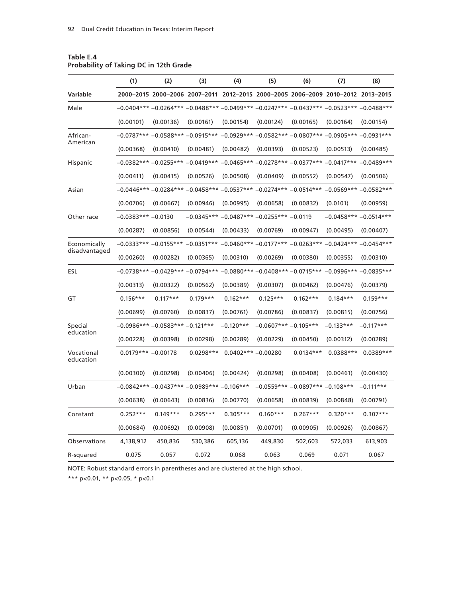| 2000-2015 2000-2006 2007-2011 2012-2015 2000-2005 2006-2009 2010-2012 2013-2015<br>Variable<br>$-0.0404***-0.0264***-0.0488***-0.0499***-0.0247***-0.0437***-0.0523***-0.0488***$<br>Male<br>(0.00101)<br>(0.00136)<br>(0.00161)<br>(0.00154)<br>(0.00124)<br>(0.00165)<br>$-0.0787***-0.0588***-0.0915***-0.0929***-0.0582***-0.0807***-0.0905***-0.0931***$<br>African-<br>American<br>(0.00368)<br>(0.00410)<br>(0.00481)<br>(0.00482)<br>(0.00393)<br>(0.00523)<br>$-0.0382***-0.0255***-0.0419***-0.0465***-0.0278***-0.0377***-0.0417***-0.0489***$<br>Hispanic<br>(0.00411)<br>(0.00415)<br>(0.00526)<br>(0.00508)<br>(0.00409)<br>(0.00552)<br>$-0.0446***-0.0284***-0.0458***-0.0537***-0.0274***-0.0514***-0.0569***-0.0582***$<br>Asian | (0.00164)<br>(0.00513)<br>(0.00547)<br>(0.0101) | (0.00154)<br>(0.00485)<br>(0.00506) |
|----------------------------------------------------------------------------------------------------------------------------------------------------------------------------------------------------------------------------------------------------------------------------------------------------------------------------------------------------------------------------------------------------------------------------------------------------------------------------------------------------------------------------------------------------------------------------------------------------------------------------------------------------------------------------------------------------------------------------------------------------|-------------------------------------------------|-------------------------------------|
|                                                                                                                                                                                                                                                                                                                                                                                                                                                                                                                                                                                                                                                                                                                                                    |                                                 |                                     |
|                                                                                                                                                                                                                                                                                                                                                                                                                                                                                                                                                                                                                                                                                                                                                    |                                                 |                                     |
|                                                                                                                                                                                                                                                                                                                                                                                                                                                                                                                                                                                                                                                                                                                                                    |                                                 |                                     |
|                                                                                                                                                                                                                                                                                                                                                                                                                                                                                                                                                                                                                                                                                                                                                    |                                                 |                                     |
|                                                                                                                                                                                                                                                                                                                                                                                                                                                                                                                                                                                                                                                                                                                                                    |                                                 |                                     |
|                                                                                                                                                                                                                                                                                                                                                                                                                                                                                                                                                                                                                                                                                                                                                    |                                                 |                                     |
|                                                                                                                                                                                                                                                                                                                                                                                                                                                                                                                                                                                                                                                                                                                                                    |                                                 |                                     |
|                                                                                                                                                                                                                                                                                                                                                                                                                                                                                                                                                                                                                                                                                                                                                    |                                                 |                                     |
| (0.00706)<br>(0.00667)<br>(0.00946)<br>(0.00995)<br>(0.00658)<br>(0.00832)                                                                                                                                                                                                                                                                                                                                                                                                                                                                                                                                                                                                                                                                         |                                                 | (0.00959)                           |
| $-0.0345***$ -0.0487*** -0.0255*** -0.0119<br>$-0.0383***-0.0130$<br>Other race                                                                                                                                                                                                                                                                                                                                                                                                                                                                                                                                                                                                                                                                    |                                                 | $-0.0458***-0.0514***$              |
| (0.00287)<br>(0.00856)<br>(0.00544)<br>(0.00433)<br>(0.00769)<br>(0.00947)                                                                                                                                                                                                                                                                                                                                                                                                                                                                                                                                                                                                                                                                         | (0.00495)                                       | (0.00407)                           |
| $-0.0333***-0.0155***-0.0351***-0.0460***-0.0177***-0.0263***-0.0424***-0.0454****$<br>Economically                                                                                                                                                                                                                                                                                                                                                                                                                                                                                                                                                                                                                                                |                                                 |                                     |
| disadvantaged<br>(0.00260)<br>(0.00282)<br>(0.00365)<br>(0.00310)<br>(0.00269)<br>(0.00380)                                                                                                                                                                                                                                                                                                                                                                                                                                                                                                                                                                                                                                                        | (0.00355)                                       | (0.00310)                           |
| $-0.0738***-0.0429***-0.0794***-0.0880***-0.0408***-0.0715***-0.0996***-0.0835***$<br>ESL                                                                                                                                                                                                                                                                                                                                                                                                                                                                                                                                                                                                                                                          |                                                 |                                     |
| (0.00313)<br>(0.00322)<br>(0.00562)<br>(0.00389)<br>(0.00307)<br>(0.00462)                                                                                                                                                                                                                                                                                                                                                                                                                                                                                                                                                                                                                                                                         | (0.00476)                                       | (0.00379)                           |
| $0.117***$<br>$0.179***$<br>$0.162***$<br>$0.125***$<br>$0.162***$<br>GT<br>$0.156***$                                                                                                                                                                                                                                                                                                                                                                                                                                                                                                                                                                                                                                                             | $0.184***$                                      | $0.159***$                          |
| (0.00760)<br>(0.00761)<br>(0.00786)<br>(0.00837)<br>(0.00699)<br>(0.00837)                                                                                                                                                                                                                                                                                                                                                                                                                                                                                                                                                                                                                                                                         | (0.00815)                                       | (0.00756)                           |
| $-0.0986***$ -0.0583*** -0.121***<br>$-0.0607***-0.105***$<br>Special<br>$-0.120***$                                                                                                                                                                                                                                                                                                                                                                                                                                                                                                                                                                                                                                                               | $-0.133***$                                     | $-0.117***$                         |
| education<br>(0.00228)<br>(0.00398)<br>(0.00298)<br>(0.00289)<br>(0.00229)<br>(0.00450)                                                                                                                                                                                                                                                                                                                                                                                                                                                                                                                                                                                                                                                            | (0.00312)                                       | (0.00289)                           |
| Vocational<br>$0.0179*** -0.00178$<br>$0.0298***$<br>$0.0402***-0.00280$<br>$0.0134***$<br>education                                                                                                                                                                                                                                                                                                                                                                                                                                                                                                                                                                                                                                               | $0.0388***$                                     | $0.0389***$                         |
| (0.00300)<br>(0.00406)<br>(0.00298)<br>(0.00424)<br>(0.00298)<br>(0.00408)                                                                                                                                                                                                                                                                                                                                                                                                                                                                                                                                                                                                                                                                         | (0.00461)                                       | (0.00430)                           |
| $-0.0842***-0.0437***-0.0989***-0.106***$<br>$-0.0559***-0.0897***-0.108***$<br>Urban                                                                                                                                                                                                                                                                                                                                                                                                                                                                                                                                                                                                                                                              |                                                 | $-0.111***$                         |
| (0.00638)<br>(0.00643)<br>(0.00836)<br>(0.00770)<br>(0.00658)<br>(0.00839)                                                                                                                                                                                                                                                                                                                                                                                                                                                                                                                                                                                                                                                                         | (0.00848)                                       | (0.00791)                           |
| $0.252***$<br>$0.149***$<br>$0.295***$<br>$0.305***$<br>$0.160***$<br>$0.267***$<br>Constant                                                                                                                                                                                                                                                                                                                                                                                                                                                                                                                                                                                                                                                       | $0.320***$                                      | $0.307***$                          |
| (0.00684)<br>(0.00692)<br>(0.00908)<br>(0.00851)<br>(0.00701)<br>(0.00905)                                                                                                                                                                                                                                                                                                                                                                                                                                                                                                                                                                                                                                                                         | (0.00926)                                       | (0.00867)                           |
| 4,138,912<br>450,836<br>530,386<br>605,136<br>449,830<br>502,603<br>Observations                                                                                                                                                                                                                                                                                                                                                                                                                                                                                                                                                                                                                                                                   | 572,033                                         | 613,903                             |
| 0.075<br>0.057<br>0.072<br>0.068<br>0.063<br>0.069<br>R-squared                                                                                                                                                                                                                                                                                                                                                                                                                                                                                                                                                                                                                                                                                    | 0.071                                           | 0.067                               |

# **Table E.4 Probability of Taking DC in 12th Grade**

NOTE: Robust standard errors in parentheses and are clustered at the high school.

\*\*\* p<0.01, \*\* p<0.05, \* p<0.1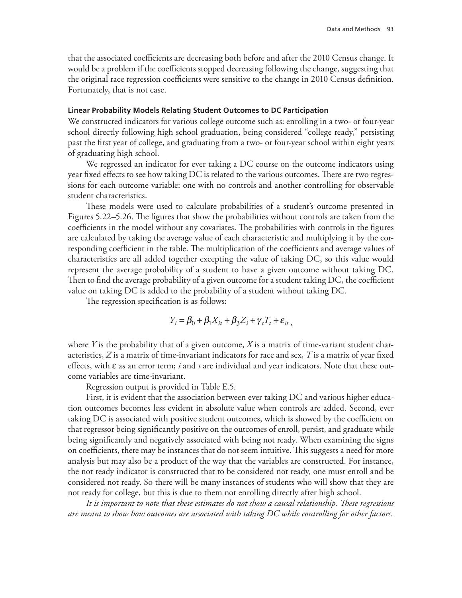that the associated coefficients are decreasing both before and after the 2010 Census change. It would be a problem if the coefficients stopped decreasing following the change, suggesting that the original race regression coefficients were sensitive to the change in 2010 Census definition. Fortunately, that is not case.

#### **Linear Probability Models Relating Student Outcomes to DC Participation**

We constructed indicators for various college outcome such as: enrolling in a two- or four-year school directly following high school graduation, being considered "college ready," persisting past the first year of college, and graduating from a two- or four-year school within eight years of graduating high school.

We regressed an indicator for ever taking a DC course on the outcome indicators using year fixed effects to see how taking DC is related to the various outcomes. There are two regressions for each outcome variable: one with no controls and another controlling for observable student characteristics.

These models were used to calculate probabilities of a student's outcome presented in Figures 5.22–5.26. The figures that show the probabilities without controls are taken from the coefficients in the model without any covariates. The probabilities with controls in the figures are calculated by taking the average value of each characteristic and multiplying it by the corresponding coefficient in the table. The multiplication of the coefficients and average values of characteristics are all added together excepting the value of taking DC, so this value would represent the average probability of a student to have a given outcome without taking DC. Then to find the average probability of a given outcome for a student taking DC, the coefficient value on taking DC is added to the probability of a student without taking DC.

The regression specification is as follows:

$$
Y_i = \beta_0 + \beta_1 X_{it} + \beta_3 Z_i + \gamma_t T_t + \varepsilon_{it}
$$

where *Y* is the probability that of a given outcome, *X* is a matrix of time-variant student characteristics, *Z* is a matrix of time-invariant indicators for race and sex, *T* is a matrix of year fixed effects, with ε as an error term; *i* and *t* are individual and year indicators. Note that these outcome variables are time-invariant.

Regression output is provided in Table E.5.

First, it is evident that the association between ever taking DC and various higher education outcomes becomes less evident in absolute value when controls are added. Second, ever taking DC is associated with positive student outcomes, which is showed by the coefficient on that regressor being significantly positive on the outcomes of enroll, persist, and graduate while being significantly and negatively associated with being not ready. When examining the signs on coefficients, there may be instances that do not seem intuitive. This suggests a need for more analysis but may also be a product of the way that the variables are constructed. For instance, the not ready indicator is constructed that to be considered not ready, one must enroll and be considered not ready. So there will be many instances of students who will show that they are not ready for college, but this is due to them not enrolling directly after high school.

*It is important to note that these estimates do not show a causal relationship. These regressions are meant to show how outcomes are associated with taking DC while controlling for other factors.*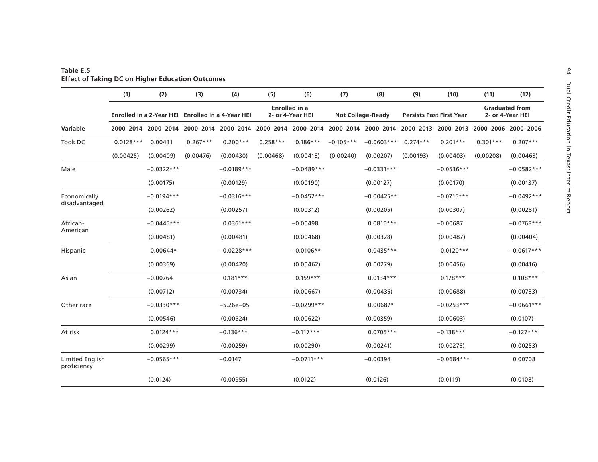|                                | (1)                                               | (2)          | (3)        | (4)          | (5)                                      | (6)          | (7)                      | (8)                                                                                                 | (9)                             | (10)         | (11)                                      | (12)                |
|--------------------------------|---------------------------------------------------|--------------|------------|--------------|------------------------------------------|--------------|--------------------------|-----------------------------------------------------------------------------------------------------|---------------------------------|--------------|-------------------------------------------|---------------------|
|                                | Enrolled in a 2-Year HEI Enrolled in a 4-Year HEI |              |            |              | <b>Enrolled</b> in a<br>2- or 4-Year HEI |              | <b>Not College-Ready</b> |                                                                                                     | <b>Persists Past First Year</b> |              | <b>Graduated from</b><br>2- or 4-Year HEI |                     |
| Variable                       |                                                   |              |            |              |                                          |              |                          | 2000-2014 2000-2014 2000-2014 2000-2014 2000-2014 2000-2014 2000-2014 2000-2014 2000-2013 2000-2013 |                                 |              |                                           | 2000-2006 2000-2006 |
| Took DC                        | $0.0128***$                                       | 0.00431      | $0.267***$ | $0.200***$   | $0.258***$                               | $0.186***$   | $-0.105***$              | $-0.0603***$                                                                                        | $0.274***$                      | $0.201***$   | $0.301***$                                | $0.207***$          |
|                                | (0.00425)                                         | (0.00409)    | (0.00476)  | (0.00430)    | (0.00468)                                | (0.00418)    | (0.00240)                | (0.00207)                                                                                           | (0.00193)                       | (0.00403)    | (0.00208)                                 | (0.00463)           |
| Male                           |                                                   | $-0.0322***$ |            | $-0.0189***$ |                                          | $-0.0489***$ |                          | $-0.0331***$                                                                                        |                                 | $-0.0536***$ |                                           | $-0.0582***$        |
|                                |                                                   | (0.00175)    |            | (0.00129)    |                                          | (0.00190)    |                          | (0.00127)                                                                                           |                                 | (0.00170)    |                                           | (0.00137)           |
| Economically<br>disadvantaged  |                                                   | $-0.0194***$ |            | $-0.0316***$ |                                          | $-0.0452***$ |                          | $-0.00425**$                                                                                        |                                 | $-0.0715***$ |                                           | $-0.0492***$        |
|                                |                                                   | (0.00262)    |            | (0.00257)    |                                          | (0.00312)    |                          | (0.00205)                                                                                           |                                 | (0.00307)    |                                           | (0.00281)           |
| African-<br>American           |                                                   | $-0.0445***$ |            | $0.0361***$  |                                          | $-0.00498$   |                          | $0.0810***$                                                                                         |                                 | $-0.00687$   |                                           | $-0.0768***$        |
|                                |                                                   | (0.00481)    |            | (0.00481)    |                                          | (0.00468)    |                          | (0.00328)                                                                                           |                                 | (0.00487)    |                                           | (0.00404)           |
| Hispanic                       |                                                   | $0.00644*$   |            | $-0.0228***$ |                                          | $-0.0106**$  |                          | $0.0435***$                                                                                         |                                 | $-0.0120***$ |                                           | $-0.0617***$        |
|                                |                                                   | (0.00369)    |            | (0.00420)    |                                          | (0.00462)    |                          | (0.00279)                                                                                           |                                 | (0.00456)    |                                           | (0.00416)           |
| Asian                          |                                                   | $-0.00764$   |            | $0.181***$   |                                          | $0.159***$   |                          | $0.0134***$                                                                                         |                                 | $0.178***$   |                                           | $0.108***$          |
|                                |                                                   | (0.00712)    |            | (0.00734)    |                                          | (0.00667)    |                          | (0.00436)                                                                                           |                                 | (0.00688)    |                                           | (0.00733)           |
| Other race                     |                                                   | $-0.0330***$ |            | $-5.26e-05$  |                                          | $-0.0299***$ |                          | $0.00687*$                                                                                          |                                 | $-0.0253***$ |                                           | $-0.0661***$        |
|                                |                                                   | (0.00546)    |            | (0.00524)    |                                          | (0.00622)    |                          | (0.00359)                                                                                           |                                 | (0.00603)    |                                           | (0.0107)            |
| At risk                        |                                                   | $0.0124***$  |            | $-0.136***$  |                                          | $-0.117***$  |                          | $0.0705***$                                                                                         |                                 | $-0.138***$  |                                           | $-0.127***$         |
|                                |                                                   | (0.00299)    |            | (0.00259)    |                                          | (0.00290)    |                          | (0.00241)                                                                                           |                                 | (0.00276)    |                                           | (0.00253)           |
| Limited English<br>proficiency |                                                   | $-0.0565***$ |            | $-0.0147$    |                                          | $-0.0711***$ |                          | $-0.00394$                                                                                          |                                 | $-0.0684***$ |                                           | 0.00708             |
|                                |                                                   | (0.0124)     |            | (0.00955)    |                                          | (0.0122)     |                          | (0.0126)                                                                                            |                                 | (0.0119)     |                                           | (0.0108)            |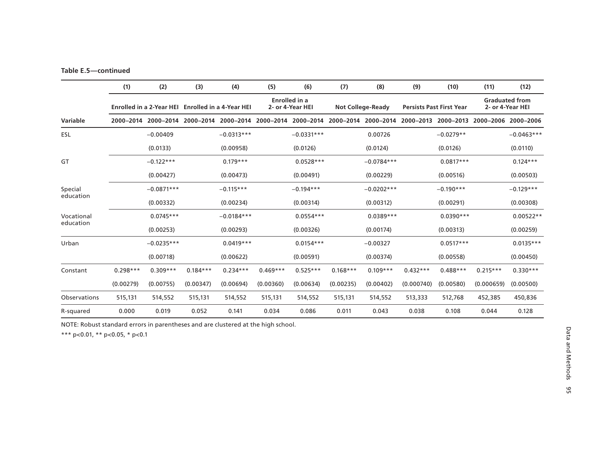## **Table E.5—continued**

|              | (1)        | (2)                             | (3)        | (4)                             | (5)        | (6)                                      | (7)        | (8)                      | (9)        | (10)                            | (11)       | (12)                                      |
|--------------|------------|---------------------------------|------------|---------------------------------|------------|------------------------------------------|------------|--------------------------|------------|---------------------------------|------------|-------------------------------------------|
|              |            | <b>Enrolled in a 2-Year HEI</b> |            | <b>Enrolled in a 4-Year HEI</b> |            | <b>Enrolled</b> in a<br>2- or 4-Year HEI |            | <b>Not College-Ready</b> |            | <b>Persists Past First Year</b> |            | <b>Graduated from</b><br>2- or 4-Year HEI |
| Variable     | 2000-2014  | 2000–2014                       | 2000-2014  | 2000-2014                       | 2000-2014  | 2000-2014                                |            | 2000-2014 2000-2014      | 2000-2013  | 2000-2013                       | 2000-2006  | 2000-2006                                 |
| <b>ESL</b>   |            | $-0.00409$                      |            | $-0.0313***$                    |            | $-0.0331***$                             |            | 0.00726                  |            | $-0.0279**$                     |            | $-0.0463***$                              |
|              |            | (0.0133)                        |            | (0.00958)                       |            | (0.0126)                                 |            | (0.0124)                 |            | (0.0126)                        |            | (0.0110)                                  |
| GT           |            | $-0.122***$                     |            | $0.179***$                      |            | $0.0528***$                              |            | $-0.0784***$             |            | $0.0817***$                     |            | $0.124***$                                |
|              |            | (0.00427)                       |            | (0.00473)                       |            | (0.00491)                                |            | (0.00229)                |            | (0.00516)                       |            | (0.00503)                                 |
| Special      |            | $-0.0871***$                    |            | $-0.115***$                     |            | $-0.194***$                              |            | $-0.0202***$             |            | $-0.190***$                     |            | $-0.129***$                               |
| education    |            | (0.00332)                       |            | (0.00234)                       |            | (0.00314)                                |            | (0.00312)                |            | (0.00291)                       |            | (0.00308)                                 |
| Vocational   |            | $0.0745***$                     |            | $-0.0184***$                    |            | $0.0554***$                              |            | $0.0389***$              |            | $0.0390***$                     |            | $0.00522**$                               |
| education    |            | (0.00253)                       |            | (0.00293)                       |            | (0.00326)                                |            | (0.00174)                |            | (0.00313)                       |            | (0.00259)                                 |
| Urban        |            | $-0.0235***$                    |            | $0.0419***$                     |            | $0.0154***$                              |            | $-0.00327$               |            | $0.0517***$                     |            | $0.0135***$                               |
|              |            | (0.00718)                       |            | (0.00622)                       |            | (0.00591)                                |            | (0.00374)                |            | (0.00558)                       |            | (0.00450)                                 |
| Constant     | $0.298***$ | $0.309***$                      | $0.184***$ | $0.234***$                      | $0.469***$ | $0.525***$                               | $0.168***$ | $0.109***$               | $0.432***$ | $0.488***$                      | $0.215***$ | $0.330***$                                |
|              | (0.00279)  | (0.00755)                       | (0.00347)  | (0.00694)                       | (0.00360)  | (0.00634)                                | (0.00235)  | (0.00402)                | (0.000740) | (0.00580)                       | (0.000659) | (0.00500)                                 |
| Observations | 515,131    | 514,552                         | 515,131    | 514,552                         | 515,131    | 514,552                                  | 515,131    | 514,552                  | 513,333    | 512,768                         | 452,385    | 450,836                                   |
| R-squared    | 0.000      | 0.019                           | 0.052      | 0.141                           | 0.034      | 0.086                                    | 0.011      | 0.043                    | 0.038      | 0.108                           | 0.044      | 0.128                                     |

NOTE: Robust standard errors in parentheses and are clustered at the high school.

\*\*\* p<0.01, \*\* p<0.05, \* p<0.1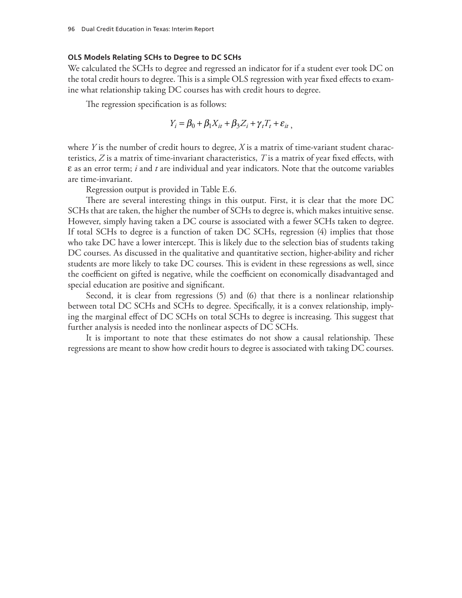### **OLS Models Relating SCHs to Degree to DC SCHs**

We calculated the SCHs to degree and regressed an indicator for if a student ever took DC on the total credit hours to degree. This is a simple OLS regression with year fixed effects to examine what relationship taking DC courses has with credit hours to degree.

The regression specification is as follows:

$$
Y_i = \beta_0 + \beta_1 X_{it} + \beta_3 Z_i + \gamma_t T_t + \varepsilon_{it}
$$

where *Y* is the number of credit hours to degree, *X* is a matrix of time-variant student characteristics, *Z* is a matrix of time-invariant characteristics, *T* is a matrix of year fixed effects, with ε as an error term; *i* and *t* are individual and year indicators. Note that the outcome variables are time-invariant.

Regression output is provided in Table E.6.

There are several interesting things in this output. First, it is clear that the more DC SCHs that are taken, the higher the number of SCHs to degree is, which makes intuitive sense. However, simply having taken a DC course is associated with a fewer SCHs taken to degree. If total SCHs to degree is a function of taken DC SCHs, regression (4) implies that those who take DC have a lower intercept. This is likely due to the selection bias of students taking DC courses. As discussed in the qualitative and quantitative section, higher-ability and richer students are more likely to take DC courses. This is evident in these regressions as well, since the coefficient on gifted is negative, while the coefficient on economically disadvantaged and special education are positive and significant.

Second, it is clear from regressions (5) and (6) that there is a nonlinear relationship between total DC SCHs and SCHs to degree. Specifically, it is a convex relationship, implying the marginal effect of DC SCHs on total SCHs to degree is increasing. This suggest that further analysis is needed into the nonlinear aspects of DC SCHs.

It is important to note that these estimates do not show a causal relationship. These regressions are meant to show how credit hours to degree is associated with taking DC courses.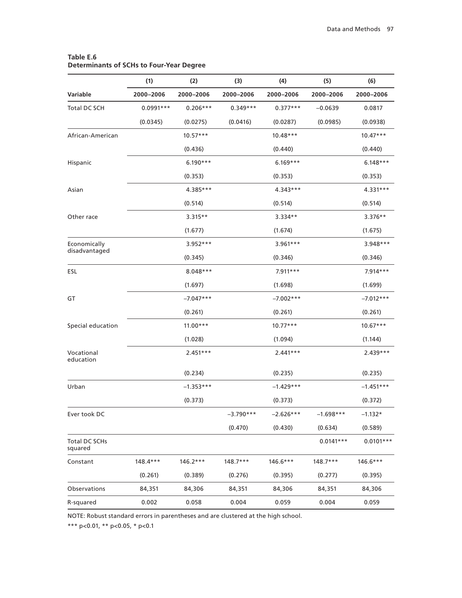|                                 | (1)         | (2)         | (3)         | (4)         | (5)         | (6)         |
|---------------------------------|-------------|-------------|-------------|-------------|-------------|-------------|
| Variable                        | 2000-2006   | 2000-2006   | 2000-2006   | 2000-2006   | 2000-2006   | 2000-2006   |
| Total DC SCH                    | $0.0991***$ | $0.206***$  | $0.349***$  | $0.377***$  | $-0.0639$   | 0.0817      |
|                                 | (0.0345)    | (0.0275)    | (0.0416)    | (0.0287)    | (0.0985)    | (0.0938)    |
| African-American                |             | $10.57***$  |             | $10.48***$  |             | $10.47***$  |
|                                 |             | (0.436)     |             | (0.440)     |             | (0.440)     |
| Hispanic                        |             | $6.190***$  |             | $6.169***$  |             | $6.148***$  |
|                                 |             | (0.353)     |             | (0.353)     |             | (0.353)     |
| Asian                           |             | 4.385***    |             | 4.343***    |             | 4.331***    |
|                                 |             | (0.514)     |             | (0.514)     |             | (0.514)     |
| Other race                      |             | $3.315**$   |             | 3.334**     |             | $3.376**$   |
|                                 |             | (1.677)     |             | (1.674)     |             | (1.675)     |
| Economically                    |             | 3.952***    |             | $3.961***$  |             | 3.948***    |
| disadvantaged                   |             | (0.345)     |             | (0.346)     |             | (0.346)     |
| ESL                             |             | 8.048***    |             | $7.911***$  |             | 7.914***    |
|                                 |             | (1.697)     |             | (1.698)     |             | (1.699)     |
| GT                              |             | $-7.047***$ |             | $-7.002***$ |             | $-7.012***$ |
|                                 |             | (0.261)     |             | (0.261)     |             | (0.261)     |
| Special education               |             | $11.00***$  |             | $10.77***$  |             | $10.67***$  |
|                                 |             | (1.028)     |             | (1.094)     |             | (1.144)     |
| Vocational<br>education         |             | $2.451***$  |             | $2.441***$  |             | $2.439***$  |
|                                 |             | (0.234)     |             | (0.235)     |             | (0.235)     |
| Urban                           |             | $-1.353***$ |             | $-1.429***$ |             | $-1.451***$ |
|                                 |             | (0.373)     |             | (0.373)     |             | (0.372)     |
| Ever took DC                    |             |             | $-3.790***$ | $-2.626***$ | $-1.698***$ | $-1.132*$   |
|                                 |             |             | (0.470)     | (0.430)     | (0.634)     | (0.589)     |
| <b>Total DC SCHs</b><br>squared |             |             |             |             | $0.0141***$ | $0.0101***$ |
| Constant                        | 148.4***    | $146.2***$  | 148.7***    | $146.6***$  | $148.7***$  | 146.6***    |
|                                 | (0.261)     | (0.389)     | (0.276)     | (0.395)     | (0.277)     | (0.395)     |
| Observations                    | 84,351      | 84,306      | 84,351      | 84,306      | 84,351      | 84,306      |
| R-squared                       | 0.002       | 0.058       | 0.004       | 0.059       | 0.004       | 0.059       |

## **Table E.6 Determinants of SCHs to Four-Year Degree**

NOTE: Robust standard errors in parentheses and are clustered at the high school.

\*\*\* p<0.01, \*\* p<0.05, \* p<0.1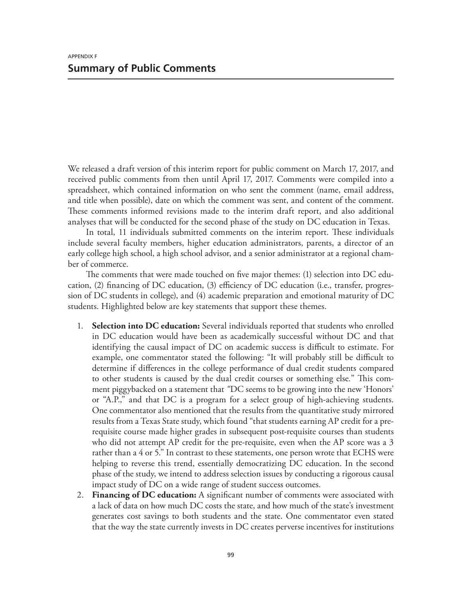We released a draft version of this interim report for public comment on March 17, 2017, and received public comments from then until April 17, 2017. Comments were compiled into a spreadsheet, which contained information on who sent the comment (name, email address, and title when possible), date on which the comment was sent, and content of the comment. These comments informed revisions made to the interim draft report, and also additional analyses that will be conducted for the second phase of the study on DC education in Texas.

In total, 11 individuals submitted comments on the interim report. These individuals include several faculty members, higher education administrators, parents, a director of an early college high school, a high school advisor, and a senior administrator at a regional chamber of commerce.

The comments that were made touched on five major themes: (1) selection into DC education, (2) financing of DC education, (3) efficiency of DC education (i.e., transfer, progression of DC students in college), and (4) academic preparation and emotional maturity of DC students. Highlighted below are key statements that support these themes.

- 1. **Selection into DC education:** Several individuals reported that students who enrolled in DC education would have been as academically successful without DC and that identifying the causal impact of DC on academic success is difficult to estimate. For example, one commentator stated the following: "It will probably still be difficult to determine if differences in the college performance of dual credit students compared to other students is caused by the dual credit courses or something else*.*" This comment piggybacked on a statement that *"*DC seems to be growing into the new 'Honors' or "A.P.," and that DC is a program for a select group of high-achieving students. One commentator also mentioned that the results from the quantitative study mirrored results from a Texas State study, which found "that students earning AP credit for a prerequisite course made higher grades in subsequent post-requisite courses than students who did not attempt AP credit for the pre-requisite, even when the AP score was a 3 rather than a 4 or 5." In contrast to these statements, one person wrote that ECHS were helping to reverse this trend, essentially democratizing DC education. In the second phase of the study, we intend to address selection issues by conducting a rigorous causal impact study of DC on a wide range of student success outcomes.
- 2. **Financing of DC education:** A significant number of comments were associated with a lack of data on how much DC costs the state, and how much of the state's investment generates cost savings to both students and the state. One commentator even stated that the way the state currently invests in DC creates perverse incentives for institutions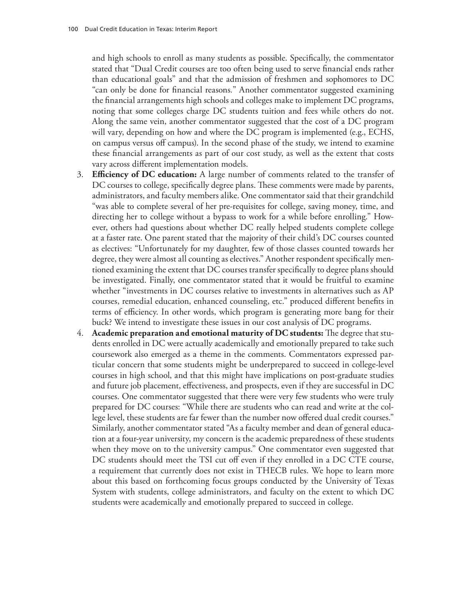and high schools to enroll as many students as possible. Specifically, the commentator stated that "Dual Credit courses are too often being used to serve financial ends rather than educational goals" and that the admission of freshmen and sophomores to DC "can only be done for financial reasons*.*" Another commentator suggested examining the financial arrangements high schools and colleges make to implement DC programs, noting that some colleges charge DC students tuition and fees while others do not. Along the same vein, another commentator suggested that the cost of a DC program will vary, depending on how and where the DC program is implemented (e.g., ECHS, on campus versus off campus). In the second phase of the study, we intend to examine these financial arrangements as part of our cost study, as well as the extent that costs vary across different implementation models.

- 3. **Efficiency of DC education:** A large number of comments related to the transfer of DC courses to college, specifically degree plans. These comments were made by parents, administrators, and faculty members alike. One commentator said that their grandchild "was able to complete several of her pre-requisites for college, saving money, time, and directing her to college without a bypass to work for a while before enrolling." However, others had questions about whether DC really helped students complete college at a faster rate. One parent stated that the majority of their child's DC courses counted as electives: "Unfortunately for my daughter, few of those classes counted towards her degree, they were almost all counting as electives." Another respondent specifically mentioned examining the extent that DC courses transfer specifically to degree plans should be investigated. Finally, one commentator stated that it would be fruitful to examine whether "investments in DC courses relative to investments in alternatives such as AP courses, remedial education, enhanced counseling, etc." produced different benefits in terms of efficiency. In other words, which program is generating more bang for their buck? We intend to investigate these issues in our cost analysis of DC programs.
- 4. **Academic preparation and emotional maturity of DC students:** The degree that students enrolled in DC were actually academically and emotionally prepared to take such coursework also emerged as a theme in the comments. Commentators expressed particular concern that some students might be underprepared to succeed in college-level courses in high school, and that this might have implications on post-graduate studies and future job placement, effectiveness, and prospects, even if they are successful in DC courses. One commentator suggested that there were very few students who were truly prepared for DC courses: "While there are students who can read and write at the college level, these students are far fewer than the number now offered dual credit courses." Similarly, another commentator stated "As a faculty member and dean of general education at a four-year university, my concern is the academic preparedness of these students when they move on to the university campus." One commentator even suggested that DC students should meet the TSI cut off even if they enrolled in a DC CTE course, a requirement that currently does not exist in THECB rules. We hope to learn more about this based on forthcoming focus groups conducted by the University of Texas System with students, college administrators, and faculty on the extent to which DC students were academically and emotionally prepared to succeed in college.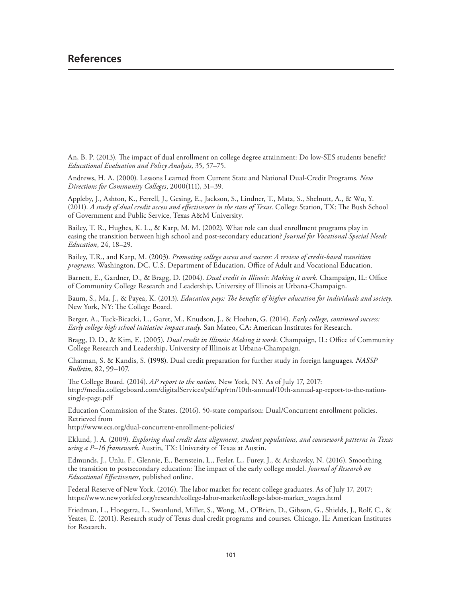An, B. P. (2013). The impact of dual enrollment on college degree attainment: Do low-SES students benefit? *Educational Evaluation and Policy Analysis*, 35, 57–75.

Andrews, H. A. (2000). Lessons Learned from Current State and National Dual‐Credit Programs. *New Directions for Community Colleges*, 2000(111), 31–39.

Appleby, J., Ashton, K., Ferrell, J., Gesing, E., Jackson, S., Lindner, T., Mata, S., Shelnutt, A., & Wu, Y. (2011). *A study of dual credit access and effectiveness in the state of Texas*. College Station, TX: The Bush School of Government and Public Service, Texas A&M University.

Bailey, T. R., Hughes, K. L., & Karp, M. M. (2002). What role can dual enrollment programs play in easing the transition between high school and post-secondary education? *Journal for Vocational Special Needs Education*, 24, 18–29.

Bailey, T.R., and Karp, M. (2003). *Promoting college access and success: A review of credit-based transition programs*. Washington, DC, U.S. Department of Education, Office of Adult and Vocational Education.

Barnett, E., Gardner, D., & Bragg, D. (2004). *Dual credit in Illinois: Making it work*. Champaign, IL: Office of Community College Research and Leadership, University of Illinois at Urbana-Champaign.

Baum, S., Ma, J., & Payea, K. (2013). *Education pays: The benefits of higher education for individuals and society*. New York, NY: The College Board.

Berger, A., Tuck-Bicacki, L., Garet, M., Knudson, J., & Hoshen, G. (2014). *Early college, continued success: Early college high school initiative impact study*. San Mateo, CA: American Institutes for Research.

Bragg, D. D., & Kim, E. (2005). *Dual credit in Illinois: Making it work*. Champaign, IL: Office of Community College Research and Leadership, University of Illinois at Urbana-Champaign.

Chatman, S. & Kandis, S. (1998). Dual credit preparation for further study in foreign languages. *NASSP Bulletin*, 82, 99–107.

The College Board. (2014). *AP report to the nation*. New York, NY. As of July 17, 2017: [http://media.collegeboard.com/digitalServices/pdf/ap/rtn/10th-annual/10th-annual-ap-report-to-the-nation](http://media.collegeboard.com/digitalServices/pdf/ap/rtn/10th-annual/10th-annual-ap-report-to-the-nation-single-page.pdf)single-page.pdf

Education Commission of the States. (2016). 50-state comparison: Dual/Concurrent enrollment policies. Retrieved from

<http://www.ecs.org/dual-concurrent-enrollment-policies/>

Eklund, J. A. (2009). *Exploring dual credit data alignment, student populations, and coursework patterns in Texas using a P–16 framework*. Austin, TX: University of Texas at Austin.

Edmunds, J., Unlu, F., Glennie, E., Bernstein, L., Fesler, L., Furey, J., & Arshavsky, N. (2016). Smoothing the transition to postsecondary education: The impact of the early college model. *Journal of Research on Educational Effectiveness*, published online.

Federal Reserve of New York. (2016). The labor market for recent college graduates. As of July 17, 2017: [https://www.newyorkfed.org/research/college-labor-market/college-labor-market\\_wages.html](https://www.newyorkfed.org/research/college-labor-market/college-labor-market_wages.html)

Friedman, L., Hoogstra, L., Swanlund, Miller, S., Wong, M., O'Brien, D., Gibson, G., Shields, J., Rolf, C., & Yeates, E. (2011). Research study of Texas dual credit programs and courses. Chicago, IL: American Institutes for Research.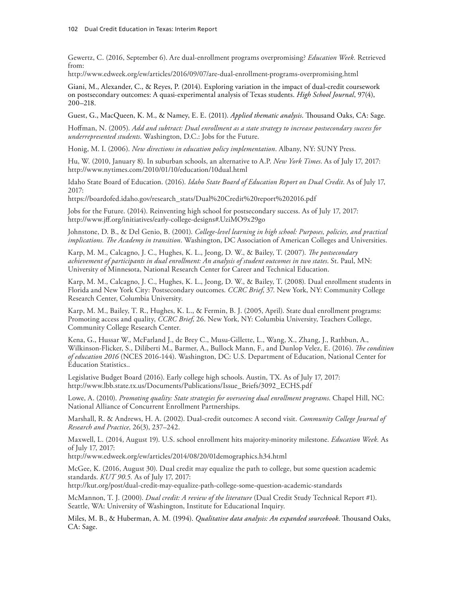Gewertz, C. (2016, September 6). Are dual-enrollment programs overpromising? *Education Week.* Retrieved from:

<http://www.edweek.org/ew/articles/2016/09/07/are-dual-enrollment-programs-overpromising.html>

Giani, M., Alexander, C., & Reyes, P. (2014). Exploring variation in the impact of dual-credit coursework on postsecondary outcomes: A quasi-experimental analysis of Texas students. *High School Journal*, 97(4), 200–218.

Guest, G., MacQueen, K. M., & Namey, E. E. (2011). *Applied thematic analysis*. Thousand Oaks, CA: Sage.

Hoffman, N. (2005). *Add and subtract: Dual enrollment as a state strategy to increase postsecondary success for underrepresented students*. Washington, D.C.: Jobs for the Future.

Honig, M. I. (2006). *New directions in education policy implementation*. Albany, NY: SUNY Press.

Hu, W. (2010, January 8). In suburban schools, an alternative to A.P. *New York Times*. As of July 17, 2017: <http://www.nytimes.com/2010/01/10/education/10dual.html>

Idaho State Board of Education. (2016). *Idaho State Board of Education Report on Dual Credit*. As of July 17, 2017:

[https://boardofed.idaho.gov/research\\_stats/Dual%20Credit%20report%202016.pdf](https://boardofed.idaho.gov/research_stats/Dual%20Credit%20report%202016.pdf)

Jobs for the Future. (2014). Reinventing high school for postsecondary success. As of July 17, 2017: <http://www.jff.org/initiatives/early-college-designs#.UziMO9x29go>

Johnstone, D. B., & Del Genio, B. (2001). *College-level learning in high school: Purposes, policies, and practical implications. The Academy in transition*. Washington, DC Association of American Colleges and Universities.

Karp, M. M., Calcagno, J. C., Hughes, K. L., Jeong, D. W., & Bailey, T. (2007). *The postsecondary achievement of participants in dual enrollment: An analysis of student outcomes in two states*. St. Paul, MN: University of Minnesota, National Research Center for Career and Technical Education.

Karp, M. M., Calcagno, J. C., Hughes, K. L., Jeong, D. W., & Bailey, T. (2008). Dual enrollment students in Florida and New York City: Postsecondary outcomes. *CCRC Brief*, 37. New York, NY: Community College Research Center, Columbia University.

Karp, M. M., Bailey, T. R., Hughes, K. L., & Fermin, B. J. (2005, April). State dual enrollment programs: Promoting access and quality, *CCRC Brief*, 26. New York, NY: Columbia University, Teachers College, Community College Research Center.

Kena, G., Hussar W., McFarland J., de Brey C., Musu-Gillette, L., Wang, X., Zhang, J., Rathbun, A., Wilkinson-Flicker, S., Diliberti M., Barmer, A., Bullock Mann, F., and Dunlop Velez, E. (2016). *The condition of education 2016* (NCES 2016-144). Washington, DC: U.S. Department of Education, National Center for Education Statistics..

Legislative Budget Board (2016). Early college high schools. Austin, TX. As of July 17, 2017: [http://www.lbb.state.tx.us/Documents/Publications/Issue\\_Briefs/3092\\_ECHS.pdf](http://www.lbb.state.tx.us/Documents/Publications/Issue_Briefs/3092_ECHS.pdf)

Lowe, A. (2010). *Promoting quality: State strategies for overseeing dual enrollment programs*. Chapel Hill, NC: National Alliance of Concurrent Enrollment Partnerships.

Marshall, R. & Andrews, H. A. (2002). Dual-credit outcomes: A second visit. *Community College Journal of Research and Practice*, 26(3), 237–242.

Maxwell, L. (2014, August 19). U.S. school enrollment hits majority-minority milestone. *Education Week.* As of July 17, 2017:

<http://www.edweek.org/ew/articles/2014/08/20/01demographics.h34.html>

McGee, K. (2016, August 30). Dual credit may equalize the path to college, but some question academic standards. *KUT 90.5.* As of July 17, 2017:

<http://kut.org/post/dual-credit-may-equalize-path-college-some-question-academic-standards>

McMannon, T. J. (2000). *Dual credit: A review of the literature* (Dual Credit Study Technical Report #1). Seattle, WA: University of Washington, Institute for Educational Inquiry.

Miles, M. B., & Huberman, A. M. (1994). *Qualitative data analysis: An expanded sourcebook*. Thousand Oaks, CA: Sage.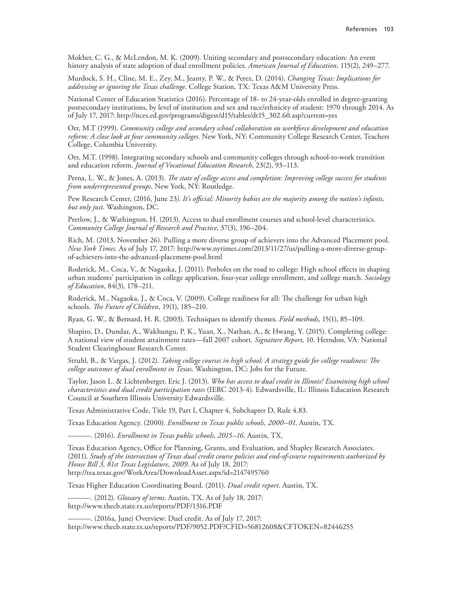Mokher, C. G., & McLendon, M. K. (2009). Uniting secondary and postsecondary education: An event history analysis of state adoption of dual enrollment policies. *American Journal of Education*, 115(2), 249–277.

Murdock, S. H., Cline, M. E., Zey, M., Jeanty, P. W., & Perez, D. (2014). *Changing Texas: Implications for addressing or ignoring the Texas challenge*. College Station, TX: Texas A&M University Press.

National Center of Education Statistics (2016). Percentage of 18- to 24-year-olds enrolled in degree-granting postsecondary institutions, by level of institution and sex and race/ethnicity of student: 1970 through 2014. As of July 17, 2017: [http://nces.ed.gov/programs/digest/d15/tables/dt15\\_302.60.asp?current=yes](http://nces.ed.gov/programs/digest/d15/tables/dt15_302.60.asp?current=yes)

Orr, M.T (1999). *Community college and secondary school collaboration on workforce development and education reform: A close look at four community colleges*. New York, NY: Community College Research Center, Teachers College, Columbia University.

Orr, M.T. (1998). Integrating secondary schools and community colleges through school-to-work transition and education reform. *Journal of Vocational Education Research*, 23(2), 93–113.

Perna, L. W., & Jones, A. (2013). *The state of college access and completion: Improving college success for students from underrepresented groups*. New York, NY: Routledge.

Pew Research Center, (2016, June 23*). It's official: Minority babies are the majority among the nation's infants, but only just*. Washington, DC.

Pretlow, J., & Wathington, H. (2013). Access to dual enrollment courses and school-level characteristics. *Community College Journal of Research and Practice*, 37(3), 196–204.

Rich, M. (2013, November 26). Pulling a more diverse group of achievers into the Advanced Placement pool. *New York Times.* As of July 17, 2017: [http://www.nytimes.com/2013/11/27/us/pulling-a-more-diverse-group](http://www.nytimes.com/2013/11/27/us/pulling-a-more-diverse-group-of-achievers-into-the-advanced-placement-pool.html)[of-achievers-into-the-advanced-placement-pool.html](http://www.nytimes.com/2013/11/27/us/pulling-a-more-diverse-group-of-achievers-into-the-advanced-placement-pool.html)

Roderick, M., Coca, V., & Nagaoka, J. (2011). Potholes on the road to college: High school effects in shaping urban students' participation in college application, four-year college enrollment, and college match. *Sociology of Education*, 84(3), 178–211.

Roderick, M., Nagaoka, J., & Coca, V. (2009). College readiness for all: The challenge for urban high schools. *The Future of Children*, 19(1), 185–210.

Ryan, G. W., & Bernard, H. R. (2003). Techniques to identify themes. *Field methods*, 15(1), 85–109.

Shapiro, D., Dundar, A., Wakhungu, P. K., Yuan, X., Nathan, A., & Hwang, Y. (2015). Completing college: A national view of student attainment rates—fall 2007 cohort. *Signature Report*, 10. Herndon, VA: National Student Clearinghouse Research Center.

Struhl, B., & Vargas, J. (2012). *Taking college courses in high school: A strategy guide for college readiness: The college outcomes of dual enrollment in Texas*. Washington, DC: Jobs for the Future.

Taylor, Jason L. & Lichtenberger, Eric J. (2013). *Who has access to dual credit in Illinois? Examining high school characteristics and dual credit participation rates* (IERC 2013-4). Edwardsville, IL: Illinois Education Research Council at Southern Illinois University Edwardsville.

Texas Administrative Code, Title 19, Part I, Chapter 4, Subchapter D, Rule 4.83.

Texas Education Agency. (2000). *Enrollment in Texas public schools, 2000–01*. Austin, TX.

———. (2016). *Enrollment in Texas public schools, 2015–16*. Austin, TX.

Texas Education Agency, Office for Planning, Grants, and Evaluation, and Shapley Research Associates. (2011). *Study of the intersection of Texas dual credit course policies and end-of-course requirements authorized by House Bill 3, 81st Texas Legislature, 2009*. As of July 18, 2017: <http://tea.texas.gov/WorkArea/DownloadAsset.aspx?id=2147495760>

Texas Higher Education Coordinating Board. (2011). *Dual credit report*. Austin, TX.

———. (2012). *Glossary of terms*. Austin, TX. As of July 18, 2017: <http://www.thecb.state.tx.us/reports/PDF/1316.PDF>

———. (2016a, June) Overview: Duel credit. As of July 17, 2017: <http://www.thecb.state.tx.us/reports/PDF/9052.PDF?CFID=56812608&CFTOKEN=82446255>